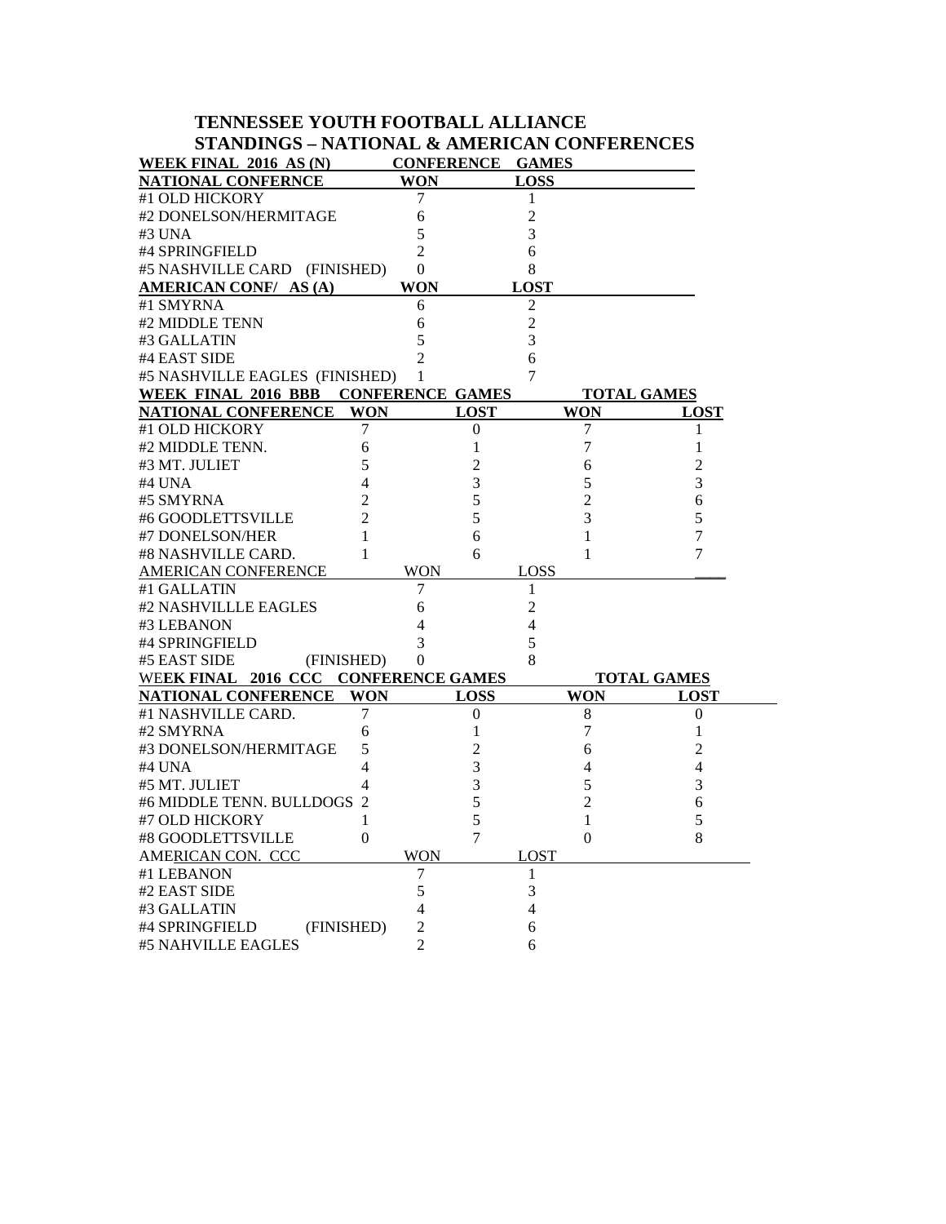# **TENNESSEE YOUTH FOOTBALL ALLIANCE STANDINGS – NATIONAL & AMERICAN CONFERENCES**

| <b>WEEK FINAL 2016 AS (N)</b>                 | <b>CONFERENCE</b>       |             | <b>GAMES</b>   |                    |
|-----------------------------------------------|-------------------------|-------------|----------------|--------------------|
| <b>NATIONAL CONFERNCE</b>                     | WON                     |             | LOSS           |                    |
| #1 OLD HICKORY                                | 7                       |             | 1              |                    |
| #2 DONELSON/HERMITAGE                         | 6                       |             | $\overline{c}$ |                    |
| #3 UNA                                        | 5                       |             | 3              |                    |
| #4 SPRINGFIELD                                | $\overline{2}$          |             | 6              |                    |
| #5 NASHVILLE CARD (FINISHED)                  | $\boldsymbol{0}$        |             | 8              |                    |
| AMERICAN CONF/ AS (A)                         | <b>WON</b>              |             | <b>LOST</b>    |                    |
| #1 SMYRNA                                     | 6                       |             | 2              |                    |
| #2 MIDDLE TENN                                | 6                       |             | $\overline{c}$ |                    |
| #3 GALLATIN                                   | 5                       |             | 3              |                    |
| #4 EAST SIDE                                  | $\overline{c}$          |             | 6              |                    |
| #5 NASHVILLE EAGLES (FINISHED)                | 1                       |             | 7              |                    |
| WEEK FINAL 2016 BBB                           | <b>CONFERENCE GAMES</b> |             |                | <b>TOTAL GAMES</b> |
| NATIONAL CONFERENCE                           | <b>WON</b>              | LOST        | WON            | <b>LOST</b>        |
| 7<br>#1 OLD HICKORY                           |                         | 0           | 7              | 1                  |
| #2 MIDDLE TENN.<br>6                          |                         | 1           | 7              | 1                  |
| #3 MT. JULIET<br>5                            |                         | 2           | 6              | $\overline{c}$     |
| #4 UNA<br>4                                   |                         | 3           | 5              | 3                  |
| #5 SMYRNA<br>2                                |                         | 5           | $\overline{2}$ | 6                  |
| #6 GOODLETTSVILLE<br>$\overline{\mathcal{L}}$ |                         | 5           | 3              | 5                  |
| #7 DONELSON/HER<br>1                          |                         | 6           | 1              | 7                  |
| #8 NASHVILLE CARD.<br>1                       |                         | 6           | 1              | 7                  |
| <b>AMERICAN CONFERENCE</b>                    | <b>WON</b>              |             | LOSS           |                    |
| #1 GALLATIN                                   | 7                       |             | 1              |                    |
| #2 NASHVILLLE EAGLES                          | 6                       |             | 2              |                    |
| #3 LEBANON                                    | 4                       |             | 4              |                    |
| #4 SPRINGFIELD                                | 3                       |             | 5              |                    |
| #5 EAST SIDE<br>(FINISHED)                    | 0                       |             | 8              |                    |
| WEEK FINAL 2016 CCC                           | <b>CONFERENCE GAMES</b> |             |                | <b>TOTAL GAMES</b> |
| <b>NATIONAL CONFERENCE</b>                    | WON                     | <b>LOSS</b> | <b>WON</b>     | LOST               |
| #1 NASHVILLE CARD.<br>7                       |                         | 0           | 8              | 0                  |
| #2 SMYRNA<br>6                                |                         | 1           | 7              | 1                  |
| 5<br>#3 DONELSON/HERMITAGE                    |                         | 2           | 6              | $\overline{c}$     |
| #4 UNA<br>4                                   |                         | 3           | 4              | 4                  |
| #5 MT. JULIET<br>4                            |                         | 3           | 5              | 3                  |
| #6 MIDDLE TENN. BULLDOGS<br>$\overline{c}$    |                         | 5           | 2              | 6                  |
| #7 OLD HICKORY<br>1                           |                         | 5           | 1              | 5                  |
| #8 GOODLETTSVILLE<br>$\theta$                 |                         | 7           | $\overline{0}$ | 8                  |
| AMERICAN CON. CCC                             | <b>WON</b>              |             | <b>LOST</b>    |                    |
| #1 LEBANON                                    | 7                       |             | 1              |                    |
| #2 EAST SIDE                                  | 5                       |             | 3              |                    |
| #3 GALLATIN                                   | 4                       |             | 4              |                    |
| #4 SPRINGFIELD<br>(FINISHED)                  | 2                       |             | 6              |                    |
| #5 NAHVILLE EAGLES                            | $\mathfrak{D}$          |             | 6              |                    |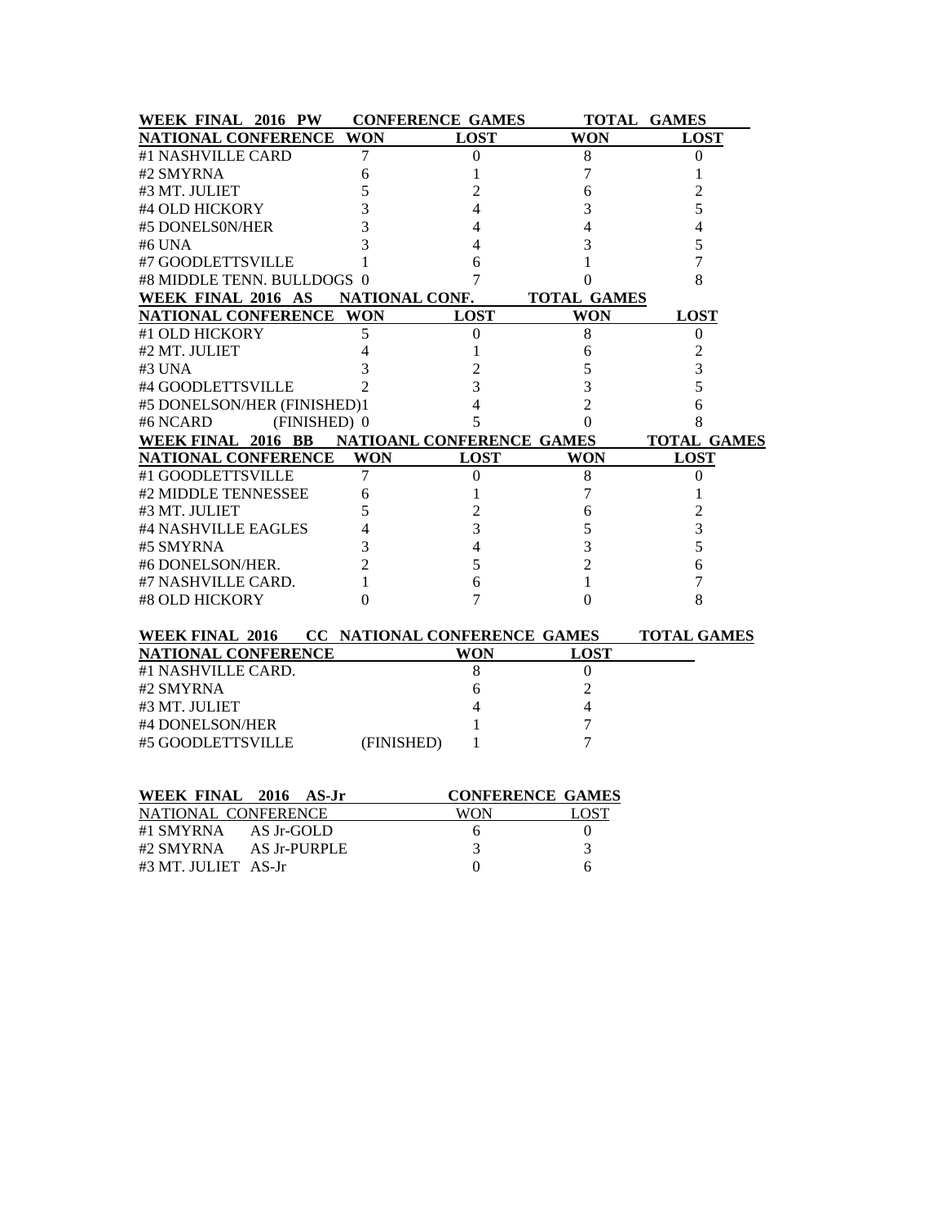| WEEK FINAL 2016 PW                           | <b>CONFERENCE GAMES</b>   |                  |                         | <b>TOTAL GAMES</b> |
|----------------------------------------------|---------------------------|------------------|-------------------------|--------------------|
| <b>NATIONAL CONFERENCE</b>                   | <b>WON</b>                | <b>LOST</b>      | <b>WON</b>              | <b>LOST</b>        |
| #1 NASHVILLE CARD                            | 7                         | $\boldsymbol{0}$ | 8                       | $\boldsymbol{0}$   |
| #2 SMYRNA                                    | 6                         | 1                | 7                       | 1                  |
| #3 MT. JULIET                                | 5                         | 2                | 6                       | 2                  |
| #4 OLD HICKORY                               | 3                         | $\overline{4}$   | 3                       | 5                  |
| #5 DONELS0N/HER                              | 3                         | $\overline{4}$   | 4                       | 4                  |
| #6 UNA                                       | 3                         | 4                | 3                       | 5                  |
| #7 GOODLETTSVILLE                            | 1                         | 6                | 1                       | 7                  |
| #8 MIDDLE TENN. BULLDOGS 0                   |                           | 7                | 0                       | 8                  |
| WEEK FINAL 2016 AS                           | NATIONAL CONF.            |                  | <b>TOTAL GAMES</b>      |                    |
| <b>NATIONAL CONFERENCE</b>                   | WON                       | <b>LOST</b>      | <b>WON</b>              | <b>LOST</b>        |
| #1 OLD HICKORY                               | 5                         | 0                | 8                       | 0                  |
| #2 MT. JULIET                                | $\overline{4}$            | 1                | 6                       | $\overline{2}$     |
| #3 UNA                                       | 3                         | $\overline{2}$   | 5                       | 3                  |
| #4 GOODLETTSVILLE                            | $\overline{\mathcal{L}}$  | 3                | 3                       | 5                  |
| #5 DONELSON/HER (FINISHED)1                  |                           | 4                | $\overline{2}$          | 6                  |
| #6 NCARD<br>(FINISHED) 0                     |                           | 5                | 0                       | 8                  |
| WEEK FINAL 2016 BB                           | NATIOANL CONFERENCE GAMES |                  |                         | <b>TOTAL GAMES</b> |
| <b>NATIONAL CONFERENCE</b>                   | <b>WON</b>                | <b>LOST</b>      | WON                     | <b>LOST</b>        |
| #1 GOODLETTSVILLE                            | 7                         | $\mathbf{0}$     | 8                       | 0                  |
| #2 MIDDLE TENNESSEE                          | 6                         | 1                | $\overline{7}$          | 1                  |
| #3 MT. JULIET                                | 5                         | $\overline{c}$   | 6                       | $\overline{c}$     |
| #4 NASHVILLE EAGLES                          | 4                         | 3                | 5                       | 3                  |
| #5 SMYRNA                                    | 3                         | 4                | 3                       | 5                  |
| #6 DONELSON/HER.                             | $\overline{c}$            | 5                | $\overline{2}$          | 6                  |
| #7 NASHVILLE CARD.                           | 1                         | 6                | 1                       | 7                  |
| #8 OLD HICKORY                               | 0                         | 7                | $\theta$                | 8                  |
| WEEK FINAL 2016 CC NATIONAL CONFERENCE GAMES |                           |                  |                         | <b>TOTAL GAMES</b> |
| <b>NATIONAL CONFERENCE</b>                   |                           | <b>WON</b>       | <b>LOST</b>             |                    |
| #1 NASHVILLE CARD.                           |                           | 8                | $\boldsymbol{0}$        |                    |
| #2 SMYRNA                                    |                           | 6                | $\overline{2}$          |                    |
| #3 MT. JULIET                                |                           | 4                | 4                       |                    |
| #4 DONELSON/HER                              |                           |                  | 7                       |                    |
| #5 GOODLETTSVILLE                            | (FINISHED)                | 1                | 7                       |                    |
| WEEK FINAL 2016 AS-Jr                        |                           |                  | <b>CONFERENCE GAMES</b> |                    |
| NATIONAL CONFERENCE                          |                           | <b>WON</b>       | <b>LOST</b>             |                    |
|                                              |                           |                  |                         |                    |

| NATIONAL CONFERENCE   |              | WON | LOST |
|-----------------------|--------------|-----|------|
| #1 SMYRNA             | AS Jr-GOLD   |     |      |
| #2 SMYRNA             | AS Jr-PURPLE |     |      |
| #3 MT. JULIET   AS-Jr |              |     |      |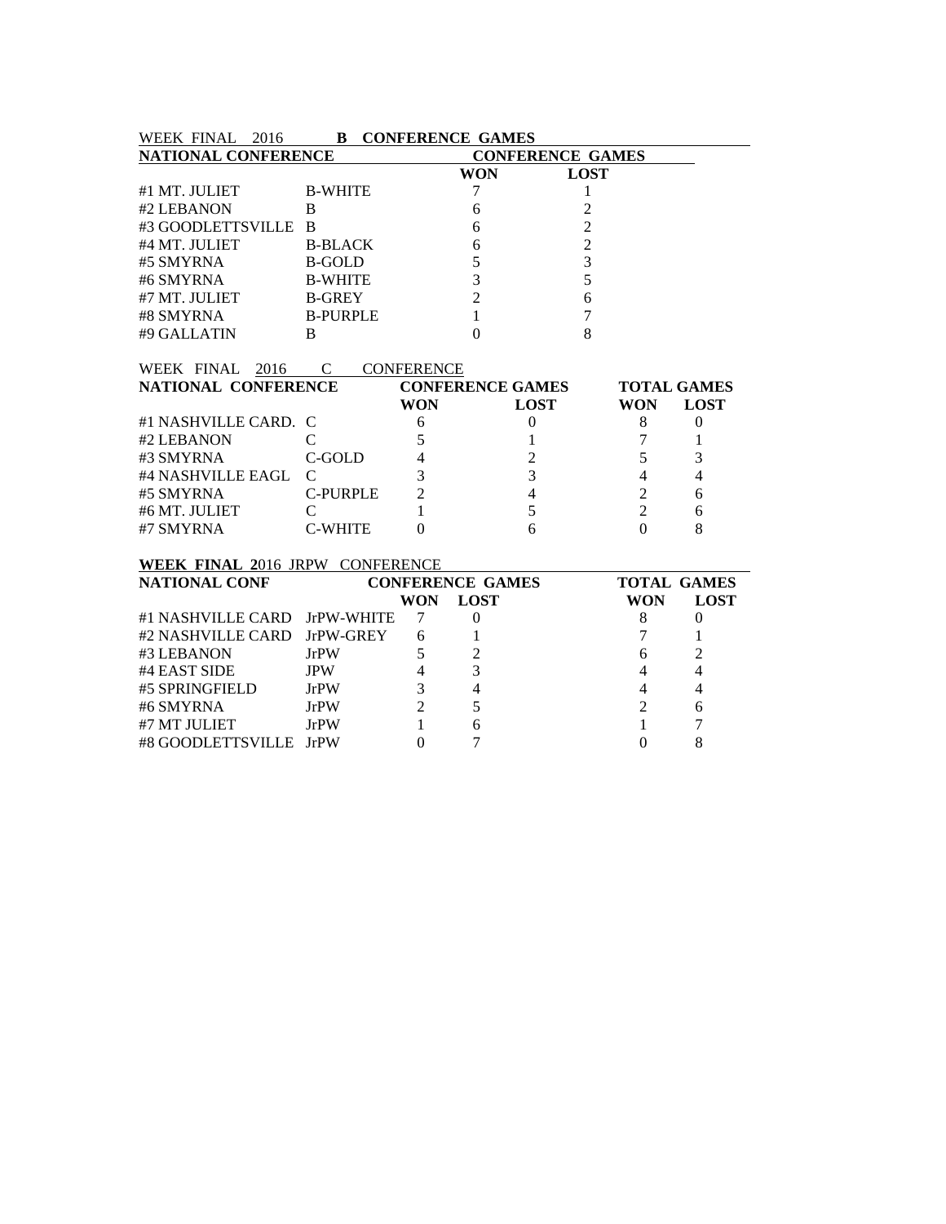| WEEK FINAL 2016                                       | <b>B</b> CONFERENCE GAMES |                   |                         |                         |                |                    |  |  |
|-------------------------------------------------------|---------------------------|-------------------|-------------------------|-------------------------|----------------|--------------------|--|--|
| <b>NATIONAL CONFERENCE</b><br><b>CONFERENCE GAMES</b> |                           |                   |                         |                         |                |                    |  |  |
|                                                       |                           |                   | <b>WON</b>              | <b>LOST</b>             |                |                    |  |  |
| #1 MT. JULIET                                         | <b>B-WHITE</b>            |                   | 7                       | 1                       |                |                    |  |  |
| #2 LEBANON                                            | B                         |                   | 6                       | 2                       |                |                    |  |  |
| #3 GOODLETTSVILLE                                     | - B                       |                   | 6                       | $\overline{2}$          |                |                    |  |  |
| #4 MT. JULIET                                         | <b>B-BLACK</b>            |                   | 6                       | $\overline{2}$          |                |                    |  |  |
| #5 SMYRNA                                             | <b>B-GOLD</b>             |                   | 5                       | $\overline{3}$          |                |                    |  |  |
| #6 SMYRNA                                             | <b>B-WHITE</b>            |                   | $\overline{3}$          | 5                       |                |                    |  |  |
| #7 MT. JULIET                                         | <b>B-GREY</b>             |                   | $\overline{2}$          | 6                       |                |                    |  |  |
| #8 SMYRNA                                             | <b>B-PURPLE</b>           |                   | $\mathbf{1}$            | 7                       |                |                    |  |  |
| #9 GALLATIN                                           | B                         |                   | $\Omega$                | 8                       |                |                    |  |  |
|                                                       |                           |                   |                         |                         |                |                    |  |  |
| WEEK FINAL<br>2016 C                                  |                           | <b>CONFERENCE</b> |                         |                         |                |                    |  |  |
| NATIONAL CONFERENCE                                   |                           |                   |                         | <b>CONFERENCE GAMES</b> |                | <b>TOTAL GAMES</b> |  |  |
|                                                       |                           | <b>WON</b>        |                         | <b>LOST</b>             | <b>WON</b>     | <b>LOST</b>        |  |  |
| #1 NASHVILLE CARD.                                    | $\mathcal{C}$             | 6                 |                         | $\theta$                | 8              | $\theta$           |  |  |
| #2 LEBANON                                            | C                         | 5                 |                         |                         | 7              | 1                  |  |  |
| #3 SMYRNA                                             | C-GOLD                    | 4                 |                         | $\overline{c}$          | 5              | 3                  |  |  |
| #4 NASHVILLE EAGL                                     | C                         | 3                 |                         | $\overline{3}$          | $\overline{4}$ | 4                  |  |  |
| #5 SMYRNA                                             | <b>C-PURPLE</b>           | 2                 |                         | $\overline{4}$          | $\overline{2}$ | 6                  |  |  |
| #6 MT. JULIET                                         | C                         | 1                 |                         | 5                       | $\overline{2}$ | 6                  |  |  |
| #7 SMYRNA                                             | <b>C-WHITE</b>            | $\Omega$          |                         | 6                       | $\Omega$       | 8                  |  |  |
|                                                       |                           |                   |                         |                         |                |                    |  |  |
| <b>WEEK FINAL 2016 JRPW CONFERENCE</b>                |                           |                   |                         |                         |                |                    |  |  |
| <b>NATIONAL CONF</b>                                  |                           |                   | <b>CONFERENCE GAMES</b> |                         |                | <b>TOTAL GAMES</b> |  |  |
|                                                       |                           | <b>WON</b>        | <b>LOST</b>             |                         | <b>WON</b>     | <b>LOST</b>        |  |  |
| #1 NASHVILLE CARD JrPW-WHITE                          |                           | 7                 | $\overline{0}$          |                         | 8              | $\theta$           |  |  |
| #2 NASHVILLE CARD                                     | JrPW-GREY                 | 6                 |                         |                         | 7              |                    |  |  |
| #3 LEBANON                                            | <b>JrPW</b>               | 5                 | $\overline{2}$          |                         | 6              | 2                  |  |  |

44 EAST SIDE JPW 4 3<br>
4 4 4<br>
46 SMYRNA JrPW 3 4 4 4<br>
4 4 4<br>
5 SMYRNA JrPW 2 5 #5 SPRINGFIELD JrPW 3 4 4 4 % #6 SMYRNA JrPW 2 5 2 6<br>% #7 MT JULIET JrPW 1 6 1 7 #7 MT JULIET JrPW 1 6 1 7<br>#8 GOODLETTSVILLE JrPW 0 7 0 8

#8 GOODLETTSVILLE JrPW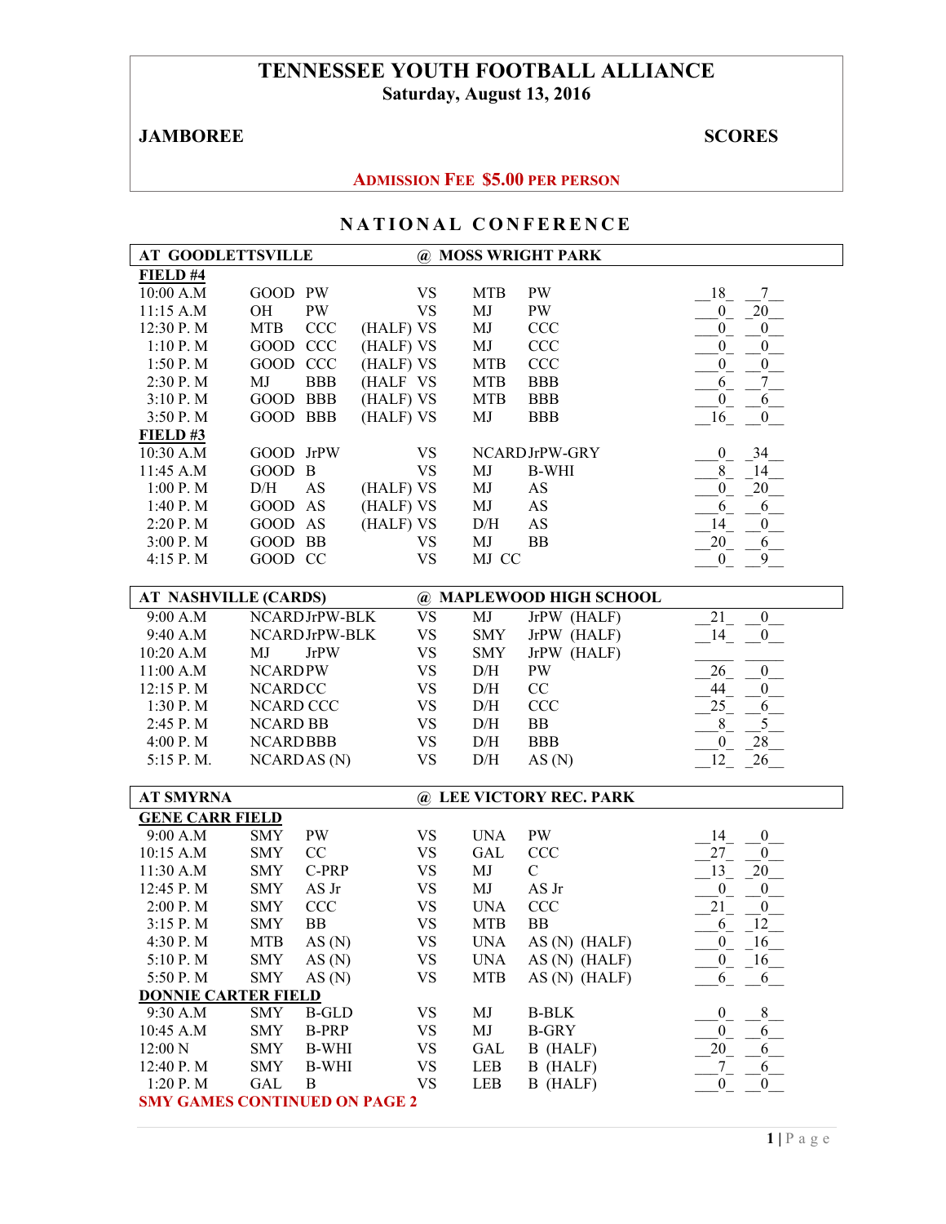# **TENNESSEE YOUTH FOOTBALL ALLIANCE Saturday, August 13, 2016**

# **JAMBOREE** SCORES

## **ADMISSION FEE \$5.00 PER PERSON**

| <b>AT GOODLETTSVILLE</b>             |                  |                    |           |           |            | @ MOSS WRIGHT PARK      |                                     |
|--------------------------------------|------------------|--------------------|-----------|-----------|------------|-------------------------|-------------------------------------|
| FIELD #4                             |                  |                    |           |           |            |                         |                                     |
| 10:00 A.M                            | GOOD PW          |                    |           | <b>VS</b> | <b>MTB</b> | PW                      | 18<br>7 <sup>7</sup>                |
| 11:15 A.M                            | OH               | PW                 |           | <b>VS</b> | MJ         | PW                      | 20<br>$0_$                          |
| 12:30 P.M                            | <b>MTB</b>       | CCC                | (HALF) VS |           | MJ         | <b>CCC</b>              | 0<br>$\boldsymbol{0}$               |
| 1:10P. M                             | GOOD CCC         |                    | (HALF) VS |           | MJ         | CCC                     | $\boldsymbol{0}$<br>$\mathbf{0}$    |
| 1:50 P.M                             | GOOD CCC         |                    | (HALF) VS |           | <b>MTB</b> | <b>CCC</b>              | $\boldsymbol{0}$<br>$\mathbf{0}$    |
| 2:30 P.M                             | MJ               | <b>BBB</b>         | (HALF VS  |           | <b>MTB</b> | <b>BBB</b>              | 7 <sup>7</sup><br>6                 |
| 3:10 P.M                             | GOOD BBB         |                    | (HALF) VS |           | <b>MTB</b> | <b>BBB</b>              | $\boldsymbol{0}$<br>6               |
| 3:50 P.M                             | GOOD BBB         |                    | (HALF) VS |           | MJ         | <b>BBB</b>              | 16<br>$\boldsymbol{0}$              |
| FIELD#3                              |                  |                    |           |           |            |                         |                                     |
| 10:30 A.M                            | GOOD JrPW        |                    |           | <b>VS</b> |            | NCARDJrPW-GRY           | 34<br>$\overline{0}$                |
| 11:45 A.M                            | GOOD B           |                    |           | <b>VS</b> | MJ         | <b>B-WHI</b>            | 8<br>14                             |
| 1:00 P.M                             | $\rm{D/H}$       | <b>AS</b>          | (HALF) VS |           | MJ         | AS                      | 20<br>$\overline{0}$                |
| 1:40 P.M                             | GOOD AS          |                    | (HALF) VS |           | MJ         | AS                      | 6<br>6                              |
| 2:20 P.M                             | <b>GOOD</b>      | AS                 | (HALF) VS |           | D/H        | AS                      | 14<br>$\boldsymbol{0}$              |
|                                      | GOOD BB          |                    |           |           | MJ         | <b>BB</b>               | 20<br>6                             |
| 3:00 P.M                             |                  |                    |           | <b>VS</b> | MJ CC      |                         |                                     |
| 4:15 P.M                             | GOOD CC          |                    |           | <b>VS</b> |            |                         | $\mathbf{0}$<br>9                   |
| <b>AT NASHVILLE (CARDS)</b>          |                  |                    |           |           |            | @ MAPLEWOOD HIGH SCHOOL |                                     |
| 9:00 A.M                             |                  | NCARDJrPW-BLK      |           | <b>VS</b> | MJ         | JrPW (HALF)             | 21<br>$\mathbf{0}$                  |
| 9:40 A.M                             |                  | NCARDJrPW-BLK      |           | <b>VS</b> |            |                         | 14<br>$\boldsymbol{0}$              |
|                                      |                  |                    |           |           | <b>SMY</b> | JrPW (HALF)             |                                     |
| 10:20 A.M                            | MJ               | <b>JrPW</b>        |           | <b>VS</b> | <b>SMY</b> | JrPW (HALF)             |                                     |
| 11:00 A.M                            | <b>NCARDPW</b>   |                    |           | <b>VS</b> | D/H        | PW                      | 26<br>$\boldsymbol{0}$              |
| 12:15 P.M                            | <b>NCARDCC</b>   |                    |           | <b>VS</b> | D/H        | $\rm CC$                | 44<br>$\boldsymbol{0}$              |
| 1:30 P.M                             | <b>NCARD CCC</b> |                    |           | <b>VS</b> | D/H        | <b>CCC</b>              | 25<br>6                             |
| 2:45 P.M                             | <b>NCARD BB</b>  |                    |           | <b>VS</b> | D/H        | ${\rm BB}$              | $\overline{5}$<br>$8\,$             |
| 4:00 P.M                             | <b>NCARDBBB</b>  |                    |           | <b>VS</b> | D/H        | <b>BBB</b>              | $\boldsymbol{0}$<br>28              |
| 5:15 P.M.                            |                  | <b>NCARDAS</b> (N) |           | <b>VS</b> | $\rm{D/H}$ | AS(N)                   | 12<br>26                            |
| <b>AT SMYRNA</b>                     |                  |                    |           |           |            | @ LEE VICTORY REC. PARK |                                     |
| <b>GENE CARR FIELD</b>               |                  |                    |           |           |            |                         |                                     |
| 9:00 A.M                             | <b>SMY</b>       | PW                 |           | <b>VS</b> | <b>UNA</b> | PW                      | 14<br>$\boldsymbol{0}$              |
| 10:15 A.M                            | <b>SMY</b>       | CC                 |           | <b>VS</b> | <b>GAL</b> | <b>CCC</b>              | 27<br>$\boldsymbol{0}$              |
| 11:30 A.M                            | <b>SMY</b>       | C-PRP              |           | <b>VS</b> | MJ         | $\mathbf C$             | 13<br>$20\,$                        |
| 12:45 P.M                            | <b>SMY</b>       | AS Jr              |           | <b>VS</b> | MJ         | AS Jr                   | $\overline{0}$<br>$\boldsymbol{0}$  |
| 2:00 P.M                             | <b>SMY</b>       | CCC                |           | <b>VS</b> | <b>UNA</b> | <b>CCC</b>              | 21<br>$\boldsymbol{0}$              |
| 3:15 P.M                             | <b>SMY</b>       | <b>BB</b>          |           | <b>VS</b> | <b>MTB</b> | <b>BB</b>               | 12<br>6                             |
| 4:30 P.M                             | <b>MTB</b>       | AS(N)              |           | VS        | <b>UNA</b> | AS (N) (HALF)           | $\overline{0}$<br>$16$ <sub>—</sub> |
| 5:10 P.M                             | <b>SMY</b>       | AS(N)              |           | <b>VS</b> | <b>UNA</b> | AS (N) (HALF)           | $\overline{0}$<br>16                |
| 5:50 P.M                             | <b>SMY</b>       | AS(N)              |           | <b>VS</b> | <b>MTB</b> | $AS(N)$ (HALF)          | 6                                   |
| <b>DONNIE CARTER FIELD</b>           |                  |                    |           |           |            |                         | 6                                   |
| 9:30 A.M                             | SMY              | <b>B-GLD</b>       |           | <b>VS</b> | MJ         | <b>B-BLK</b>            | $\,8\,$<br>$\mathbf{0}$             |
| 10:45 A.M                            | <b>SMY</b>       |                    |           | <b>VS</b> | MJ         | <b>B-GRY</b>            | $\mathbf{0}$<br>6                   |
|                                      |                  | <b>B-PRP</b>       |           |           |            |                         | $\sqrt{6}$                          |
| 12:00 N                              | <b>SMY</b>       | <b>B-WHI</b>       |           | <b>VS</b> | <b>GAL</b> | B (HALF)                | 20                                  |
| 12:40 P.M                            | <b>SMY</b>       | <b>B-WHI</b>       |           | <b>VS</b> | LEB        | B (HALF)                | $^{7}$<br>6                         |
| 1:20 P. M                            | <b>GAL</b>       | $\bf{B}$           |           | <b>VS</b> | LEB        | B (HALF)                | $\overline{0}$<br>$\overline{0}$    |
| <b>SMY GAMES CONTINUED ON PAGE 2</b> |                  |                    |           |           |            |                         |                                     |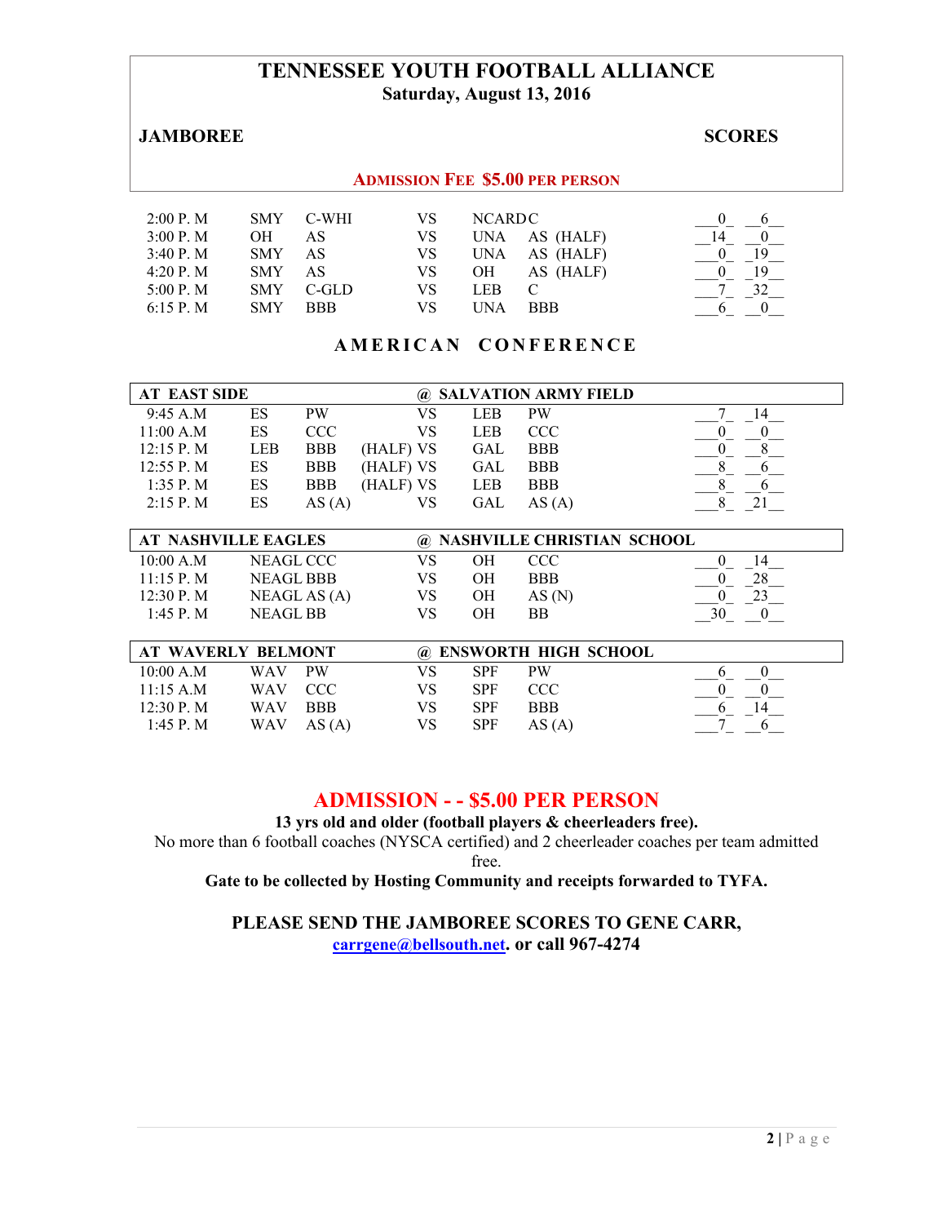## **TENNESSEE YOUTH FOOTBALL ALLIANCE Saturday, August 13, 2016**

#### **JAMBOREE** SCORES

#### **ADMISSION FEE \$5.00 PER PERSON**

| 2:00 P. M    | <b>SMY</b> | C-WHI      | VS  | NCARDC |            |    |
|--------------|------------|------------|-----|--------|------------|----|
| 3:00 P. M    | OН         | AS         | VS  | UNA    | AS (HALF)  |    |
| 3:40 P. M    | <b>SMY</b> | AS         | VS. | UNA    | AS (HALF)  | 19 |
| 4:20 P. M    | <b>SMY</b> | AS         | VS  | OН     | AS (HALF)  | 19 |
| 5:00 P. M.   | <b>SMY</b> | $C$ -GLD   | VS  | LEB.   |            |    |
| $6:15$ P. M. | SMY        | <b>BBB</b> | VS. | INA    | <b>BBB</b> |    |

### **AMERICAN CONFERENCE**

| <b>AT EAST SIDE</b> | @ SALVATION ARMY FIELD |            |           |            |            |  |
|---------------------|------------------------|------------|-----------|------------|------------|--|
| 9:45 A.M            | ES                     | <b>PW</b>  | VS        | LEB        | <b>PW</b>  |  |
| 11:00 A.M           | ES                     | CCC.       | VS        | LEB        | <b>CCC</b> |  |
| $12:15$ P. M        | LEB                    | <b>BBB</b> | (HALF) VS | GAL        | <b>BBB</b> |  |
| $12:55$ P. M        | ES                     | <b>BBB</b> | (HALF) VS | GAL        | <b>BBB</b> |  |
| $1:35$ P. M         | ES                     | <b>BBB</b> | (HALF) VS | <b>LEB</b> | <b>BBB</b> |  |
| $2:15$ P. M         | ES                     | AS (A)     | VS        | GAL        | AS(A)      |  |

|               | <b>AT NASHVILLE EAGLES</b> | @ NASHVILLE CHRISTIAN SCHOOL |    |                                                 |    |
|---------------|----------------------------|------------------------------|----|-------------------------------------------------|----|
| 10:00 A.M     | NEAGL CCC                  |                              | OН | CCC.                                            | 14 |
| $11:15$ P. M. | NEAGL BBB                  | VS                           | OН | <b>BBB</b>                                      |    |
| 12:30 P. M    | NEAGL AS $(A)$             | VS                           | OН | AS(N)                                           |    |
| $1:45$ P. M.  | <b>NEAGL BB</b>            | VS                           | OН | ВB                                              | 30 |
|               |                            |                              |    |                                                 |    |
|               |                            |                              |    | $\sim$ printing power than $\sim$ $\sim$ $\sim$ |    |

| AT WAVERLY BELMONT |            |            |     |            | @ ENSWORTH HIGH SCHOOL |  |
|--------------------|------------|------------|-----|------------|------------------------|--|
| 10:00 A.M          | <b>WAV</b> | <b>PW</b>  | VS  | <b>SPF</b> | <b>PW</b>              |  |
| $11.15$ A M        | WAV CCC    |            | VS  | SPF        | CCC.                   |  |
| 12.30 P M          | WAV.       | <b>BBB</b> | VS  | <b>SPF</b> | <b>BBB</b>             |  |
| 1:45 P. M          | WAV        | AS(A)      | VS. | <b>SPF</b> | AS(A)                  |  |

## **ADMISSION - - \$5.00 PER PERSON**

**13 yrs old and older (football players & cheerleaders free).** 

No more than 6 football coaches (NYSCA certified) and 2 cheerleader coaches per team admitted free.

**Gate to be collected by Hosting Community and receipts forwarded to TYFA.** 

**PLEASE SEND THE JAMBOREE SCORES TO GENE CARR, carrgene@bellsouth.net. or call 967-4274**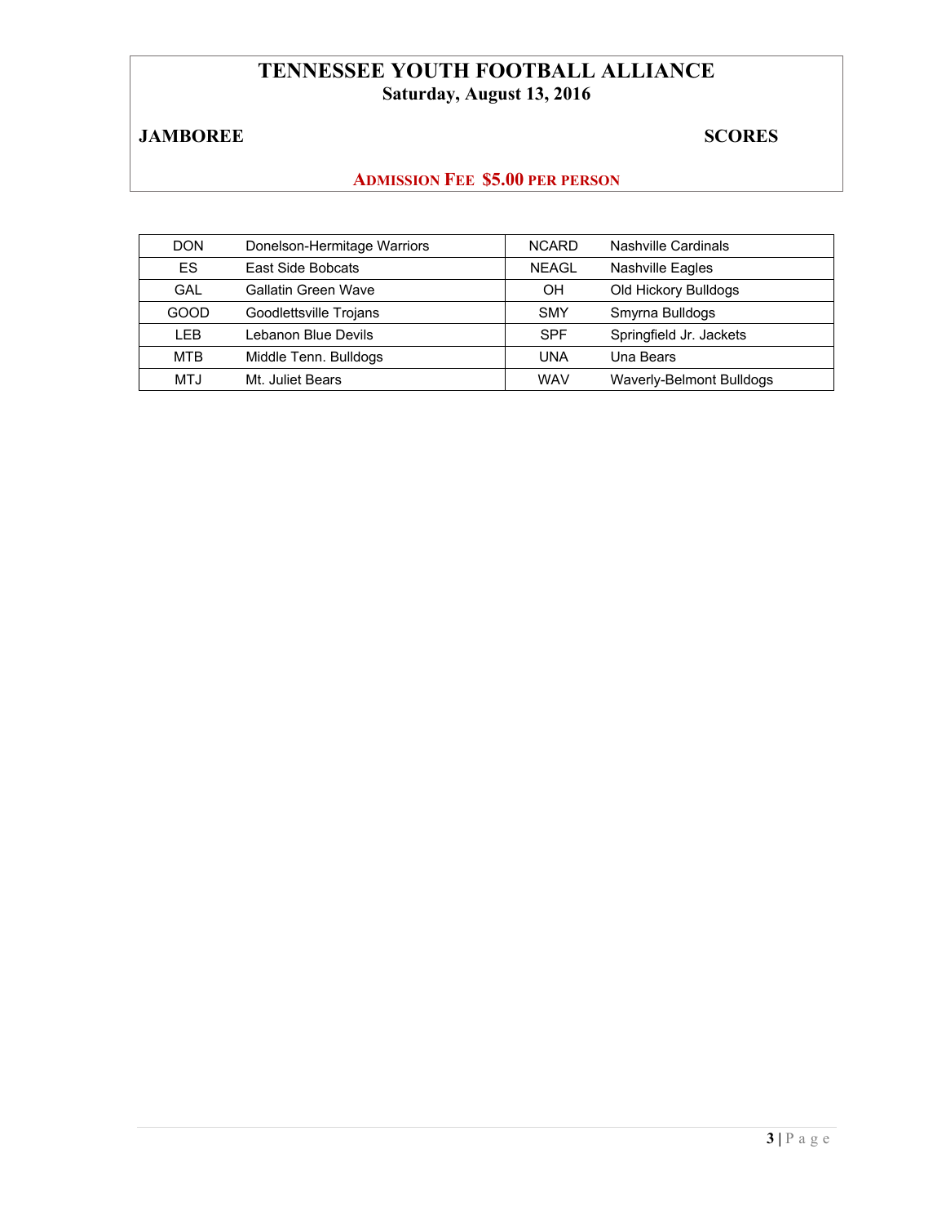# **TENNESSEE YOUTH FOOTBALL ALLIANCE Saturday, August 13, 2016**

# **JAMBOREE** SCORES

# **ADMISSION FEE \$5.00 PER PERSON**

| <b>DON</b> | Donelson-Hermitage Warriors | <b>NCARD</b> | Nashville Cardinals             |
|------------|-----------------------------|--------------|---------------------------------|
| ES.        | East Side Bobcats           | <b>NEAGL</b> | <b>Nashville Eagles</b>         |
| GAL        | Gallatin Green Wave         | OΗ           | Old Hickory Bulldogs            |
| GOOD       | Goodlettsville Trojans      | <b>SMY</b>   | Smyrna Bulldogs                 |
| LEB        | Lebanon Blue Devils         | <b>SPF</b>   | Springfield Jr. Jackets         |
| <b>MTB</b> | Middle Tenn. Bulldogs       | <b>UNA</b>   | Una Bears                       |
| MTJ        | Mt. Juliet Bears            | <b>WAV</b>   | <b>Waverly-Belmont Bulldogs</b> |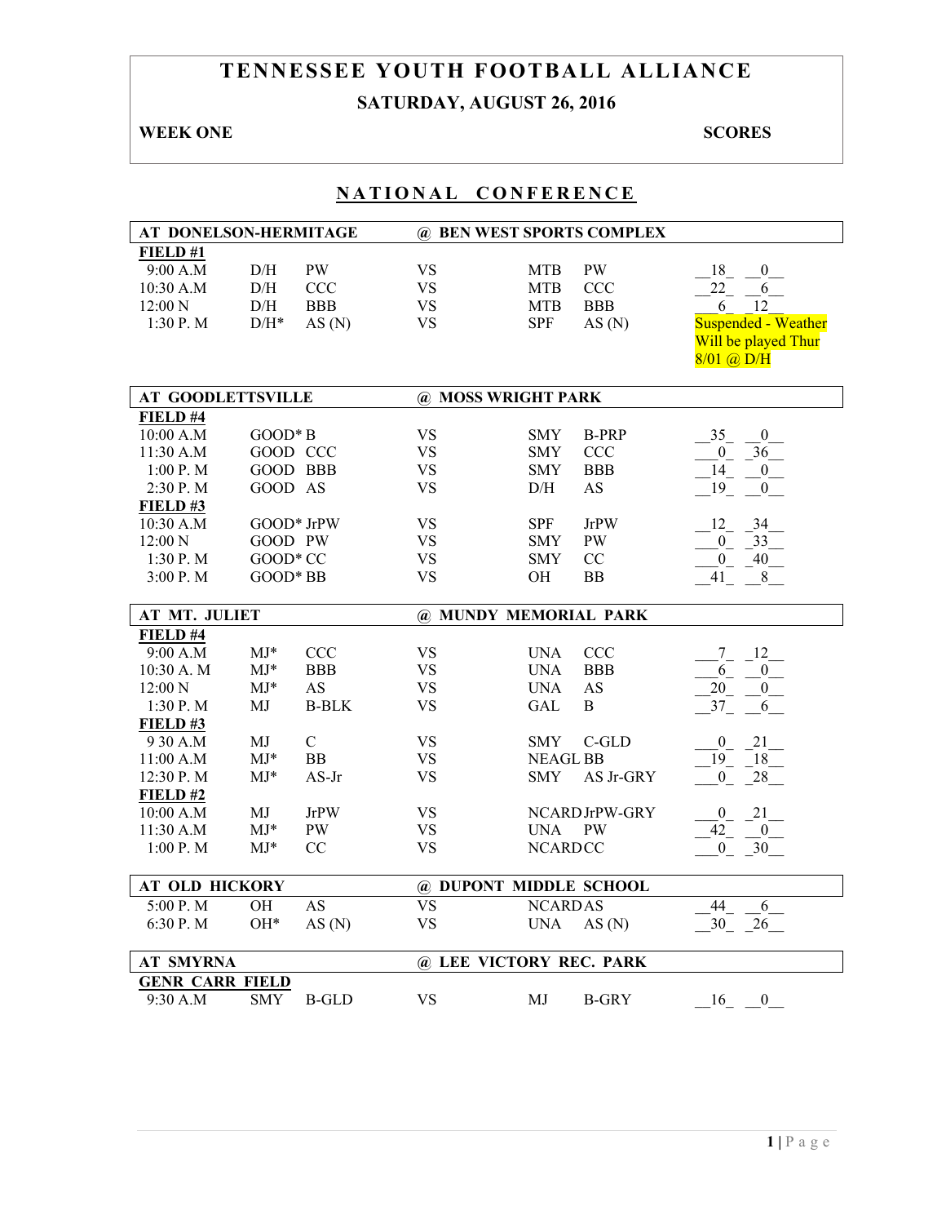# **TENNESSEE YOUTH FOOTBALL ALLIANCE SATURDAY, AUGUST 26, 2016**

## **WEEK ONE** SCORES

| AT DONELSON-HERMITAGE                      |                    |               | @ BEN WEST SPORTS COMPLEX |                 |                |                            |  |
|--------------------------------------------|--------------------|---------------|---------------------------|-----------------|----------------|----------------------------|--|
| FIELD#1                                    |                    |               |                           |                 |                |                            |  |
| 9:00 A.M                                   | D/H                | <b>PW</b>     | <b>VS</b>                 | <b>MTB</b>      | <b>PW</b>      | 18<br>$\boldsymbol{0}$     |  |
| 10:30 A.M                                  | D/H                | <b>CCC</b>    | <b>VS</b>                 | <b>MTB</b>      | <b>CCC</b>     | 22<br>6                    |  |
| 12:00 N                                    | $\rm{D/H}$         | <b>BBB</b>    | <b>VS</b>                 | <b>MTB</b>      | <b>BBB</b>     | 12<br>6                    |  |
| 1:30 P.M                                   | $\mathrm{D/H^{*}}$ | AS(N)         | <b>VS</b>                 | <b>SPF</b>      | AS(N)          | <b>Suspended - Weather</b> |  |
|                                            |                    |               |                           |                 |                | Will be played Thur        |  |
|                                            |                    |               |                           |                 |                | 8/01 @ D/H                 |  |
|                                            |                    |               |                           |                 |                |                            |  |
| <b>AT GOODLETTSVILLE</b>                   |                    |               | @ MOSS WRIGHT PARK        |                 |                |                            |  |
| FIELD #4                                   |                    |               |                           |                 |                |                            |  |
| 10:00 A.M                                  | $GOOD*B$           |               | <b>VS</b>                 | <b>SMY</b>      | <b>B-PRP</b>   | 35<br>$\boldsymbol{0}$     |  |
| 11:30 A.M                                  |                    | GOOD CCC      | <b>VS</b>                 | <b>SMY</b>      | <b>CCC</b>     | 36<br>$\overline{0}$       |  |
| 1:00 P.M                                   |                    | GOOD BBB      | <b>VS</b>                 | <b>SMY</b>      | <b>BBB</b>     | 14<br>$\overline{0}$       |  |
| 2:30 P.M                                   | GOOD AS            |               | <b>VS</b>                 | $\rm{D/H}$      | <b>AS</b>      | 19<br>$\boldsymbol{0}$     |  |
| FIELD#3                                    |                    |               |                           |                 |                |                            |  |
| 10:30 A.M                                  |                    | GOOD* JrPW    | <b>VS</b>                 | <b>SPF</b>      | <b>JrPW</b>    | 12<br>34                   |  |
| 12:00 N                                    | GOOD PW            |               | <b>VS</b>                 | <b>SMY</b>      | <b>PW</b>      | $0_{-}$<br>$-33$           |  |
| 1:30 P.M                                   | GOOD* CC           |               | <b>VS</b>                 | <b>SMY</b>      | CC             | 40<br>$\overline{0}$       |  |
| 3:00 P.M                                   | GOOD* BB           |               | <b>VS</b>                 | OН              | BB             | $\,8\,$<br>41              |  |
|                                            |                    |               |                           |                 |                |                            |  |
| AT MT. JULIET                              |                    |               | @ MUNDY MEMORIAL PARK     |                 |                |                            |  |
| FIELD #4                                   |                    |               |                           |                 |                |                            |  |
| 9:00 A.M                                   | $MJ*$              | <b>CCC</b>    | <b>VS</b>                 | <b>UNA</b>      | <b>CCC</b>     | 12<br>7                    |  |
| 10:30 A. M                                 | $MJ*$              | <b>BBB</b>    | <b>VS</b>                 | <b>UNA</b>      | <b>BBB</b>     | 6<br>$\mathbf{0}$          |  |
| $12:00\ N$                                 | $MJ^*$             | AS            | <b>VS</b>                 | <b>UNA</b>      | AS             | 20<br>$\mathbf{0}$         |  |
| 1:30 P.M                                   | MJ                 | <b>B-BLK</b>  | <b>VS</b>                 | GAL             | B              | 37<br>6                    |  |
| FIELD#3                                    |                    |               |                           |                 |                |                            |  |
| 9 30 A.M                                   | MJ                 | $\mathcal{C}$ | <b>VS</b>                 | <b>SMY</b>      | $C$ -GLD       | 21<br>$\overline{0}$       |  |
| 11:00 A.M                                  | $MJ*$              | BB            | <b>VS</b>                 | <b>NEAGL BB</b> |                | 19<br>18                   |  |
| 12:30 P.M                                  | $MJ*$              | $AS-Jr$       | <b>VS</b>                 | <b>SMY</b>      | AS Jr-GRY      | 28<br>$\overline{0}$       |  |
| $FIED$ #2                                  |                    |               |                           |                 |                |                            |  |
| 10:00 A.M                                  | МJ                 | <b>JrPW</b>   | <b>VS</b>                 |                 | NCARD JrPW-GRY | 21<br>$\overline{0}$       |  |
| 11:30 A.M                                  | $MJ*$              | <b>PW</b>     | <b>VS</b>                 | UNA             | <b>PW</b>      | 42<br>$\overline{0}$       |  |
| 1:00 P.M                                   | $MJ*$              | CC            | <b>VS</b>                 | <b>NCARDCC</b>  |                | 30<br>$\overline{0}$       |  |
|                                            |                    |               |                           |                 |                |                            |  |
| <b>AT OLD HICKORY</b>                      |                    |               | @ DUPONT MIDDLE SCHOOL    |                 |                |                            |  |
| 5:00 P.M                                   | OH                 | <b>AS</b>     | <b>VS</b>                 | <b>NCARDAS</b>  |                | 44<br>6                    |  |
| 6:30 P.M                                   | OH*                | AS(N)         | <b>VS</b>                 | <b>UNA</b>      | AS(N)          | 30<br>26                   |  |
|                                            |                    |               |                           |                 |                |                            |  |
|                                            |                    |               |                           |                 |                |                            |  |
| <b>AT SMYRNA</b><br><b>GENR CARR FIELD</b> |                    |               | @ LEE VICTORY REC. PARK   |                 |                |                            |  |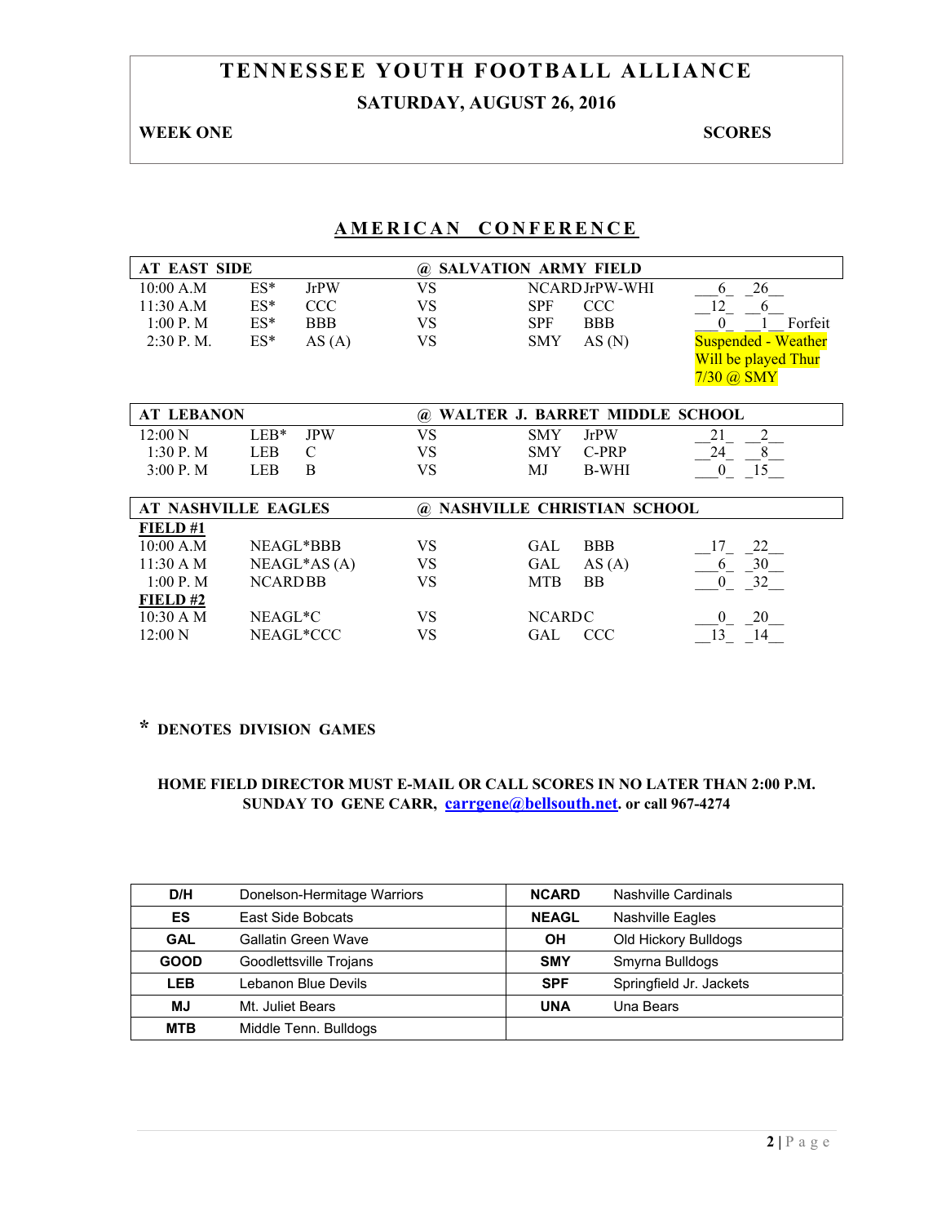# **TENNESSEE YOUTH FOOTBALL ALLIANCE SATURDAY, AUGUST 26, 2016**

#### **WEEK ONE** SCORES

# **AMERICAN CONFERENCE**

| <b>AT EAST SIDE</b> |        |            |    | @ SALVATION ARMY FIELD   |                                                                   |
|---------------------|--------|------------|----|--------------------------|-------------------------------------------------------------------|
| 10:00 A.M           | $ES^*$ | JrPW       | VS | NCARD JrPW-WHI           |                                                                   |
| 11:30 A.M           | $ES^*$ | CCC        | VS | <b>SPF</b><br>CCC        |                                                                   |
| 1:00 P. M           | ES*    | <b>BBB</b> | VS | <b>SPF</b><br><b>BBB</b> | Forfeit                                                           |
| $2:30$ P.M.         | $ES^*$ | AS(A)      | VS | <b>SMY</b><br>AS(N)      | <b>Suspended - Weather</b><br>Will be played Thur<br>$7/30$ @ SMY |

| <b>AT LEBANON</b> |      |            |     |            |             | @ WALTER J. BARRET MIDDLE SCHOOL |
|-------------------|------|------------|-----|------------|-------------|----------------------------------|
| 12:00 N           | LEB* | <b>IPW</b> | VS. | <b>SMY</b> | <b>JrPW</b> |                                  |
| 1:30 P.M          | LEB- |            | VS  |            | SMY C-PRP   |                                  |
| 3:00 P. M         | LEB  |            | VS  | МJ         | B-WHI       |                                  |

|                     | AT NASHVILLE EAGLES | @ NASHVILLE CHRISTIAN SCHOOL |                         |    |  |  |
|---------------------|---------------------|------------------------------|-------------------------|----|--|--|
| FIELD#1             |                     |                              |                         |    |  |  |
| 10:00 A.M           | NEAGL*BBB           | VS                           | <b>BBB</b><br>GAL       | 22 |  |  |
| $11:30 \text{ A M}$ | $NEAGL*AS(A)$       | VS                           | GAL<br>AS(A)            | 30 |  |  |
| 1:00 P. M           | <b>NCARDBB</b>      | VS                           | <b>BB</b><br><b>MTB</b> |    |  |  |
| FIELD#2             |                     |                              |                         |    |  |  |
| 10:30 A M           | NEAGL*C             | VS                           | <b>NCARDC</b>           | 20 |  |  |
| 12:00 N             | NEAGL*CCC           | VS                           | CCC.<br>GAI             |    |  |  |

## **\* DENOTES DIVISION GAMES**

| D/H         | Donelson-Hermitage Warriors | <b>NCARD</b> | Nashville Cardinals     |
|-------------|-----------------------------|--------------|-------------------------|
| ES          | East Side Bobcats           | <b>NEAGL</b> | Nashville Eagles        |
| <b>GAL</b>  | Gallatin Green Wave         | OH           | Old Hickory Bulldogs    |
| <b>GOOD</b> | Goodlettsville Trojans      | <b>SMY</b>   | Smyrna Bulldogs         |
| <b>LEB</b>  | Lebanon Blue Devils         | <b>SPF</b>   | Springfield Jr. Jackets |
| MJ          | Mt. Juliet Bears            | <b>UNA</b>   | Una Bears               |
| <b>MTB</b>  | Middle Tenn. Bulldogs       |              |                         |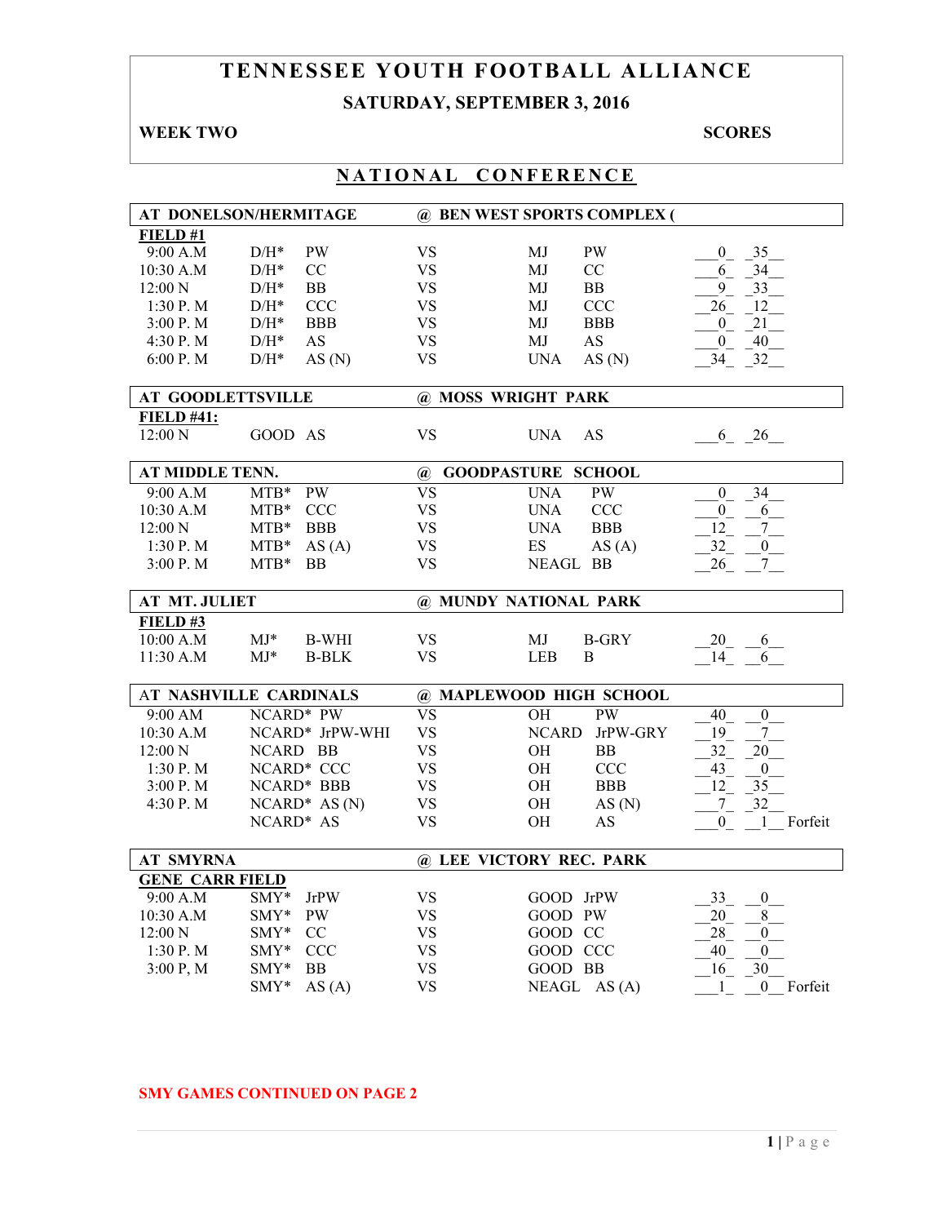# **TENNESSEE YOUTH FOOTBALL ALLIANCE SATURDAY, SEPTEMBER 3, 2016**

## **WEEK TWO SCORES**

| .<br>. .                 |                                    |                        |                             |                                              |  |  |
|--------------------------|------------------------------------|------------------------|-----------------------------|----------------------------------------------|--|--|
|                          | AT DONELSON/HERMITAGE              |                        | @ BEN WEST SPORTS COMPLEX ( |                                              |  |  |
| FIELD#1                  |                                    |                        |                             |                                              |  |  |
| 9:00 A.M                 | <b>PW</b><br>$D/H^*$               | <b>VS</b>              | PW<br>MJ                    | 35<br>$\theta$                               |  |  |
| 10:30 A.M                | CC<br>$D/H^*$                      | <b>VS</b>              | CC<br>MJ                    | 34<br>6                                      |  |  |
| 12:00 N                  | $D/H^*$<br><b>BB</b>               | <b>VS</b>              | MJ<br>BB                    | 9<br>33                                      |  |  |
| 1:30 P.M                 | $D/H^*$<br><b>CCC</b>              | <b>VS</b>              | <b>CCC</b><br>MJ            | 26<br>12                                     |  |  |
| 3:00 P.M                 | $D/H^*$<br><b>BBB</b>              | <b>VS</b>              | <b>BBB</b><br>MJ            | 21<br>$\overline{0}$                         |  |  |
|                          |                                    |                        |                             |                                              |  |  |
| 4:30 P.M                 | $D/H^*$<br><b>AS</b>               | <b>VS</b>              | MJ<br>AS                    | 40<br>$\overline{0}$                         |  |  |
| 6:00 P. M                | $D/H^*$<br>AS(N)                   | <b>VS</b>              | AS(N)<br><b>UNA</b>         | 34<br>$-32$                                  |  |  |
| <b>AT GOODLETTSVILLE</b> |                                    | @ MOSS WRIGHT PARK     |                             |                                              |  |  |
| <b>FIELD #41:</b>        |                                    |                        |                             |                                              |  |  |
| 12:00 N                  | GOOD AS                            | <b>VS</b>              | AS<br><b>UNA</b>            | 6 26                                         |  |  |
| AT MIDDLE TENN.          |                                    | $\omega$               | <b>GOODPASTURE SCHOOL</b>   |                                              |  |  |
| 9:00 A.M                 | <b>PW</b><br>$MTB*$                | <b>VS</b>              | <b>UNA</b><br><b>PW</b>     | 34<br>$\mathbf{0}$                           |  |  |
| 10:30 A.M                | $MTB*$<br><b>CCC</b>               | <b>VS</b>              | <b>CCC</b><br><b>UNA</b>    | $\overline{0}$<br>6                          |  |  |
| 12:00 N                  | $MTB*$<br><b>BBB</b>               | <b>VS</b>              | <b>BBB</b><br><b>UNA</b>    | 12<br>$7\overline{ }$                        |  |  |
| 1:30 P.M                 | $MTB*$<br>AS(A)                    | <b>VS</b>              | ES<br>AS(A)                 | 32<br>$\mathbf{0}$                           |  |  |
| 3:00 P.M                 | $MTB*$<br><b>BB</b>                | <b>VS</b>              | NEAGL BB                    | 26<br>7 <sup>7</sup>                         |  |  |
|                          |                                    |                        |                             |                                              |  |  |
|                          |                                    |                        |                             |                                              |  |  |
| <b>AT MT. JULIET</b>     |                                    |                        | @ MUNDY NATIONAL PARK       |                                              |  |  |
| FIELD#3                  |                                    |                        |                             |                                              |  |  |
| 10:00 A.M                | $MJ*$<br><b>B-WHI</b>              | <b>VS</b>              | MJ<br><b>B-GRY</b>          | $20 \t -6$                                   |  |  |
| 11:30 A.M                | $MJ*$<br><b>B-BLK</b>              | <b>VS</b>              | LEB<br>B                    | 14<br>6                                      |  |  |
|                          |                                    |                        |                             |                                              |  |  |
|                          | <b>AT NASHVILLE CARDINALS</b>      |                        | @ MAPLEWOOD HIGH SCHOOL     |                                              |  |  |
| 9:00 AM                  | NCARD* PW                          | <b>VS</b>              | <b>PW</b><br>OH             | $\boldsymbol{0}$<br>40                       |  |  |
| 10:30 A.M                | NCARD* JrPW-WHI                    | <b>VS</b>              | <b>NCARD</b><br>JrPW-GRY    | 19<br>$\tau$                                 |  |  |
| 12:00 N                  | NCARD BB                           | <b>VS</b>              | <b>OH</b><br><b>BB</b>      | 32<br>20                                     |  |  |
| 1:30P. M                 | NCARD* CCC                         | <b>VS</b>              | OH<br><b>CCC</b>            | 43<br>$\theta$                               |  |  |
| 3:00 P.M                 |                                    |                        | OH<br><b>BBB</b>            |                                              |  |  |
|                          | NCARD* BBB                         | <b>VS</b>              |                             | 12<br>35                                     |  |  |
| 4:30 P.M                 | $NCARD^* AS(N)$                    | <b>VS</b>              | OH<br>AS(N)                 | 32<br>$7_{-}$                                |  |  |
|                          | NCARD* AS                          | <b>VS</b>              | OH<br>AS                    | 1 Forfeit<br>$\overline{0}$                  |  |  |
| <b>AT SMYRNA</b>         |                                    |                        | @ LEE VICTORY REC. PARK     |                                              |  |  |
|                          |                                    |                        |                             |                                              |  |  |
| <b>GENE CARR FIELD</b>   |                                    |                        |                             |                                              |  |  |
| 9:00 A.M                 | SMY*<br><b>JrPW</b>                | VS                     | GOOD JrPW                   | 33<br>$\boldsymbol{0}$                       |  |  |
| 10:30 A.M                | SMY*<br>PW                         | VS                     | GOOD PW                     | 20<br>8                                      |  |  |
| 12:00 N                  | SMY*<br>CC                         | <b>VS</b>              | GOOD CC                     | $28\,$<br>$\boldsymbol{0}$                   |  |  |
| 1:30 P.M                 | SMY*<br><b>CCC</b>                 | <b>VS</b>              | GOOD CCC                    | 40<br>$\boldsymbol{0}$                       |  |  |
| 3:00 P, M                | SMY*<br><b>BB</b><br>SMY*<br>AS(A) | <b>VS</b><br><b>VS</b> | GOOD BB<br>NEAGL AS (A)     | 30<br>16<br>Forfeit<br>1<br>$\boldsymbol{0}$ |  |  |

# **NATIONAL CONFERENCE**

#### **SMY GAMES CONTINUED ON PAGE 2**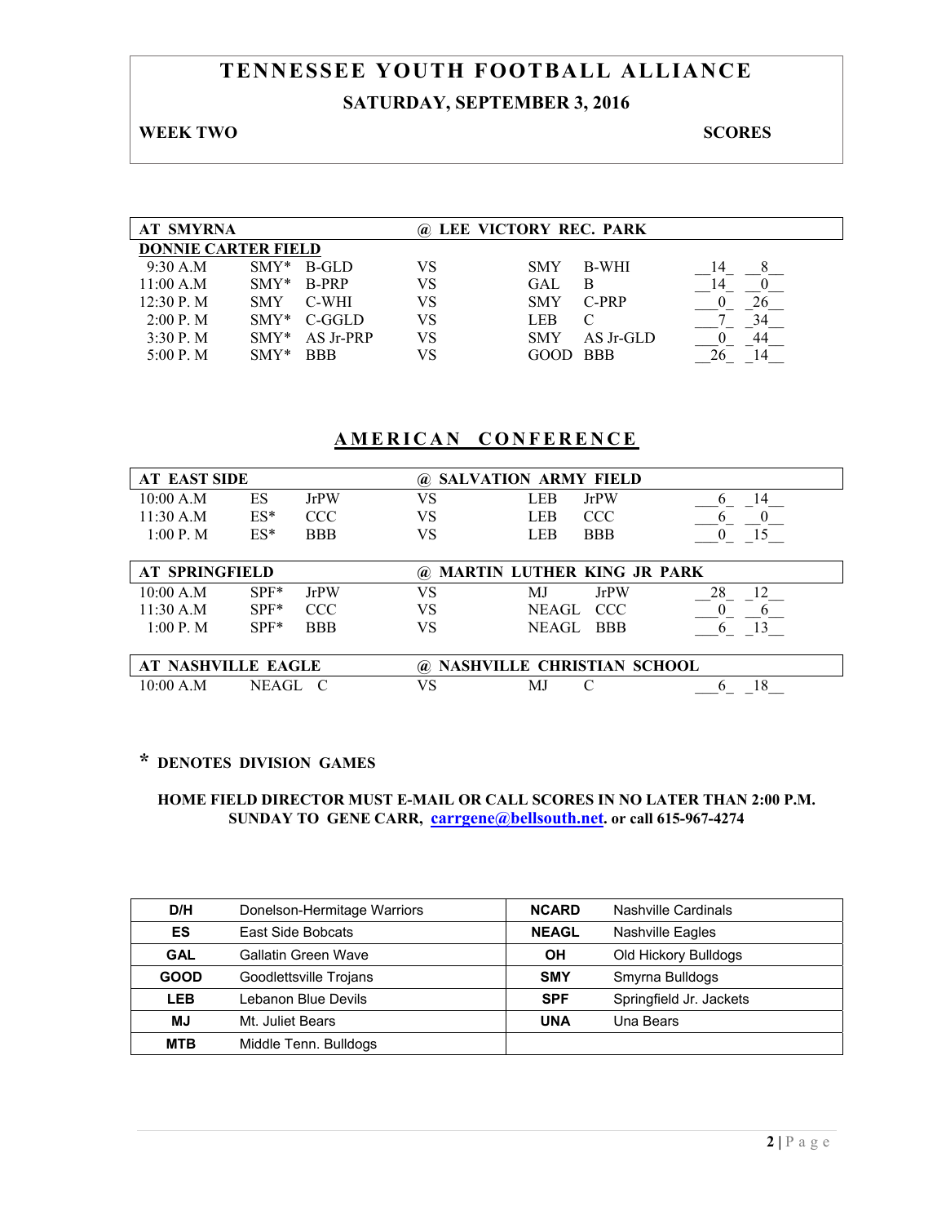# **TENNESSEE YOUTH FOOTBALL ALLIANCE SATURDAY, SEPTEMBER 3, 2016**

#### **WEEK TWO SCORES**

| <b>AT SMYRNA</b>           |            |            | (a) | LEE VICTORY REC. PARK |            |    |
|----------------------------|------------|------------|-----|-----------------------|------------|----|
| <b>DONNIE CARTER FIELD</b> |            |            |     |                       |            |    |
| 9:30 A.M                   | $SMY*$     | B-GLD      | VS  | <b>SMY</b>            | B-WHI      | 14 |
| 11:00 A.M                  | $SMY*$     | B-PRP      | VS  | GAL                   | B          |    |
| 12:30 P. M                 | <b>SMY</b> | C-WHI      | VS  | <b>SMY</b>            | C-PRP      |    |
| 2:00 P. M                  | $SMY*$     | C-GGLD     | VS  | LEB                   | C          |    |
| $3:30P$ . M                | $SMY*$     | AS Jr-PRP  | VS  | <b>SMY</b>            | AS Jr-GLD  | 44 |
| 5:00 P. M                  | $SMY*$     | <b>BBB</b> | VS  | GOOD                  | <b>BBB</b> |    |

## **AMERICAN CONFERENCE**

| <b>AT EAST SIDE</b>       | <b>SALVATION ARMY FIELD</b><br>$\omega$ |             |          |                                   |             |          |
|---------------------------|-----------------------------------------|-------------|----------|-----------------------------------|-------------|----------|
| 10:00 A.M                 | ES                                      | <b>JrPW</b> | VS       | LEB                               | <b>JrPW</b> | 14       |
| 11:30 A.M                 | $ES^*$                                  | <b>CCC</b>  | VS       | LEB                               | <b>CCC</b>  | O        |
| 1:00 P. M                 | $ES^*$                                  | <b>BBB</b>  | VS       | LEB                               | <b>BBB</b>  | 15       |
|                           |                                         |             |          |                                   |             |          |
| <b>AT SPRINGFIELD</b>     |                                         |             | $\omega$ | <b>MARTIN LUTHER KING JR PARK</b> |             |          |
| 10:00 A.M                 | $SPF*$                                  | <b>JrPW</b> | VS       | M.J                               | <b>JrPW</b> | 28<br>12 |
| 11:30 A.M                 | $SPF*$                                  | CCC.        | VS       | NEAGL                             | <b>CCC</b>  |          |
| 1:00 P. M                 | $SPF*$                                  | <b>BBB</b>  | VS       | NEAGL.                            | <b>BBB</b>  |          |
|                           |                                         |             |          |                                   |             |          |
| <b>AT NASHVILLE EAGLE</b> |                                         |             | $\omega$ | NASHVILLE CHRISTIAN SCHOOL        |             |          |
| 10:00 A.M                 | NEAGL                                   | - C         | VS       | M.                                | C           | 18       |

## **\* DENOTES DIVISION GAMES**

| D/H         | Donelson-Hermitage Warriors | <b>NCARD</b> | Nashville Cardinals     |
|-------------|-----------------------------|--------------|-------------------------|
| ES          | East Side Bobcats           | <b>NEAGL</b> | Nashville Eagles        |
| <b>GAL</b>  | Gallatin Green Wave         | OH           | Old Hickory Bulldogs    |
| <b>GOOD</b> | Goodlettsville Trojans      | <b>SMY</b>   | Smyrna Bulldogs         |
| LEB         | Lebanon Blue Devils         | <b>SPF</b>   | Springfield Jr. Jackets |
| <b>MJ</b>   | Mt. Juliet Bears            | <b>UNA</b>   | Una Bears               |
| <b>MTB</b>  | Middle Tenn. Bulldogs       |              |                         |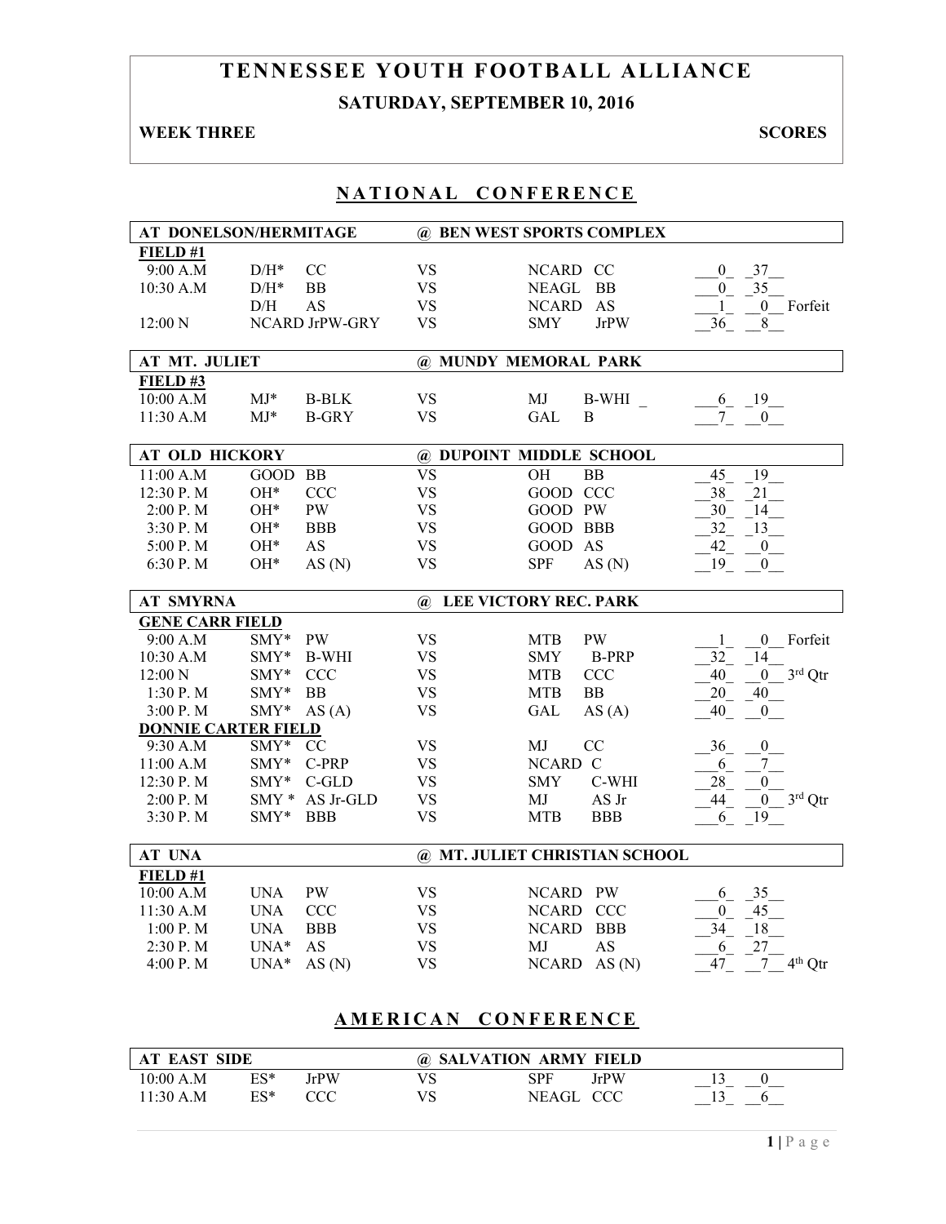# **TENNESSEE YOUTH FOOTBALL ALLIANCE SATURDAY, SEPTEMBER 10, 2016**

## **WEEK THREE** SCORES

## **NATIONAL CONFERENCE**

| AT DONELSON/HERMITAGE      |                    |                |              | @ BEN WEST SPORTS COMPLEX     |                                    |
|----------------------------|--------------------|----------------|--------------|-------------------------------|------------------------------------|
| FIELD#1                    |                    |                |              |                               |                                    |
| 9:00 A.M                   | $\mathrm{D/H^{*}}$ | CC             | <b>VS</b>    | NCARD CC                      | 37<br>$\mathbf{0}$                 |
| 10:30 A.M                  | $\mathrm{D/H^{*}}$ | BB             | <b>VS</b>    | <b>NEAGL</b><br><b>BB</b>     | 35<br>$\overline{0}$               |
|                            | $\rm{D/H}$         | <b>AS</b>      | <b>VS</b>    | AS<br>NCARD                   | 0 Forfeit<br>$\mathbf{1}$          |
| 12:00 N                    |                    | NCARD JrPW-GRY | <b>VS</b>    | <b>SMY</b><br><b>JrPW</b>     | 8<br>36                            |
|                            |                    |                |              |                               |                                    |
| AT MT. JULIET              |                    |                |              | @ MUNDY MEMORAL PARK          |                                    |
| FIELD#3                    |                    |                |              |                               |                                    |
| 10:00 A.M                  | $MJ*$              | <b>B-BLK</b>   | <b>VS</b>    | MJ<br><b>B-WHI</b>            | 19<br>$6_{-}$                      |
| 11:30 A.M                  | $MJ*$              | <b>B-GRY</b>   | <b>VS</b>    | <b>GAL</b><br>B               | 7 <sup>7</sup><br>$\overline{0}$   |
|                            |                    |                |              |                               |                                    |
| <b>AT OLD HICKORY</b>      |                    |                |              | @ DUPOINT MIDDLE SCHOOL       |                                    |
| 11:00 A.M                  | GOOD BB            |                | <b>VS</b>    | <b>BB</b><br>OH               | 19<br>45                           |
| 12:30 P.M                  | OH*                | <b>CCC</b>     | <b>VS</b>    | GOOD CCC                      | 38<br>21                           |
| 2:00 P.M                   | OH*                | <b>PW</b>      | <b>VS</b>    | GOOD PW                       | 30<br>14                           |
| 3:30 P.M                   | OH*                | <b>BBB</b>     | <b>VS</b>    | GOOD BBB                      | 32<br>13                           |
| 5:00 P.M                   | OH*                | AS             | <b>VS</b>    | GOOD AS                       | 42<br>$\boldsymbol{0}$             |
| 6:30 P.M                   | OH*                | AS(N)          | <b>VS</b>    | <b>SPF</b><br>AS(N)           | 19<br>$\overline{0}$               |
|                            |                    |                |              |                               |                                    |
| <b>AT SMYRNA</b>           |                    |                | $\mathbf{a}$ | <b>LEE VICTORY REC. PARK</b>  |                                    |
| <b>GENE CARR FIELD</b>     |                    |                |              |                               |                                    |
| 9:00 A.M                   | SMY*               | <b>PW</b>      | <b>VS</b>    | <b>MTB</b><br>PW              | $\mathbf{0}$<br>Forfeit<br>1       |
| 10:30 A.M                  | SMY*               | <b>B-WHI</b>   | <b>VS</b>    | <b>B-PRP</b><br><b>SMY</b>    | 32<br>14                           |
| 12:00 N                    | SMY*               | <b>CCC</b>     | <b>VS</b>    | <b>CCC</b><br><b>MTB</b>      | $3rd$ Qtr<br>40<br>$\mathbf{0}$    |
| 1:30 P.M                   | $\mathrm{SMY}^*$   | <b>BB</b>      | <b>VS</b>    | <b>MTB</b><br><b>BB</b>       | 20<br>40                           |
| 3:00 P.M                   | SMY*               | AS(A)          | <b>VS</b>    | <b>GAL</b><br>AS(A)           | 40<br>$\boldsymbol{0}$             |
| <b>DONNIE CARTER FIELD</b> |                    |                |              |                               |                                    |
| 9:30 A.M                   | $SMY*$             | <sub>CC</sub>  | <b>VS</b>    | MJ<br>CC                      | $\theta$<br>36                     |
| 11:00 A.M                  | SMY*               | C-PRP          | <b>VS</b>    | NCARD C                       | $7\phantom{.0}$<br>6               |
| 12:30 P.M                  | $SMY*$             | C-GLD          | <b>VS</b>    | C-WHI<br><b>SMY</b>           | 28<br>$\boldsymbol{0}$             |
| 2:00 P.M                   | $SMY*$             | AS Jr-GLD      | <b>VS</b>    | AS Jr<br>MJ                   | $3^{\rm rd}$ Qtr<br>44<br>$\bf{0}$ |
| 3:30 P.M                   | $\text{SMY*}$      | <b>BBB</b>     | <b>VS</b>    | <b>MTB</b><br><b>BBB</b>      | 19<br>6                            |
|                            |                    |                |              |                               |                                    |
| AT UNA                     |                    |                |              | @ MT. JULIET CHRISTIAN SCHOOL |                                    |
| FIELD #1                   |                    |                |              |                               |                                    |
| 10:00 A.M                  | <b>UNA</b>         | <b>PW</b>      | <b>VS</b>    | NCARD PW                      | 35<br>6                            |
| 11:30 A.M                  | <b>UNA</b>         | <b>CCC</b>     | <b>VS</b>    | NCARD CCC                     | 45<br>$\overline{0}$               |
| 1:00 P.M                   | <b>UNA</b>         | <b>BBB</b>     | <b>VS</b>    | <b>NCARD</b><br><b>BBB</b>    | 34<br>18                           |
| 2:30 P.M                   | $UNA*$             | AS             | <b>VS</b>    | AS<br>MJ                      | 27<br>6                            |
| 4:00 P.M                   | $UNA*$             | AS(N)          | <b>VS</b>    | NCARD AS (N)                  | $4th$ Qtr<br>47<br>7               |

# **AMERICAN CONFERENCE**

| <b>AT EAST SIDE</b> |     |      | @ SALVATION ARMY FIELD |      |  |  |
|---------------------|-----|------|------------------------|------|--|--|
| 10:00 A.M           | ES* | JrPW | SPF                    | JrPW |  |  |
| 11:30 A.M           | ES* | CCC  | NEAGL CCC              |      |  |  |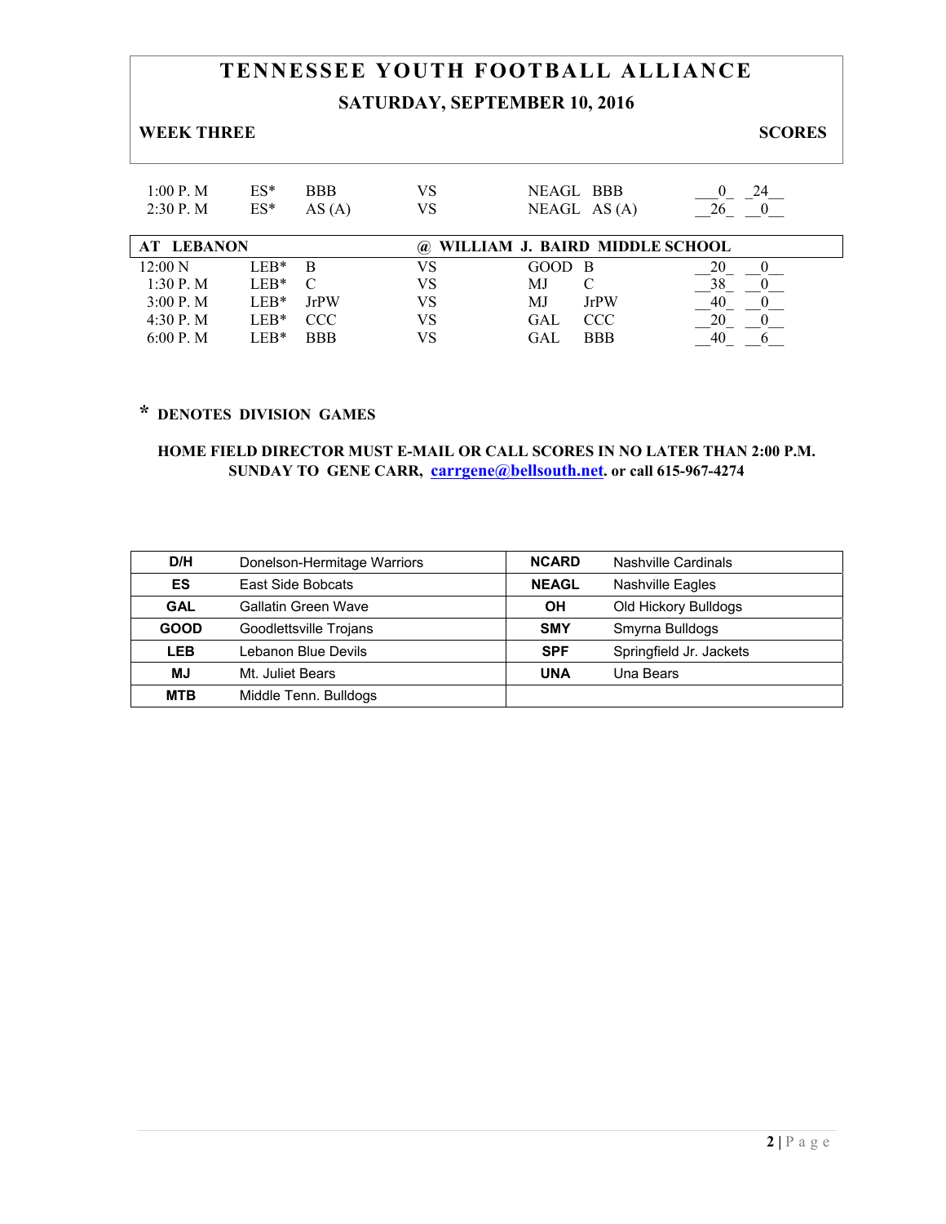# **TENNESSEE YOUTH FOOTBALL ALLIANCE SATURDAY, SEPTEMBER 10, 2016**

#### **WEEK THREE** SCORES

| $ES^*$<br>NEAGL BBB<br>1.00 P M<br>VS<br><b>BBB</b><br>24<br>$2:30$ P. M<br>VS<br>$ES^*$<br>NEAGL AS $(A)$<br>26<br>AS(A) | <b>AT LEBANON</b> |  | @ WILLIAM J. BAIRD MIDDLE SCHOOL |  |
|---------------------------------------------------------------------------------------------------------------------------|-------------------|--|----------------------------------|--|
|                                                                                                                           |                   |  |                                  |  |

| <b>AT LEBANON</b> |        |             | ( <b>a</b> ). |        |            | WILLIAM J. BAIRD MIDDLE SCHOOL |
|-------------------|--------|-------------|---------------|--------|------------|--------------------------------|
| 12:00 N           | $LEB*$ |             |               | GOOD B |            | 20                             |
| 1:30 P. M         | $LEB*$ |             |               | МJ     |            |                                |
| 3:00 P. M         | $LEB*$ | <b>JrPW</b> | VS            | MJ     | JrPW       | 40                             |
| 4:30 P.M          | $LEB*$ | <b>CCC</b>  | VS            | GAI    | CCC        |                                |
| 6:00 P. M         | LER*   | <b>BBB</b>  | VS            | GAI    | <b>BBB</b> | 40                             |

# **\* DENOTES DIVISION GAMES**

| D/H         | Donelson-Hermitage Warriors | <b>NCARD</b> | Nashville Cardinals     |
|-------------|-----------------------------|--------------|-------------------------|
| ES          | East Side Bobcats           | <b>NEAGL</b> | <b>Nashville Eagles</b> |
| <b>GAL</b>  | Gallatin Green Wave         | OH           | Old Hickory Bulldogs    |
| <b>GOOD</b> | Goodlettsville Trojans      | <b>SMY</b>   | Smyrna Bulldogs         |
| <b>LEB</b>  | Lebanon Blue Devils         | <b>SPF</b>   | Springfield Jr. Jackets |
| MJ          | Mt. Juliet Bears            | <b>UNA</b>   | Una Bears               |
| <b>MTB</b>  | Middle Tenn. Bulldogs       |              |                         |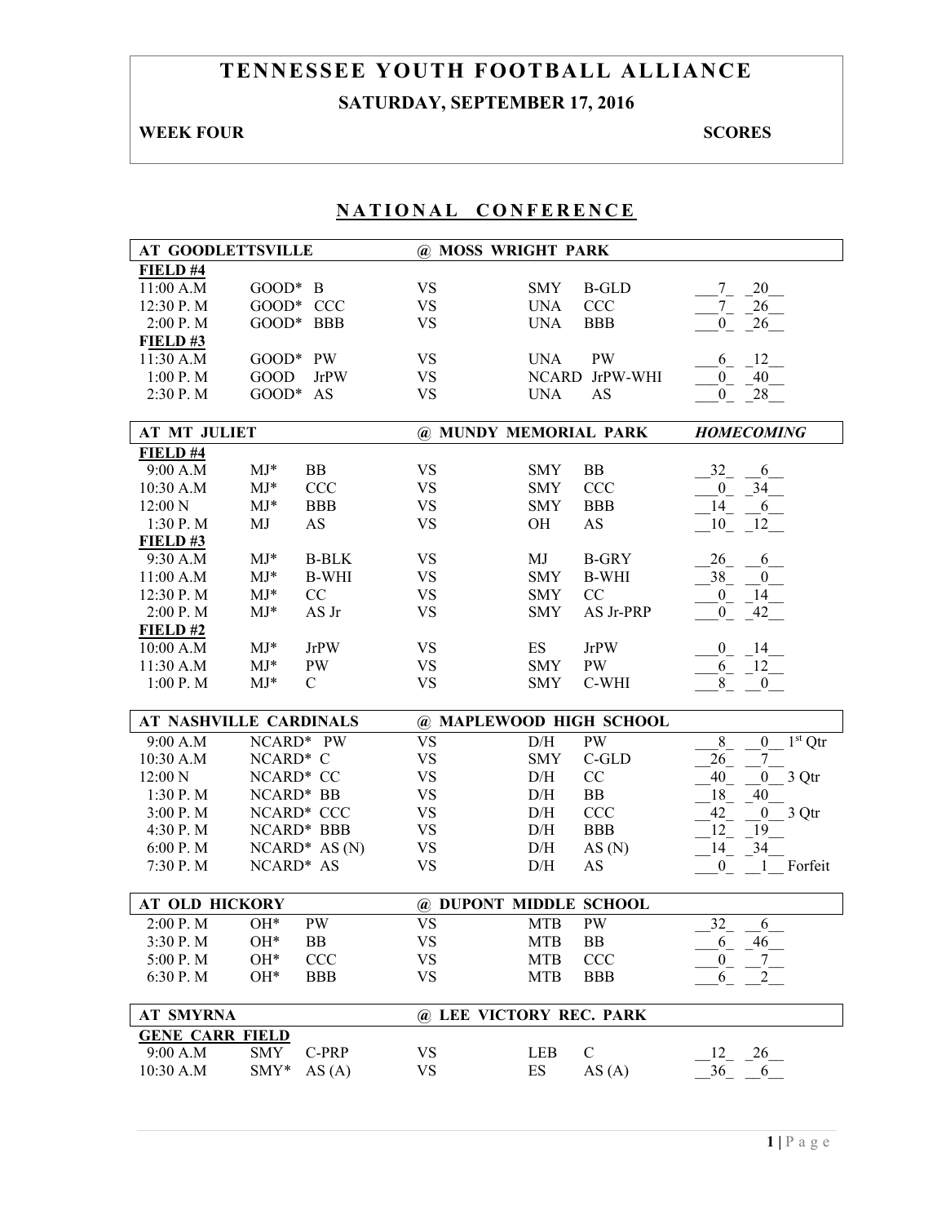# **TENNESSEE YOUTH FOOTBALL ALLIANCE SATURDAY, SEPTEMBER 17, 2016**

# **WEEK FOUR SCORES**

| <b>AT GOODLETTSVILLE</b> |                               | @ MOSS WRIGHT PARK |                            |                                        |  |
|--------------------------|-------------------------------|--------------------|----------------------------|----------------------------------------|--|
| FIELD #4                 |                               |                    |                            |                                        |  |
| 11:00 A.M                | $GOOD* B$                     | <b>VS</b>          | <b>B-GLD</b><br><b>SMY</b> | 20<br>7                                |  |
| 12:30 P.M                | GOOD* CCC                     | <b>VS</b>          | <b>CCC</b><br><b>UNA</b>   | 26<br>$7\overline{)}$                  |  |
| 2:00 P.M                 | GOOD* BBB                     | <b>VS</b>          | <b>BBB</b><br><b>UNA</b>   | 26<br>$\mathbf{0}$                     |  |
| FIELD#3                  |                               |                    |                            |                                        |  |
| 11:30 A.M                | GOOD* PW                      | <b>VS</b>          | PW<br><b>UNA</b>           | 12<br>6                                |  |
| $1:00$ P. M              | <b>GOOD</b><br><b>JrPW</b>    | <b>VS</b>          | NCARD JrPW-WHI             | 40<br>$\boldsymbol{0}$                 |  |
| 2:30 P.M                 | $GOOD^*$<br>AS                | <b>VS</b>          | <b>UNA</b><br><b>AS</b>    | 28<br>$\overline{0}$                   |  |
| <b>AT MT JULIET</b>      |                               |                    | @ MUNDY MEMORIAL PARK      | <b>HOMECOMING</b>                      |  |
| FIELD #4                 |                               |                    |                            |                                        |  |
| 9:00 A.M                 | $MJ*$<br>BB                   | <b>VS</b>          | BB<br><b>SMY</b>           | 32<br>6                                |  |
| 10:30 A.M                | $\mathrm{MJ}^*$<br><b>CCC</b> | <b>VS</b>          | <b>SMY</b><br><b>CCC</b>   | 34<br>$\boldsymbol{0}$                 |  |
| 12:00 N                  | $MJ*$<br><b>BBB</b>           | <b>VS</b>          | <b>SMY</b><br><b>BBB</b>   | 14<br>6                                |  |
| 1:30 P.M                 | MJ<br><b>AS</b>               | <b>VS</b>          | OH<br><b>AS</b>            | 10<br>12                               |  |
| FIELD#3                  |                               |                    |                            |                                        |  |
| 9:30 A.M                 | $MJ*$<br><b>B-BLK</b>         | <b>VS</b>          | <b>B-GRY</b><br>МJ         | 26<br>6                                |  |
| 11:00 A.M                | $MJ*$<br><b>B-WHI</b>         | <b>VS</b>          | <b>SMY</b><br><b>B-WHI</b> | 38<br>$\overline{0}$                   |  |
| 12:30 P.M                | $MJ*$<br>CC                   | <b>VS</b>          | CC<br><b>SMY</b>           | $\overline{0}$<br>14                   |  |
| 2:00 P.M                 | $MJ*$<br>AS Jr                | <b>VS</b>          | AS Jr-PRP<br><b>SMY</b>    | $\overline{0}$<br>42                   |  |
| $FIED$ #2                |                               |                    |                            |                                        |  |
| 10:00 A.M                | $MJ*$<br><b>JrPW</b>          | <b>VS</b>          | ES<br><b>JrPW</b>          | -14<br>$\mathbf{0}$                    |  |
| 11:30 A.M                | $MJ*$<br>PW                   | <b>VS</b>          | <b>PW</b><br><b>SMY</b>    | $6-$<br>$-12$                          |  |
| 1:00 P.M                 | $MJ*$<br>$\mathsf{C}$         | <b>VS</b>          | C-WHI<br><b>SMY</b>        | 8<br>$\overline{0}$                    |  |
|                          | <b>AT NASHVILLE CARDINALS</b> |                    | @ MAPLEWOOD HIGH SCHOOL    |                                        |  |
| 9:00 A.M                 | NCARD* PW                     | $V\overline{S}$    | <b>PW</b><br>D/H           | $1st$ Qtr<br>$8\,$<br>$\boldsymbol{0}$ |  |
| 10:30 A.M                | NCARD* C                      | <b>VS</b>          | <b>SMY</b><br>$C$ -GLD     | 26<br>$\tau$                           |  |
| 12:00 N                  | NCARD* CC                     | <b>VS</b>          | CC<br>D/H                  | 40<br>3 Qtr<br>$\overline{0}$          |  |
| 1:30 P.M                 | NCARD* BB                     | <b>VS</b>          | D/H<br>BB                  | 18<br>40                               |  |
| 3:00 P.M                 | NCARD* CCC                    | <b>VS</b>          | D/H<br><b>CCC</b>          | 42<br>3 Qtr<br>$\overline{0}$          |  |
| 4:30 P.M                 | NCARD* BBB                    | <b>VS</b>          | <b>BBB</b><br>D/H          | 12<br>19                               |  |
| 6:00 P.M                 | $NCARD^* AS(N)$               | <b>VS</b>          | AS(N)<br>D/H               | 34<br>14                               |  |
| 7:30 P.M                 | NCARD* AS                     | <b>VS</b>          | D/H<br>AS                  | $\boldsymbol{0}$<br>1 Forfeit          |  |
|                          |                               |                    |                            |                                        |  |
| <b>AT OLD HICKORY</b>    |                               |                    | @ DUPONT MIDDLE SCHOOL     |                                        |  |
| 2:00 P.M                 | OH*<br><b>PW</b>              | <b>VS</b>          | <b>PW</b><br><b>MTB</b>    | 32<br>6                                |  |
| 3:30 P.M                 | $OH*$<br>BB                   | <b>VS</b>          | BB<br><b>MTB</b>           | 46<br>6                                |  |
| 5:00 P.M                 | OH*<br>CCC                    | <b>VS</b>          | <b>MTB</b><br><b>CCC</b>   | $\boldsymbol{0}$                       |  |
| 6:30 P.M                 | $OH*$<br><b>BBB</b>           | <b>VS</b>          | <b>MTB</b><br><b>BBB</b>   | 6<br>2                                 |  |
| <b>AT SMYRNA</b>         |                               |                    | @ LEE VICTORY REC. PARK    |                                        |  |
| <b>GENE CARR FIELD</b>   |                               |                    |                            |                                        |  |
| 9:00 A.M                 | SMY<br>C-PRP                  | <b>VS</b>          | $\mathcal{C}$<br>LEB       | 26<br>12                               |  |
| 10:30 A.M                | SMY*<br>AS(A)                 | <b>VS</b>          | ES<br>AS(A)                | 36<br>6                                |  |
|                          |                               |                    |                            |                                        |  |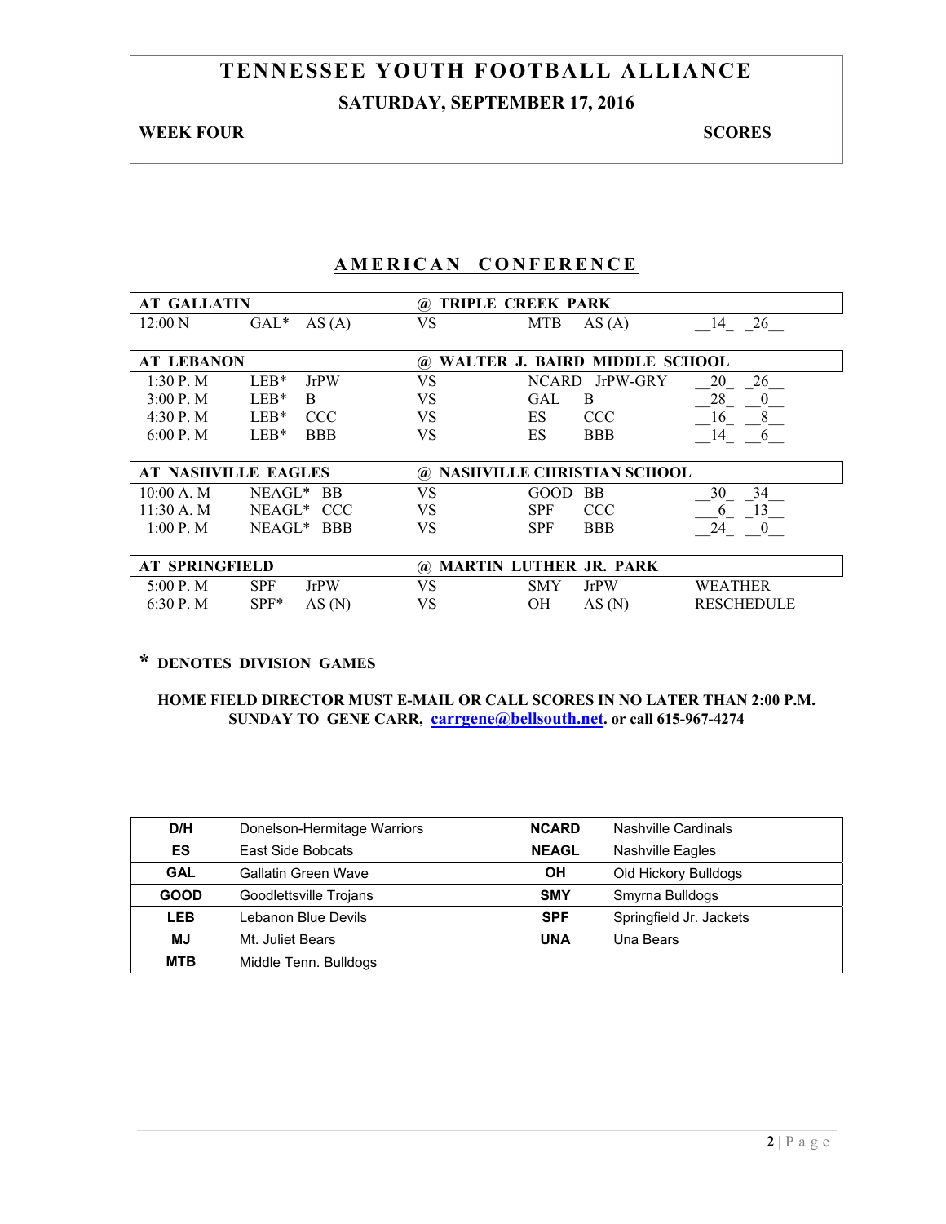# **TENNESSEE YOUTH FOOTBALL ALLIANCE SATURDAY, SEPTEMBER 17, 2016**

#### **WEEK FOUR SCORES**

## **AMERICAN CONFERENCE**

| <b>AT GALLATIN</b>    |                            | $\omega$  | <b>TRIPLE CREEK PARK</b>          |                      |
|-----------------------|----------------------------|-----------|-----------------------------------|----------------------|
| 12:00 N               | $GAL*$<br>AS(A)            | VS        | <b>MTB</b><br>AS(A)               | 14<br>26             |
|                       |                            |           |                                   |                      |
| <b>AT LEBANON</b>     |                            | (a)       | WALTER J. BAIRD MIDDLE SCHOOL     |                      |
| 1:30P M               | $LEB*$<br><b>JrPW</b>      | <b>VS</b> | JrPW-GRY<br><b>NCARD</b>          | 26<br>20             |
| 3:00 P. M             | $LEB*$<br>B.               | VS        | GAL<br>B                          | 28<br>$\theta$       |
| 4:30 P.M              | <b>CCC</b><br>$LEB*$       | VS        | ES<br><b>CCC</b>                  | 16<br>8              |
| 6:00 P. M             | $LEB*$<br><b>BBB</b>       | VS        | ES<br><b>BBB</b>                  | 14<br>6              |
|                       |                            |           |                                   |                      |
|                       | <b>AT NASHVILLE EAGLES</b> | (a)       | <b>NASHVILLE CHRISTIAN SCHOOL</b> |                      |
| 10:00 A. M            | NEAGL*<br><b>BB</b>        | VS        | BB<br>GOOD                        | 30<br>34             |
| 11:30 A. M            | NEAGL* CCC                 | VS        | <b>SPF</b><br><b>CCC</b>          | 13<br>6              |
| 1:00 P. M             | NEAGL <sup>*</sup> BBB     | VS        | <b>SPF</b><br><b>BBB</b>          | 24<br>$\overline{0}$ |
|                       |                            |           |                                   |                      |
| <b>AT SPRINGFIELD</b> |                            | (a)       | <b>MARTIN LUTHER JR. PARK</b>     |                      |
| 5:00 P. M.            | <b>SPF</b><br><b>JrPW</b>  | <b>VS</b> | <b>SMY</b><br><b>JrPW</b>         | <b>WEATHER</b>       |
| $6:30P$ . M           | $SPF*$<br>AS(N)            | VS        | OН<br>AS(N)                       | <b>RESCHEDULE</b>    |

# **\* DENOTES DIVISION GAMES**

| D/H         | Donelson-Hermitage Warriors | <b>NCARD</b> | Nashville Cardinals     |
|-------------|-----------------------------|--------------|-------------------------|
| ES          | East Side Bobcats           | <b>NEAGL</b> | <b>Nashville Eagles</b> |
| <b>GAL</b>  | <b>Gallatin Green Wave</b>  | OH           | Old Hickory Bulldogs    |
| <b>GOOD</b> | Goodlettsville Trojans      | <b>SMY</b>   | Smyrna Bulldogs         |
| <b>LEB</b>  | Lebanon Blue Devils         | <b>SPF</b>   | Springfield Jr. Jackets |
| <b>MJ</b>   | Mt. Juliet Bears            | <b>UNA</b>   | Una Bears               |
| <b>MTB</b>  | Middle Tenn. Bulldogs       |              |                         |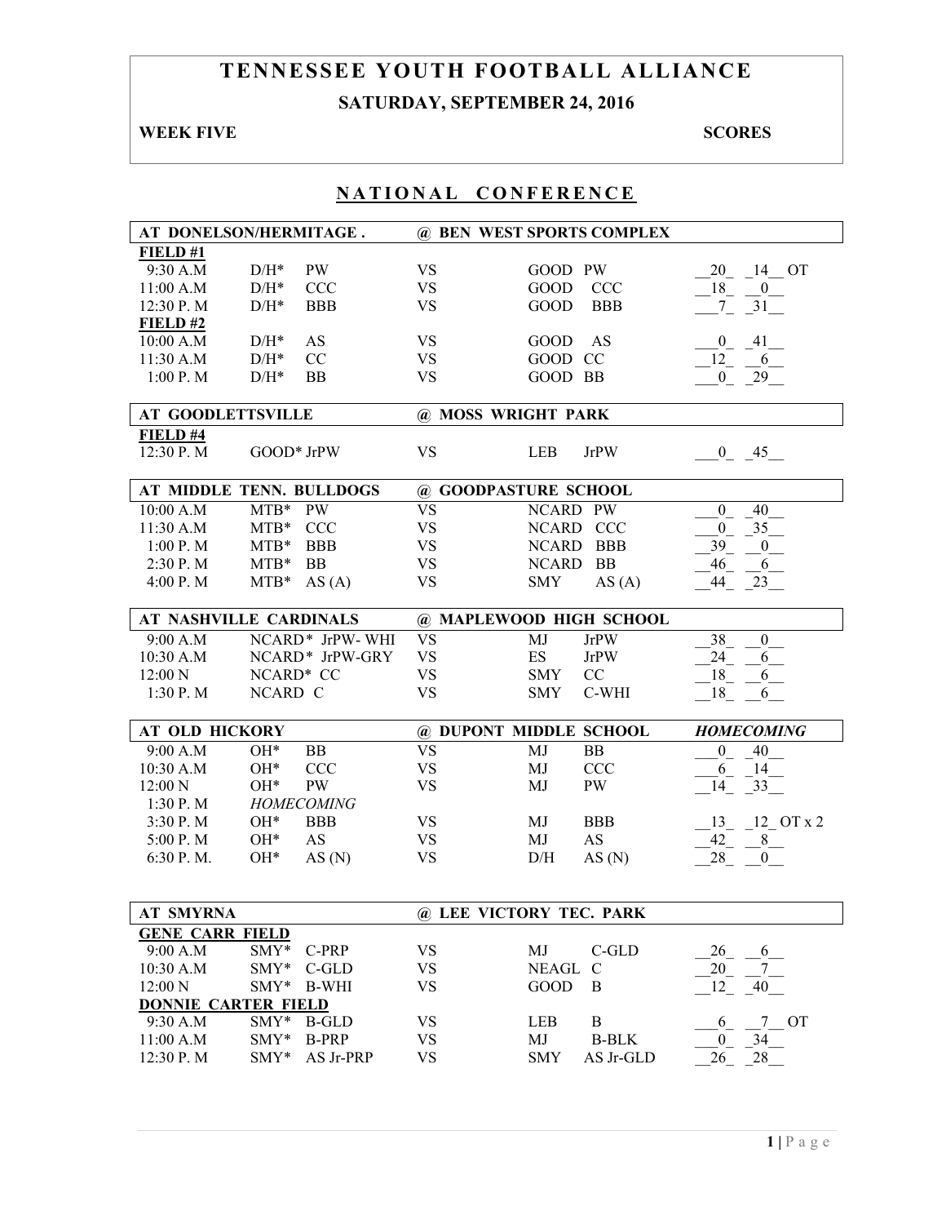# **TENNESSEE YOUTH FOOTBALL ALLIANCE SATURDAY, SEPTEMBER 24, 2016**

## **WEEK FIVE** SCORES

| AT DONELSON/HERMITAGE.     |                    |                   | @ BEN WEST SPORTS COMPLEX |                          |              |                        |
|----------------------------|--------------------|-------------------|---------------------------|--------------------------|--------------|------------------------|
| FIELD#1                    |                    |                   |                           |                          |              |                        |
| 9:30 A.M                   | $D/H^*$            | <b>PW</b>         | <b>VS</b>                 | GOOD PW                  |              | 20<br>14 OT            |
| 11:00 A.M                  | $\mathrm{D/H^{*}}$ | <b>CCC</b>        | <b>VS</b>                 | <b>GOOD</b>              | <b>CCC</b>   | 18<br>$\boldsymbol{0}$ |
| 12:30 P.M                  | $D/H^*$            | <b>BBB</b>        | <b>VS</b>                 | <b>GOOD</b>              | <b>BBB</b>   | 31<br>7 <sup>7</sup>   |
| FIELD#2                    |                    |                   |                           |                          |              |                        |
| 10:00 A.M                  | $D/H^*$            | AS                | <b>VS</b>                 | <b>GOOD</b>              | AS           | 41<br>$\overline{0}$   |
| 11:30 A.M                  | $D/H^*$            | CC                | <b>VS</b>                 | GOOD CC                  |              | 12<br>6                |
| $1:00$ P. M                | $D/H^*$            | <b>BB</b>         | <b>VS</b>                 | GOOD BB                  |              | 29<br>$\mathbf{0}$     |
|                            |                    |                   |                           |                          |              |                        |
| <b>AT GOODLETTSVILLE</b>   |                    |                   | @ MOSS WRIGHT PARK        |                          |              |                        |
| FIELD #4                   |                    |                   |                           |                          |              |                        |
| 12:30 P.M                  |                    | GOOD* JrPW        | <b>VS</b>                 | <b>LEB</b>               | <b>JrPW</b>  | $0 \quad 45$           |
|                            |                    |                   |                           |                          |              |                        |
| AT MIDDLE TENN. BULLDOGS   |                    |                   | @ GOODPASTURE SCHOOL      |                          |              |                        |
| 10:00 A.M                  | $MTB*$             | <b>PW</b>         | $\overline{\text{VS}}$    | NCARD PW                 |              | $\boldsymbol{0}$<br>40 |
| 11:30 A.M                  | $MTB*$             | <b>CCC</b>        | <b>VS</b>                 |                          | NCARD CCC    | $\mathbf{0}$<br>35     |
| 1:00 P. M                  | $MTB*$             | <b>BBB</b>        | <b>VS</b>                 |                          | NCARD BBB    | 39<br>$\boldsymbol{0}$ |
| 2:30 P.M                   | $MTB*$             | <b>BB</b>         | <b>VS</b>                 | <b>NCARD</b>             | <b>BB</b>    | 46<br>6                |
| 4:00 P.M                   | $MTB*$             | AS(A)             | <b>VS</b>                 | <b>SMY</b>               | AS(A)        | 44<br>23               |
|                            |                    |                   |                           |                          |              |                        |
| AT NASHVILLE CARDINALS     |                    |                   | @ MAPLEWOOD HIGH SCHOOL   |                          |              |                        |
| 9:00 A.M                   |                    | NCARD* JrPW-WHI   | <b>VS</b>                 | MJ                       | <b>JrPW</b>  | 38<br>$\boldsymbol{0}$ |
| 10:30 A.M                  |                    | NCARD* JrPW-GRY   | <b>VS</b>                 | $\mathop{\hbox{\rm ES}}$ | <b>JrPW</b>  | 24<br>6                |
| 12:00 N                    | NCARD* CC          |                   | <b>VS</b>                 | <b>SMY</b>               | CC           | 18<br>6                |
| 1:30 P.M                   | NCARD C            |                   | <b>VS</b>                 | <b>SMY</b>               | C-WHI        | 18<br>6                |
|                            |                    |                   |                           |                          |              |                        |
| <b>AT OLD HICKORY</b>      |                    |                   | @ DUPONT MIDDLE SCHOOL    |                          |              | <b>HOMECOMING</b>      |
| 9:00 A.M                   | $OH*$              | <b>BB</b>         | $\overline{\mathrm{VS}}$  | MJ                       | <b>BB</b>    | $\boldsymbol{0}$<br>40 |
| 10:30 A.M                  | OH*                | <b>CCC</b>        | <b>VS</b>                 | MJ                       | <b>CCC</b>   | 6<br>14                |
| 12:00 N                    | $OH*$              | <b>PW</b>         | <b>VS</b>                 | MJ                       | PW           | 14<br>33               |
| 1:30 P.M                   |                    | <b>HOMECOMING</b> |                           |                          |              |                        |
| 3:30 P.M                   | $OH*$              | <b>BBB</b>        | <b>VS</b>                 | MJ                       | <b>BBB</b>   | $12$ OT $x$ 2<br>13    |
| 5:00 P.M                   | $OH*$              | <b>AS</b>         | <b>VS</b>                 | MJ                       | AS           | 42<br>8                |
| 6:30 P.M.                  | $OH*$              | AS(N)             | <b>VS</b>                 | D/H                      | AS(N)        | 28<br>$\overline{0}$   |
|                            |                    |                   |                           |                          |              |                        |
|                            |                    |                   |                           |                          |              |                        |
|                            |                    |                   |                           |                          |              |                        |
| <b>AT SMYRNA</b>           |                    |                   | @ LEE VICTORY TEC. PARK   |                          |              |                        |
| <b>GENE CARR FIELD</b>     |                    |                   |                           |                          |              |                        |
| 9:00 A.M                   | SMY*               | C-PRP             | <b>VS</b>                 | MJ                       | $C$ -GLD     | 26<br>6                |
| 10:30 A.M                  | SMY*               | C-GLD             | <b>VS</b>                 | NEAGL                    | C            | 20<br>7                |
| 12:00 N                    | $SMY*$             | <b>B-WHI</b>      | <b>VS</b>                 | <b>GOOD</b>              | B            | 12<br>40               |
| <b>DONNIE CARTER FIELD</b> |                    |                   |                           |                          |              |                        |
| 9:30 A.M                   | SMY*               | <b>B-GLD</b>      | <b>VS</b>                 | LEB                      | $\bf{B}$     | 7 OT<br>6              |
| 11:00 A.M                  | $SMY*$             | <b>B-PRP</b>      | <b>VS</b>                 | MJ                       | <b>B-BLK</b> | 34<br>$\overline{0}$   |
| 12:30 P.M                  | SMY*               | AS Jr-PRP         | <b>VS</b>                 | <b>SMY</b>               | AS Jr-GLD    | 26<br>28               |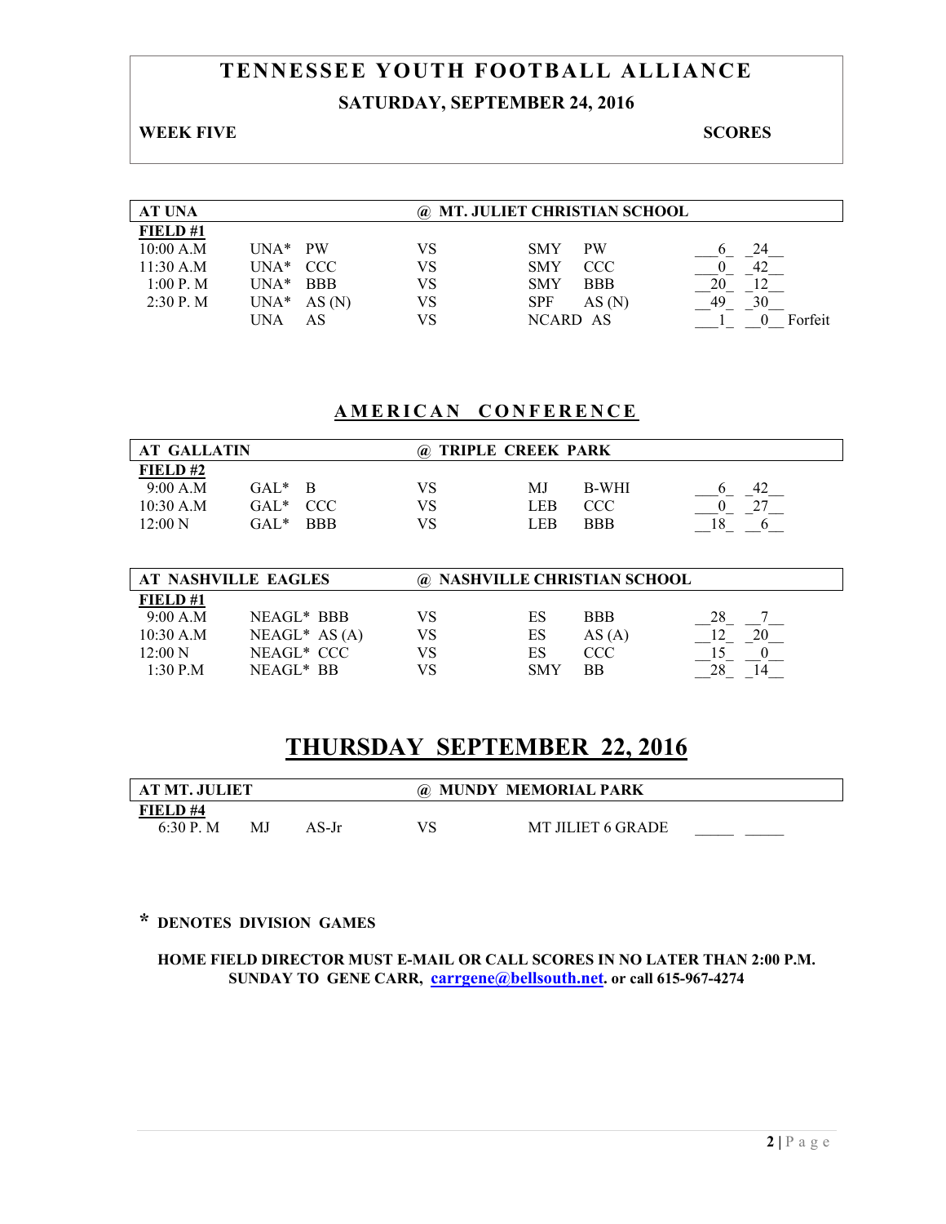# **TENNESSEE YOUTH FOOTBALL ALLIANCE SATURDAY, SEPTEMBER 24, 2016**

#### **WEEK FIVE SCORES**

| <b>AT UNA</b> |                       | <b>MT. JULIET CHRISTIAN SCHOOL</b><br>(a). |                          |         |  |
|---------------|-----------------------|--------------------------------------------|--------------------------|---------|--|
| FIELD#1       |                       |                                            |                          |         |  |
| 10:00 A.M     | $UNA*$ PW             | VS                                         | <b>SMY</b><br><b>PW</b>  | 24      |  |
| 11:30 A.M     | $UNA*$ $CCC$          | VS                                         | <b>SMY</b><br><b>CCC</b> |         |  |
| 1:00 P. M     | $IINA*$<br><b>BBB</b> | VS                                         | <b>BBB</b><br><b>SMY</b> | 20      |  |
| $2:30$ P. M   | $UNA*$<br>AS(N)       | VS                                         | <b>SPF</b><br>AS(N)      | 49      |  |
|               | AS<br>UNA             | VS                                         | NCARD AS                 | Forfeit |  |

# **AMERICAN CONFERENCE**

| <b>AT GALLATIN</b> |         |            | <b>TRIPLE CREEK PARK</b><br>(a). |            |            |  |
|--------------------|---------|------------|----------------------------------|------------|------------|--|
| FIELD#2            |         |            |                                  |            |            |  |
| 9:00 A.M           | $GAI*$  | - R        | VS                               | MJ         | B-WHI      |  |
| $10:30$ A.M        | $GAL^*$ | CCC.       | VS.                              | <b>LEB</b> | <b>CCC</b> |  |
| 12:00 N            | GAL*    | <b>BBB</b> | VS                               | LEB        | <b>BBB</b> |  |

| AT NASHVILLE EAGLES |                       |    | @ NASHVILLE CHRISTIAN SCHOOL |            |  |  |
|---------------------|-----------------------|----|------------------------------|------------|--|--|
| FIELD#1             |                       |    |                              |            |  |  |
| 9:00 A.M            | NEAGL* BBB            | VS | ES                           | <b>BBB</b> |  |  |
| $10:30$ A.M         | $NEAGL^* AS(A)$       | VS | ES                           | AS(A)      |  |  |
| 12:00 N             | NEAGL* CCC            | VS | ES                           | CCC        |  |  |
| 1:30 P.M            | NEAGL <sup>*</sup> BB | VS | <b>SMY</b>                   | ВB         |  |  |

# **THURSDAY SEPTEMBER 22, 2016**

| AT MT. JULIET |     |       | @ MUNDY MEMORIAL PARK |                          |  |
|---------------|-----|-------|-----------------------|--------------------------|--|
| FIELD#4       |     |       |                       |                          |  |
| $6:30P$ . M   | M.J | AS-Jr | VS                    | <b>MT JILIET 6 GRADE</b> |  |

## **\* DENOTES DIVISION GAMES**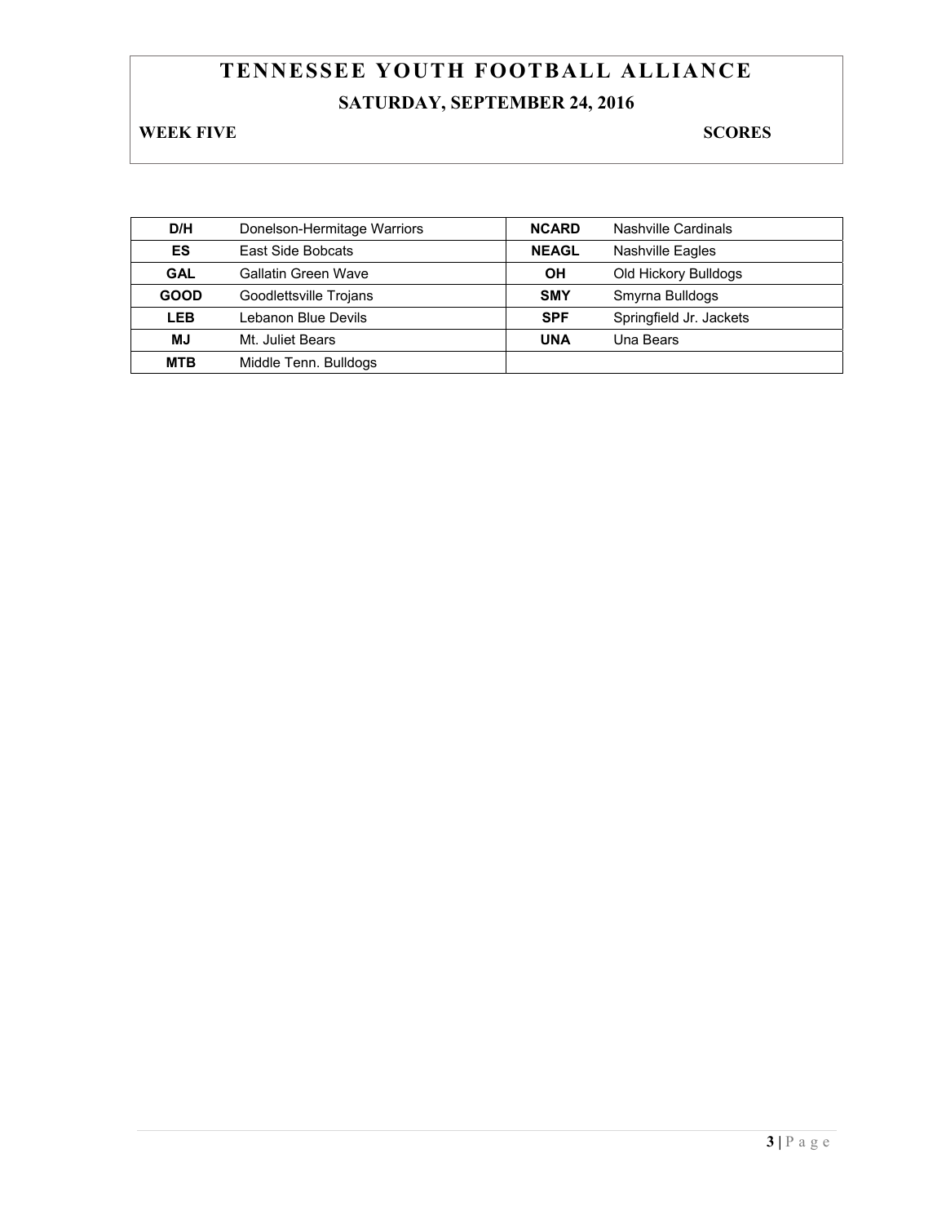# **TENNESSEE YOUTH FOOTBALL ALLIANCE SATURDAY, SEPTEMBER 24, 2016**

**WEEK FIVE** SCORES

| D/H         | Donelson-Hermitage Warriors | <b>NCARD</b> | Nashville Cardinals     |
|-------------|-----------------------------|--------------|-------------------------|
| ES          | East Side Bobcats           | <b>NEAGL</b> | <b>Nashville Eagles</b> |
| <b>GAL</b>  | <b>Gallatin Green Wave</b>  | OН           | Old Hickory Bulldogs    |
| <b>GOOD</b> | Goodlettsville Trojans      | <b>SMY</b>   | Smyrna Bulldogs         |
| <b>LEB</b>  | Lebanon Blue Devils         | <b>SPF</b>   | Springfield Jr. Jackets |
| <b>MJ</b>   | Mt. Juliet Bears            | <b>UNA</b>   | Una Bears               |
| <b>MTB</b>  | Middle Tenn. Bulldogs       |              |                         |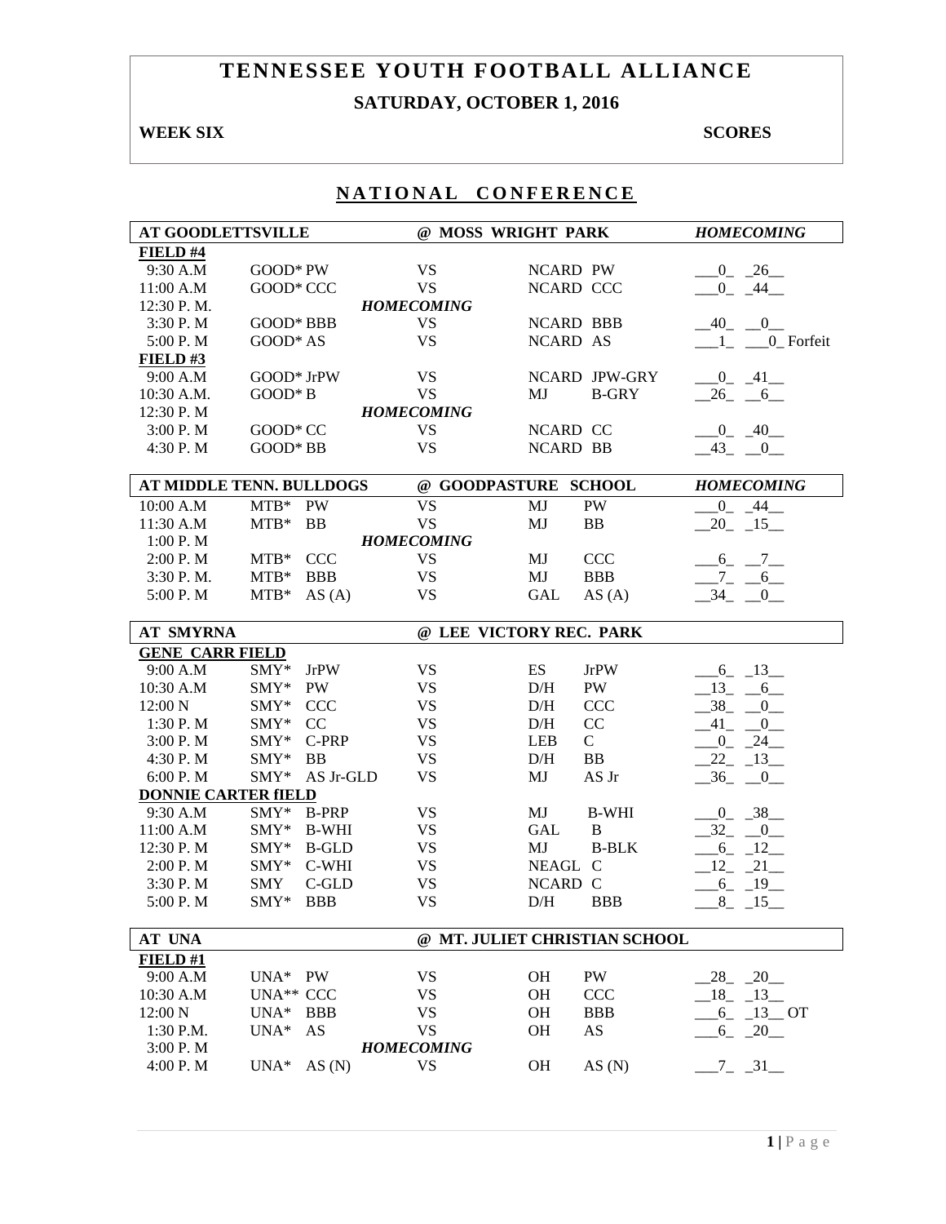# **TENNESSEE YOUTH FOOTBALL ALLIANCE SATURDAY, OCTOBER 1, 2016**

## **WEEK SIX** SCORES

| <b>AT GOODLETTSVILLE</b>   |                                              | @ MOSS WRIGHT PARK     |                                      | <b>HOMECOMING</b>               |
|----------------------------|----------------------------------------------|------------------------|--------------------------------------|---------------------------------|
| FIELD #4                   |                                              |                        |                                      |                                 |
| 9:30 A.M                   | GOOD* PW                                     | <b>VS</b>              | <b>NCARD PW</b>                      | $-0$ $-26$                      |
| 11:00 A.M                  | GOOD* CCC                                    | <b>VS</b>              | NCARD CCC                            | $-0$ $-44$                      |
| 12:30 P.M.                 |                                              | <b>HOMECOMING</b>      |                                      |                                 |
| 3:30 P.M                   | GOOD* BBB                                    | <b>VS</b>              | <b>NCARD BBB</b>                     | $-40$ $-0$ $-$                  |
| 5:00 P.M                   | GOOD* AS                                     | <b>VS</b>              | NCARD AS                             | $-1$ <sub>-</sub> $-0$ -Forfeit |
| <b>FIELD #3</b>            |                                              |                        |                                      |                                 |
| 9:00 A.M                   | GOOD* JrPW                                   | <b>VS</b>              | <b>NCARD JPW-GRY</b>                 | $-0$ $-41$                      |
| 10:30 A.M.                 | GOOD* B                                      | <b>VS</b>              | MJ<br><b>B-GRY</b>                   | $-26 - 6$                       |
| 12:30 P.M                  |                                              | <b>HOMECOMING</b>      |                                      |                                 |
| 3:00 P.M                   | GOOD* CC                                     | <b>VS</b>              | NCARD CC                             | $-0$ $-40$                      |
| 4:30 P.M                   | GOOD* BB                                     | <b>VS</b>              | <b>NCARD BB</b>                      | $-43$ $-0$                      |
|                            |                                              |                        |                                      |                                 |
|                            | AT MIDDLE TENN. BULLDOGS                     |                        | @ GOODPASTURE SCHOOL                 | <b>HOMECOMING</b>               |
| 10:00 A.M<br>11:30 A.M     | $MTB*$ PW<br>$MTB*$<br><b>BB</b>             | <b>VS</b><br><b>VS</b> | MJ<br>PW<br>MJ<br>BB                 | $0 \t 44$<br>$20 - 15$          |
|                            |                                              |                        |                                      |                                 |
| 1:00 P.M                   |                                              | <b>HOMECOMING</b>      |                                      |                                 |
| 2:00 P.M<br>3:30 P.M.      | $MTB*$<br><b>CCC</b><br>$MTB*$<br><b>BBB</b> | <b>VS</b><br><b>VS</b> | MJ<br><b>CCC</b><br>MJ<br><b>BBB</b> | $-6 - 7$                        |
| 5:00 P.M                   | $MTB*$                                       | <b>VS</b>              | AS(A)                                | $-7 - 6$<br>$-34$ $-0$          |
|                            | AS(A)                                        |                        | GAL                                  |                                 |
| <b>AT SMYRNA</b>           |                                              |                        | @ LEE VICTORY REC. PARK              |                                 |
| <b>GENE CARR FIELD</b>     |                                              |                        |                                      |                                 |
| 9:00 A.M                   | SMY*<br><b>JrPW</b>                          | <b>VS</b>              | ES<br><b>JrPW</b>                    | $-6 - 13$                       |
| 10:30 A.M                  | SMY*<br><b>PW</b>                            | <b>VS</b>              | PW<br>D/H                            | $-13 - 6$                       |
| 12:00 N                    | SMY*<br><b>CCC</b>                           | <b>VS</b>              | $\rm{D/H}$<br><b>CCC</b>             | $-38$ $-0$                      |
| 1:30 P.M                   | CC<br>SMY*                                   | <b>VS</b>              | CC<br>D/H                            | $-41$ $-0$                      |
| 3:00 P.M                   | C-PRP<br>SMY*                                | <b>VS</b>              | $\mathcal{C}$<br><b>LEB</b>          | $-0$ $-24$                      |
| 4:30 P.M                   | SMY*<br><b>BB</b>                            | <b>VS</b>              | D/H<br><b>BB</b>                     | $-22 - 13$                      |
| 6:00 P.M                   | SMY*<br>AS Jr-GLD                            | <b>VS</b>              | MJ<br>AS Jr                          | $-36$ $-0$                      |
| <b>DONNIE CARTER fIELD</b> |                                              |                        |                                      |                                 |
| 9:30 A.M                   | SMY*<br><b>B-PRP</b>                         | <b>VS</b>              | MJ<br><b>B-WHI</b>                   | $-0$ $-38$                      |
| 11:00 A.M                  | SMY*<br>B-WHI                                | <b>VS</b>              | <b>GAL</b><br>$\, {\bf B}$           | $-32 - 0$                       |
| 12:30 P.M                  | $\text{SMY*}$<br>B-GLD                       | <b>VS</b>              | MJ<br><b>B-BLK</b>                   | $-6 - 12$                       |
| 2:00 P.M                   | SMY* C-WHI                                   | <b>VS</b>              | NEAGL C                              | $12 - 21$                       |
| 3:30 P.M                   | C-GLD<br><b>SMY</b>                          | <b>VS</b>              | NCARD C                              | $-6 - 19$                       |
| 5:00 P.M                   | SMY* BBB                                     | <b>VS</b>              | <b>BBB</b><br>D/H                    | $-8$ $-15$                      |
| AT UNA                     |                                              |                        | @ MT. JULIET CHRISTIAN SCHOOL        |                                 |
| FIELD#1                    |                                              |                        |                                      |                                 |
| 9:00 A.M                   | UNA* PW                                      | <b>VS</b>              | OH<br>PW                             | $28 - 20$                       |
| 10:30 A.M                  | UNA <sup>**</sup> CCC                        | <b>VS</b>              | <b>OH</b><br><b>CCC</b>              | $18 - 13$                       |
| 12:00 N                    | $UNA*$<br><b>BBB</b>                         | <b>VS</b>              | <b>OH</b><br><b>BBB</b>              | $6 - 13 - OT$                   |
| 1:30 P.M.                  | $UNA*$<br>AS                                 | <b>VS</b>              | AS<br><b>OH</b>                      | $-6 - 20$                       |
| 3:00 P.M                   |                                              | <b>HOMECOMING</b>      |                                      |                                 |
| 4:00 P.M                   | $UNA*$<br>AS(N)                              | VS                     | OH<br>AS(N)                          | $7 - 31$                        |
|                            |                                              |                        |                                      |                                 |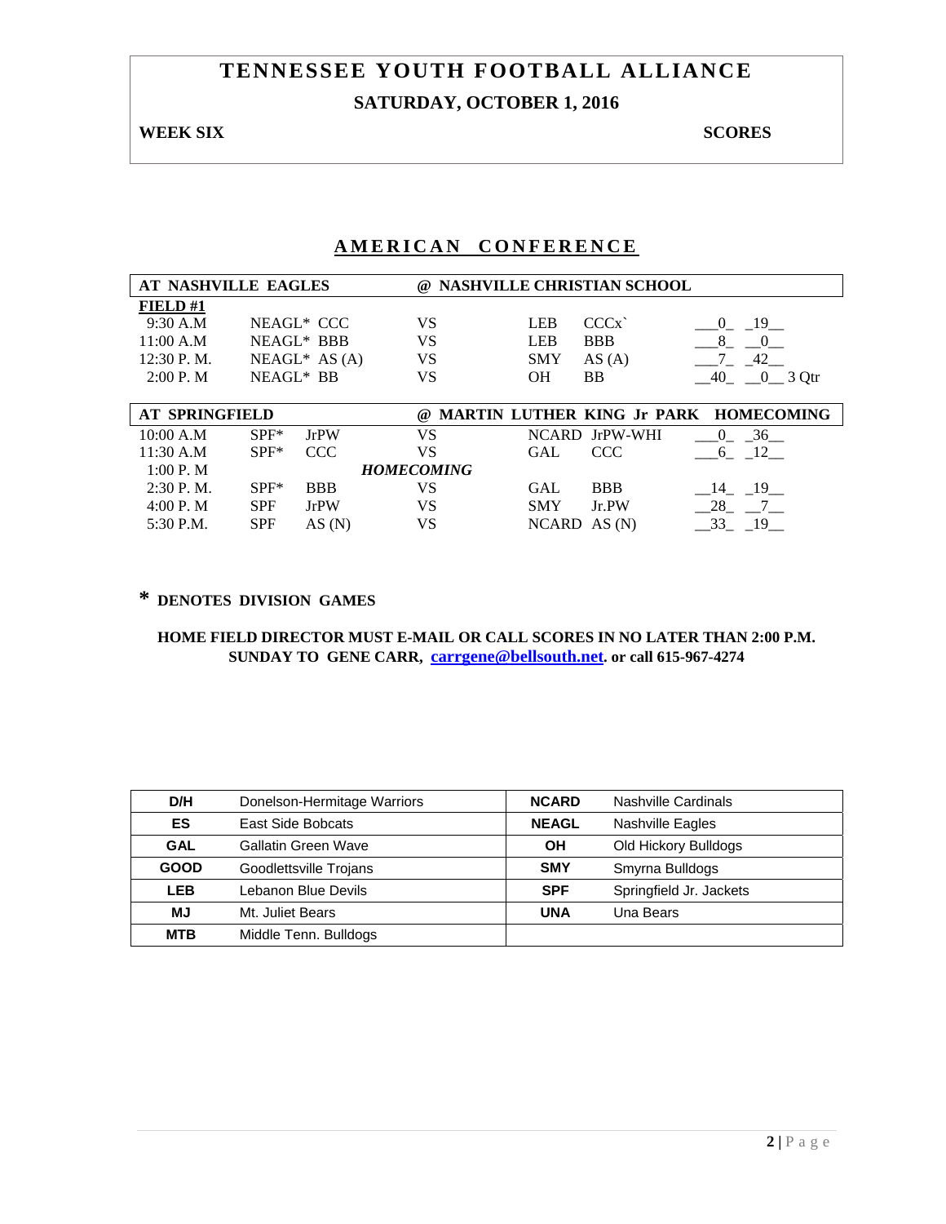# **TENNESSEE YOUTH FOOTBALL ALLIANCE SATURDAY, OCTOBER 1, 2016**

#### **WEEK SIX** SCORES

### **AMERICAN CONFERENCE**

| AT NASHVILLE EAGLES   |            |                  |                   |            | @ NASHVILLE CHRISTIAN SCHOOL |                                       |
|-----------------------|------------|------------------|-------------------|------------|------------------------------|---------------------------------------|
| FIELD#1               |            |                  |                   |            |                              |                                       |
| 9:30 A.M              |            | NEAGL* CCC       | VS                | <b>LEB</b> | CCCx                         | 19<br>$\Omega$                        |
| 11:00 A.M             |            | NEAGL* BBB       | VS                | <b>LEB</b> | <b>BBB</b>                   | 8<br>$\sim 0$                         |
| 12:30 P.M.            |            | $NEAGL^*$ AS (A) | VS                | <b>SMY</b> | AS(A)                        | 42                                    |
| 2:00 P. M             | NEAGL* BB  |                  | VS                | <b>OH</b>  | <b>BB</b>                    | 40<br>$-0$ 3 Qtr                      |
|                       |            |                  |                   |            |                              |                                       |
| <b>AT SPRINGFIELD</b> |            |                  | (a)               |            |                              | MARTIN LUTHER KING Jr PARK HOMECOMING |
| 10:00 A.M             | $SPF^*$    | <b>JrPW</b>      | VS                |            | NCARD JrPW-WHI               | 36<br>$\overline{0}$                  |
| 11:30 A.M             | $SPF*$     | CCC              | VS                | <b>GAL</b> | <b>CCC</b>                   | 12<br>6                               |
| 1:00 P. M             |            |                  | <b>HOMECOMING</b> |            |                              |                                       |
| $2:30$ P.M.           | $SPF*$     | <b>BBB</b>       | VS                | <b>GAL</b> | <b>BBB</b>                   | $-19$<br>- 14                         |
| 4:00 P. M             | <b>SPF</b> | <b>JrPW</b>      | VS                | <b>SMY</b> | Jr.PW                        | 28                                    |
|                       |            |                  |                   |            |                              |                                       |

## **\* DENOTES DIVISION GAMES**

| D/H         | Donelson-Hermitage Warriors | <b>NCARD</b> | Nashville Cardinals     |
|-------------|-----------------------------|--------------|-------------------------|
| ES          | East Side Bobcats           | <b>NEAGL</b> | <b>Nashville Eagles</b> |
| <b>GAL</b>  | Gallatin Green Wave         | OН           | Old Hickory Bulldogs    |
| <b>GOOD</b> | Goodlettsville Trojans      | <b>SMY</b>   | Smyrna Bulldogs         |
| <b>LEB</b>  | Lebanon Blue Devils         | <b>SPF</b>   | Springfield Jr. Jackets |
| MJ          | Mt. Juliet Bears            | <b>UNA</b>   | Una Bears               |
| <b>MTB</b>  | Middle Tenn. Bulldogs       |              |                         |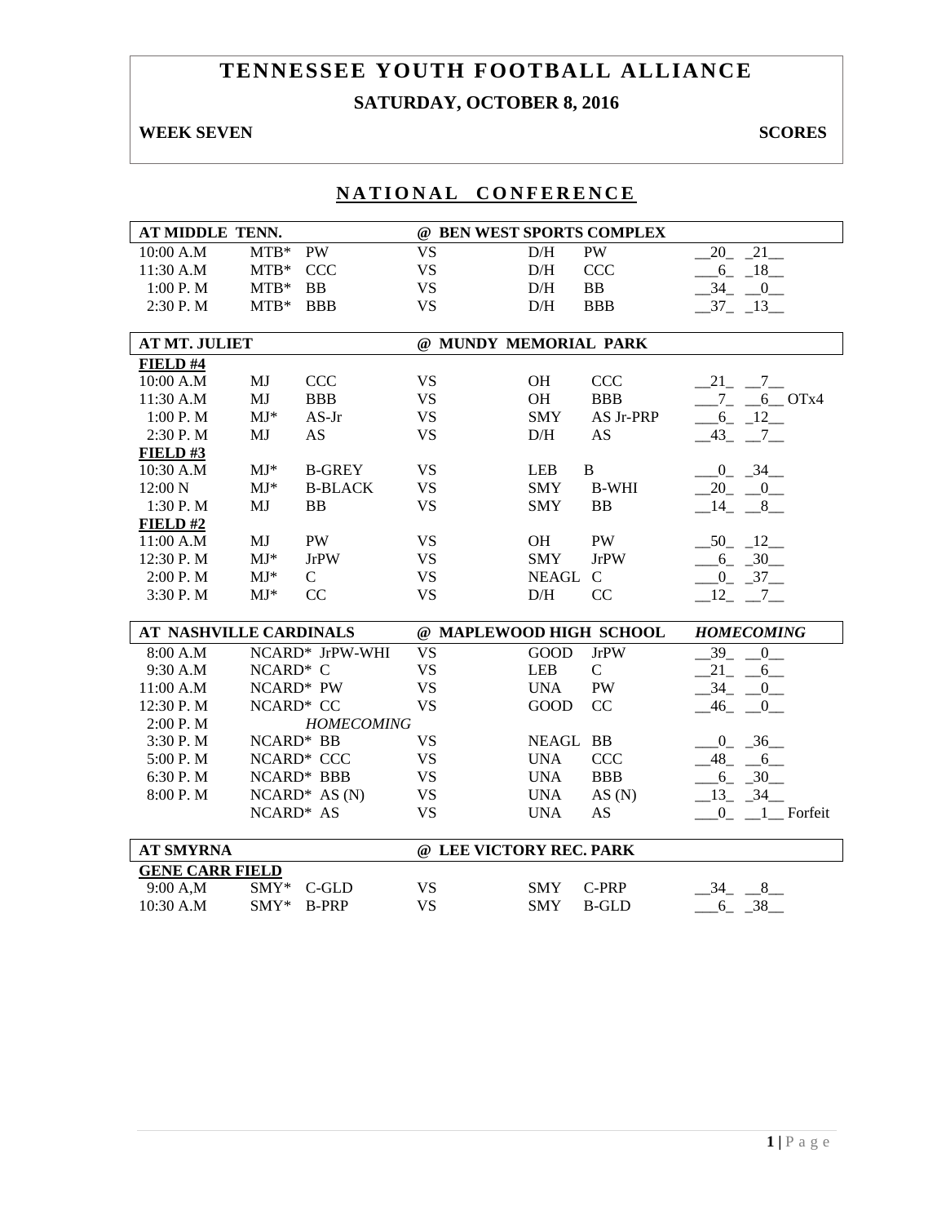# **TENNESSEE YOUTH FOOTBALL ALLIANCE SATURDAY, OCTOBER 8, 2016**

# **WEEK SEVEN** SCORES

|  |  |  |  |  |  | NATIONAL CONFERENCE |  |  |  |  |  |  |  |  |  |  |
|--|--|--|--|--|--|---------------------|--|--|--|--|--|--|--|--|--|--|
|--|--|--|--|--|--|---------------------|--|--|--|--|--|--|--|--|--|--|

| AT MIDDLE TENN.               |                          |                   |                         |                       | @ BEN WEST SPORTS COMPLEX |                             |
|-------------------------------|--------------------------|-------------------|-------------------------|-----------------------|---------------------------|-----------------------------|
| 10:00 A.M                     | $MTB*$                   | <b>PW</b>         | <b>VS</b>               | D/H                   | PW                        | 20 21                       |
| 11:30 A.M                     | $MTB*$                   | <b>CCC</b>        | <b>VS</b>               | D/H                   | <b>CCC</b>                | $-6 - 18$                   |
| 1:00 P.M                      | $MTB*$                   | <b>BB</b>         | <b>VS</b>               | D/H                   | BB                        | $-34$ $-0$                  |
| 2:30 P.M                      | MTB* BBB                 |                   | <b>VS</b>               | D/H                   | <b>BBB</b>                | $-37 - 13$                  |
|                               |                          |                   |                         |                       |                           |                             |
| <b>AT MT. JULIET</b>          |                          |                   |                         | @ MUNDY MEMORIAL PARK |                           |                             |
| FIELD #4                      |                          |                   |                         |                       |                           |                             |
| 10:00 A.M                     | MJ                       | CCC               | <b>VS</b>               | OH                    | CCC                       | $-21$ $-7$                  |
| 11:30 A.M                     | MJ                       | <b>BBB</b>        | <b>VS</b>               | OH                    | <b>BBB</b>                | $7 - 6$ OTx4                |
| 1:00 P. M                     | $MJ*$                    | $AS-Jr$           | <b>VS</b>               | <b>SMY</b>            | AS Jr-PRP                 | $-6 - 12$                   |
| 2:30 P.M                      | MJ                       | <b>AS</b>         | <b>VS</b>               | D/H                   | AS                        | $-43$ $-7$ $-$              |
| FIELD#3                       |                          |                   |                         |                       |                           |                             |
| 10:30 A.M                     | $MJ*$                    | <b>B-GREY</b>     | <b>VS</b>               | <b>LEB</b>            | B                         | $-0$ $-34$                  |
| 12:00 N                       | $\mathbf{M}\mathbf{J}^*$ | <b>B-BLACK</b>    | <b>VS</b>               | <b>SMY</b>            | <b>B-WHI</b>              | $-20$ $-0$                  |
| 1:30 P.M                      | MJ                       | <b>BB</b>         | <b>VS</b>               | <b>SMY</b>            | <b>BB</b>                 | $-14$ $-8$                  |
| FIELD#2                       |                          |                   |                         |                       |                           |                             |
| 11:00 A.M                     | MJ                       | PW                | <b>VS</b>               | <b>OH</b>             | PW                        | $-50 - 12$                  |
| 12:30 P.M                     | $MJ*$                    | <b>JrPW</b>       | <b>VS</b>               | <b>SMY</b>            | <b>JrPW</b>               | $-6 - 30$                   |
| 2:00 P.M                      | $MJ*$                    | $\mathbf C$       | <b>VS</b>               | NEAGL C               |                           | $-0$ $-37$                  |
| 3:30 P.M                      | $MJ*$                    | CC                | <b>VS</b>               | D/H                   | CC                        | $-12 - -7$                  |
| <b>AT NASHVILLE CARDINALS</b> |                          |                   |                         |                       | @ MAPLEWOOD HIGH SCHOOL   | <b>HOMECOMING</b>           |
| 8:00 A.M                      |                          | NCARD* JrPW-WHI   | <b>VS</b>               | <b>GOOD</b>           | <b>JrPW</b>               | 39<br>$\overline{0}$        |
| 9:30 A.M                      | NCARD* C                 |                   | <b>VS</b>               | <b>LEB</b>            | $\mathsf{C}$              | 21<br>6                     |
| 11:00 A.M                     |                          | NCARD* PW         | <b>VS</b>               | <b>UNA</b>            | PW                        | $-34$ $-$<br>$_{0-}$        |
| 12:30 P.M                     | NCARD* CC                |                   | <b>VS</b>               | <b>GOOD</b>           | CC                        | $-46$ $-0$ $-$              |
| 2:00 P. M                     |                          | <b>HOMECOMING</b> |                         |                       |                           |                             |
| 3:30 P.M                      | NCARD* BB                |                   | <b>VS</b>               | NEAGL BB              |                           | $-0$ $-36$                  |
| 5:00 P.M                      |                          | NCARD* CCC        | <b>VS</b>               | <b>UNA</b>            | <b>CCC</b>                | $-48$ <sub>-</sub> $-6$     |
| 6:30 P.M                      |                          | NCARD* BBB        | <b>VS</b>               | <b>UNA</b>            | <b>BBB</b>                | $-6 - 30$                   |
| 8:00 P.M                      |                          | $NCARD^* AS(N)$   | <b>VS</b>               | <b>UNA</b>            | AS $(N)$                  | $-13$ $-34$                 |
|                               | NCARD* AS                |                   | <b>VS</b>               | <b>UNA</b>            | AS                        | $\overline{0}$<br>1 Forfeit |
|                               |                          |                   |                         |                       |                           |                             |
| <b>AT SMYRNA</b>              |                          |                   | @ LEE VICTORY REC. PARK |                       |                           |                             |
| <b>GENE CARR FIELD</b>        |                          |                   |                         |                       |                           |                             |
| 9:00 A,M<br>10:30 A.M         |                          | SMY* C-GLD        | <b>VS</b>               | <b>SMY</b>            | C-PRP                     | 34<br>8                     |
|                               | $SMY*$                   | <b>B-PRP</b>      | <b>VS</b>               | <b>SMY</b>            | <b>B-GLD</b>              | 38<br>6                     |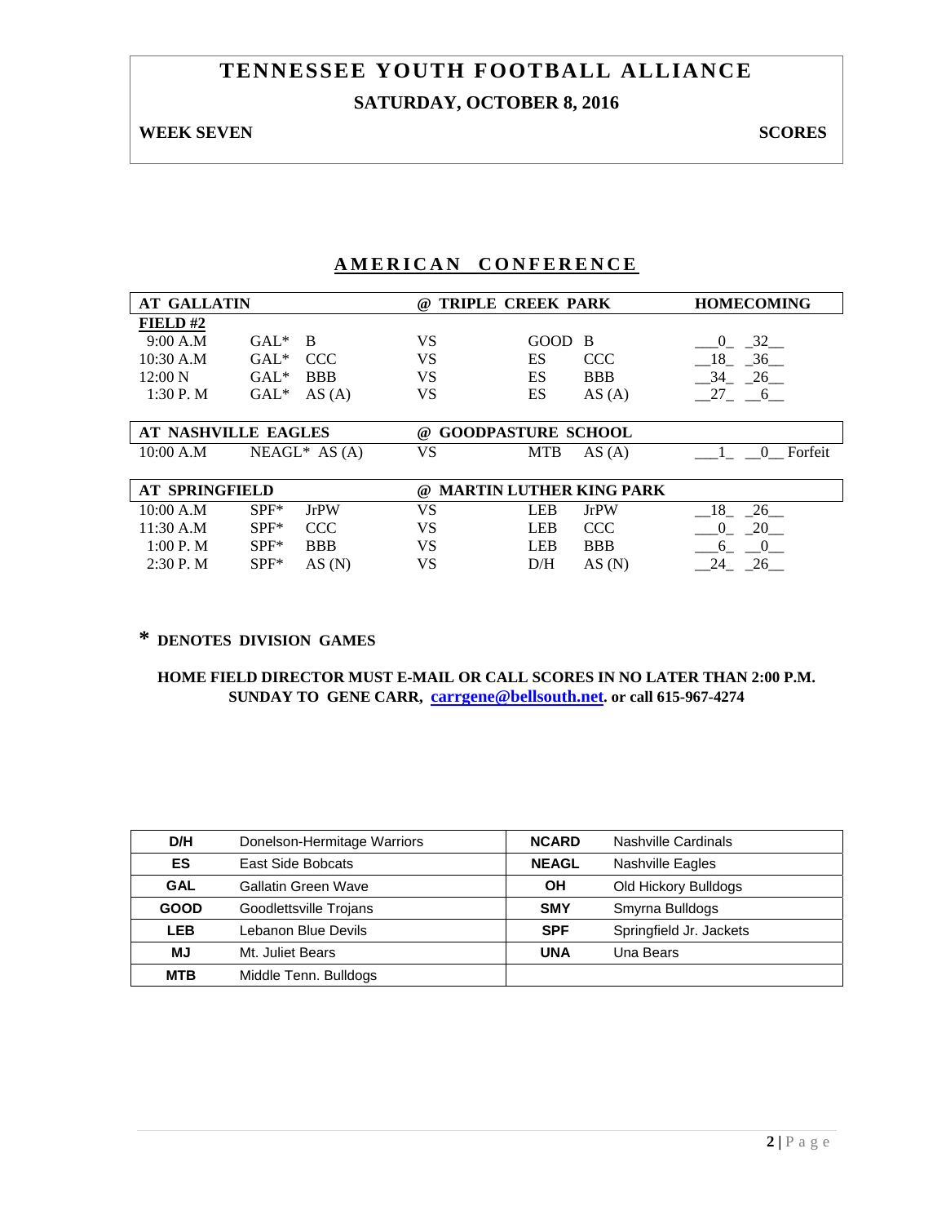# **TENNESSEE YOUTH FOOTBALL ALLIANCE SATURDAY, OCTOBER 8, 2016**

#### **WEEK SEVEN** SCORES

## **AMERICAN CONFERENCE**

| <b>AT GALLATIN</b>    |                         | $\omega$ | <b>TRIPLE CREEK PARK</b>       | <b>HOMECOMING</b>   |
|-----------------------|-------------------------|----------|--------------------------------|---------------------|
| FIELD $#2$            |                         |          |                                |                     |
| 9:00 A.M              | $GAL^*$<br><sup>B</sup> | VS       | <b>GOOD</b><br>- B             | 32<br>$\Omega$      |
| 10:30 A.M             | <b>CCC</b><br>$GAL*$    | VS       | ES<br><b>CCC</b>               | 36<br>18            |
| 12:00 N               | <b>BBB</b><br>$GAL*$    | VS       | ES<br><b>BBB</b>               | 26<br>34            |
| 1:30P. M              | AS(A)<br>$GAL*$         | VS       | ES<br>AS(A)                    | 27 6                |
|                       |                         |          |                                |                     |
| AT NASHVILLE EAGLES   |                         | $\omega$ | <b>GOODPASTURE SCHOOL</b>      |                     |
| 10:00 A.M             | $NEAGL^*$ AS (A)        | VS       | <b>MTB</b><br>AS(A)            | Forfeit<br>$\Omega$ |
|                       |                         |          |                                |                     |
| <b>AT SPRINGFIELD</b> |                         | @        | <b>MARTIN LUTHER KING PARK</b> |                     |
| 10:00 A.M             | $SPF^*$<br><b>JrPW</b>  | VS       | <b>LEB</b><br><b>JrPW</b>      | 26<br>18            |
| 11:30 A.M             | <b>CCC</b><br>$SPF*$    | VS       | <b>CCC</b><br><b>LEB</b>       | 20<br>0             |
| 1:00 P. M             | $SPF*$<br><b>BBB</b>    | VS       | <b>BBB</b><br><b>LEB</b>       | 6<br>$\theta$       |
| $2:30$ P. M           | $SPF*$<br>AS(N)         | VS       | D/H<br>AS(N)                   | 26<br>24            |

### **\* DENOTES DIVISION GAMES**

| D/H         | Donelson-Hermitage Warriors | <b>NCARD</b> | Nashville Cardinals     |
|-------------|-----------------------------|--------------|-------------------------|
| <b>ES</b>   | East Side Bobcats           | <b>NEAGL</b> | Nashville Eagles        |
| <b>GAL</b>  | <b>Gallatin Green Wave</b>  | OH           | Old Hickory Bulldogs    |
| <b>GOOD</b> | Goodlettsville Trojans      | <b>SMY</b>   | Smyrna Bulldogs         |
| <b>LEB</b>  | Lebanon Blue Devils         | <b>SPF</b>   | Springfield Jr. Jackets |
| МJ          | Mt. Juliet Bears            | <b>UNA</b>   | Una Bears               |
| <b>MTB</b>  | Middle Tenn. Bulldogs       |              |                         |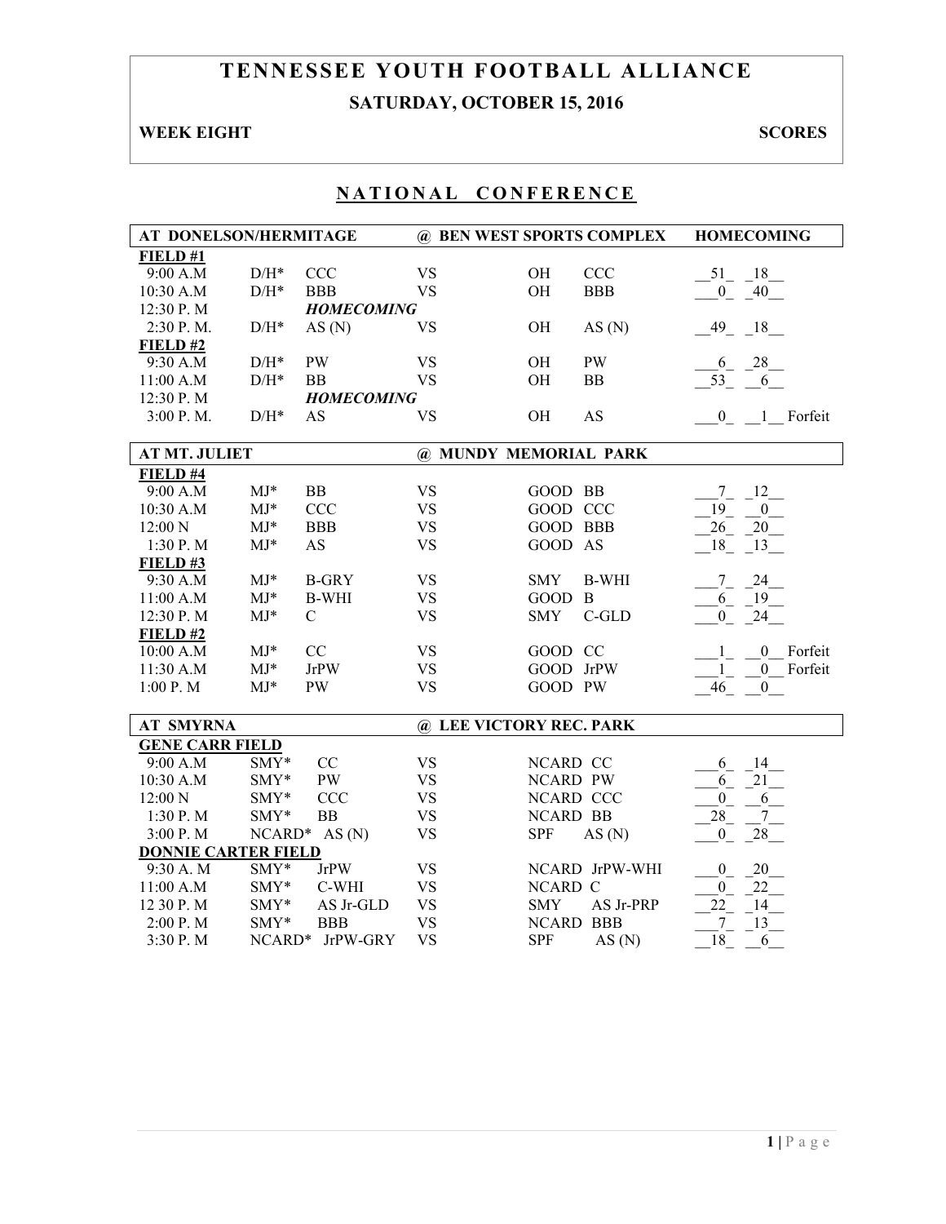# **TENNESSEE YOUTH FOOTBALL ALLIANCE SATURDAY, OCTOBER 15, 2016**

# **WEEK EIGHT SCORES**

| AT DONELSON/HERMITAGE      |                    |                   | @ BEN WEST SPORTS COMPLEX |                         |                | <b>HOMECOMING</b>                           |  |
|----------------------------|--------------------|-------------------|---------------------------|-------------------------|----------------|---------------------------------------------|--|
| FIELD#1                    |                    |                   |                           |                         |                |                                             |  |
| 9:00 A.M                   | $D/H^*$            | <b>CCC</b>        | <b>VS</b>                 | OH                      | CCC            | $-51$ $-18$                                 |  |
| 10:30 A.M                  | $\mathrm{D/H^{*}}$ | <b>BBB</b>        | <b>VS</b>                 | OH                      | <b>BBB</b>     | $\mathbf{0}$<br>40                          |  |
| 12:30 P.M                  |                    | <b>HOMECOMING</b> |                           |                         |                |                                             |  |
| 2:30 P.M.                  | $\rm{D/H^{*}}$     | AS(N)             | <b>VS</b>                 | OH                      | AS(N)          | $49 - 18$                                   |  |
| FIELD#2                    |                    |                   |                           |                         |                |                                             |  |
| 9:30 A.M                   | $\mathrm{D/H^{*}}$ | <b>PW</b>         | <b>VS</b>                 | OH                      | PW             | $-28$<br>6                                  |  |
| 11:00 A.M                  | $\mathrm{D/H^{*}}$ | <b>BB</b>         | <b>VS</b>                 | OH                      | <b>BB</b>      | $\overline{53}^{-}$<br>6                    |  |
| 12:30 P.M                  |                    | <b>HOMECOMING</b> |                           |                         |                |                                             |  |
| 3:00 P.M.                  | $D/H^*$            | AS                | <b>VS</b>                 | OH                      | AS             | 0 1 Forfeit                                 |  |
|                            |                    |                   |                           |                         |                |                                             |  |
| <b>AT MT. JULIET</b>       |                    |                   |                           | @ MUNDY MEMORIAL PARK   |                |                                             |  |
| FIELD #4                   |                    |                   |                           |                         |                |                                             |  |
| 9:00 A.M                   | $MJ*$              | <b>BB</b>         | <b>VS</b>                 | GOOD BB                 |                | 12<br>$7\overline{ }$                       |  |
| 10:30 A.M                  | $MJ*$              | <b>CCC</b>        | <b>VS</b>                 | GOOD CCC                |                | $\overline{19}$<br>$\mathbf{0}$             |  |
| 12:00 N                    | $MJ*$              | <b>BBB</b>        | <b>VS</b>                 | <b>GOOD BBB</b>         |                | 26<br>$20\,$                                |  |
| 1:30 P.M                   | $MJ*$              | AS                | <b>VS</b>                 | GOOD AS                 |                | 18<br>13                                    |  |
| FIELD#3                    |                    |                   |                           |                         |                |                                             |  |
| 9:30 A.M                   | $MJ*$              | <b>B-GRY</b>      | <b>VS</b>                 | <b>SMY</b>              | <b>B-WHI</b>   | 24<br>$\tau$                                |  |
| 11:00 A.M                  | $MJ*$              | <b>B-WHI</b>      | <b>VS</b>                 | GOOD B                  |                | 19<br>6                                     |  |
| 12:30 P.M                  | $MJ*$              | $\mathbf C$       | <b>VS</b>                 | <b>SMY</b>              | $C$ -GLD       | $\overline{0}$<br>24                        |  |
| FIELD#2                    |                    |                   |                           |                         |                |                                             |  |
| 10:00 A.M                  | $MJ*$              | CC                | <b>VS</b>                 | GOOD CC                 |                | $\overline{0}$<br>Forfeit<br>1              |  |
| 11:30 A.M                  | $MJ*$              | <b>JrPW</b>       | <b>VS</b>                 | GOOD JrPW               |                | Forfeit<br>$\mathbf{1}$<br>$\boldsymbol{0}$ |  |
| 1:00 P.M                   | $MJ*$              | <b>PW</b>         | <b>VS</b>                 | GOOD PW                 |                | 46<br>$\boldsymbol{0}$                      |  |
| <b>AT SMYRNA</b>           |                    |                   |                           | @ LEE VICTORY REC. PARK |                |                                             |  |
| <b>GENE CARR FIELD</b>     |                    |                   |                           |                         |                |                                             |  |
| 9:00 A.M                   | SMY*               | CC                | <b>VS</b>                 | NCARD CC                |                | 14<br>6                                     |  |
| 10:30 A.M                  | SMY*               | <b>PW</b>         | <b>VS</b>                 | NCARD PW                |                | $\sqrt{21}$<br>6                            |  |
| 12:00 N                    | SMY*               | <b>CCC</b>        | <b>VS</b>                 | NCARD CCC               |                | $\mathbf{0}$<br>6                           |  |
| 1:30 P.M                   | SMY*               | <b>BB</b>         | <b>VS</b>                 | NCARD BB                |                | $\overline{2}8$<br>7                        |  |
| 3:00 P.M                   | NCARD*             | AS(N)             | <b>VS</b>                 | <b>SPF</b>              | AS(N)          | $\overline{0}$<br>28                        |  |
| <b>DONNIE CARTER FIELD</b> |                    |                   |                           |                         |                |                                             |  |
| 9:30 A. M                  | SMY*               | <b>JrPW</b>       | <b>VS</b>                 |                         | NCARD JrPW-WHI | $\overline{0}$<br>20                        |  |
| 11:00 A.M                  | SMY*               | C-WHI             | <b>VS</b>                 | NCARD C                 |                | 22<br>$\boldsymbol{0}$                      |  |
| 12 30 P.M                  | SMY*               | AS Jr-GLD         | <b>VS</b>                 | <b>SMY</b>              | AS Jr-PRP      | 22<br>14                                    |  |
| 2:00 P.M                   | SMY*               | <b>BBB</b>        | <b>VS</b>                 | <b>NCARD BBB</b>        |                | $\boldsymbol{7}$<br>13                      |  |
| 3:30 P.M                   |                    | NCARD* JrPW-GRY   | <b>VS</b>                 | <b>SPF</b>              | AS(N)          | 18<br>6                                     |  |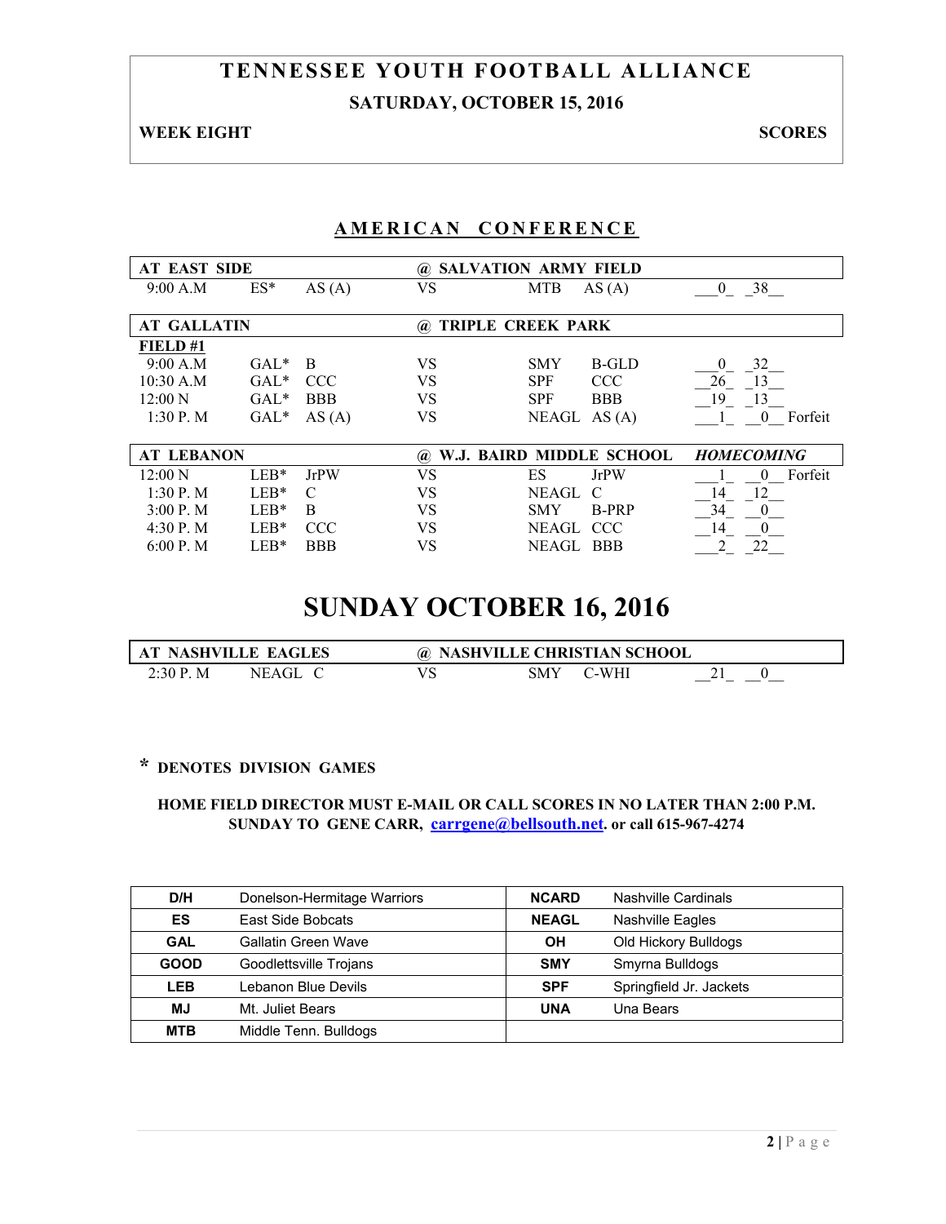# **TENNESSEE YOUTH FOOTBALL ALLIANCE SATURDAY, OCTOBER 15, 2016**

**WEEK EIGHT SCORES** 

## **AMERICAN CONFERENCE**

| <b>AT EAST SIDE</b> |         |             | $\omega$ | <b>SALVATION ARMY FIELD</b> |                     |  |  |  |
|---------------------|---------|-------------|----------|-----------------------------|---------------------|--|--|--|
| 9:00 A.M            | $ES^*$  | AS(A)       | VS       | <b>MTB</b><br>AS(A)         | 38<br>$\theta$      |  |  |  |
|                     |         |             |          |                             |                     |  |  |  |
| <b>AT GALLATIN</b>  |         |             | $\omega$ | <b>TRIPLE CREEK PARK</b>    |                     |  |  |  |
| FIELD#1             |         |             |          |                             |                     |  |  |  |
| 9:00 A.M            | $GAL^*$ | B           | VS       | <b>B-GLD</b><br><b>SMY</b>  | 32<br>$\theta$      |  |  |  |
| 10:30 A.M           | $GAL*$  | <b>CCC</b>  | VS       | <b>CCC</b><br><b>SPF</b>    | 26<br>13            |  |  |  |
| 12:00 N             | $GAL^*$ | <b>BBB</b>  | VS       | <b>SPF</b><br><b>BBB</b>    | 19<br>13            |  |  |  |
| 1:30 P. M           | $GAL*$  | AS(A)       | VS       | AS(A)<br>NEAGL              | Forfeit<br>$\theta$ |  |  |  |
|                     |         |             |          |                             |                     |  |  |  |
| <b>AT LEBANON</b>   |         |             | (a)      | W.J. BAIRD MIDDLE SCHOOL    | <b>HOMECOMING</b>   |  |  |  |
| 12:00 N             | $LEB*$  | <b>JrPW</b> | VS       | ES<br><b>JrPW</b>           | Forfeit<br>$\theta$ |  |  |  |
| $1:30P$ . M         | $LEB*$  | C           | VS       | NEAGL<br>$\mathcal{C}$      | 14<br>12            |  |  |  |
| 3:00 P. M           | $LEB*$  | B           | VS       | <b>B-PRP</b><br><b>SMY</b>  | 34<br>$\theta$      |  |  |  |
| 4:30 P. M.          | $LEB*$  | <b>CCC</b>  | VS       | NEAGL CCC                   | 14<br>$\theta$      |  |  |  |
| 6:00 P. M           | $LEB*$  | <b>BBB</b>  | VS       | NEAGL<br><b>BBB</b>         | 22                  |  |  |  |

# **SUNDAY OCTOBER 16, 2016**

| AT NASHVILLE EAGLES |         | @ NASHVILLE CHRISTIAN SCHOOL |       |  |
|---------------------|---------|------------------------------|-------|--|
| 2:30P. M            | NEAGL C | <b>SMY</b>                   | C-WHI |  |

### **\* DENOTES DIVISION GAMES**

| D/H         | Donelson-Hermitage Warriors | <b>NCARD</b> | Nashville Cardinals     |
|-------------|-----------------------------|--------------|-------------------------|
| ES          | East Side Bobcats           | <b>NEAGL</b> | <b>Nashville Eagles</b> |
| <b>GAL</b>  | <b>Gallatin Green Wave</b>  | OH           | Old Hickory Bulldogs    |
| <b>GOOD</b> | Goodlettsville Trojans      | <b>SMY</b>   | Smyrna Bulldogs         |
| <b>LEB</b>  | Lebanon Blue Devils         | <b>SPF</b>   | Springfield Jr. Jackets |
| MJ.         | Mt. Juliet Bears            | <b>UNA</b>   | Una Bears               |
| <b>MTB</b>  | Middle Tenn. Bulldogs       |              |                         |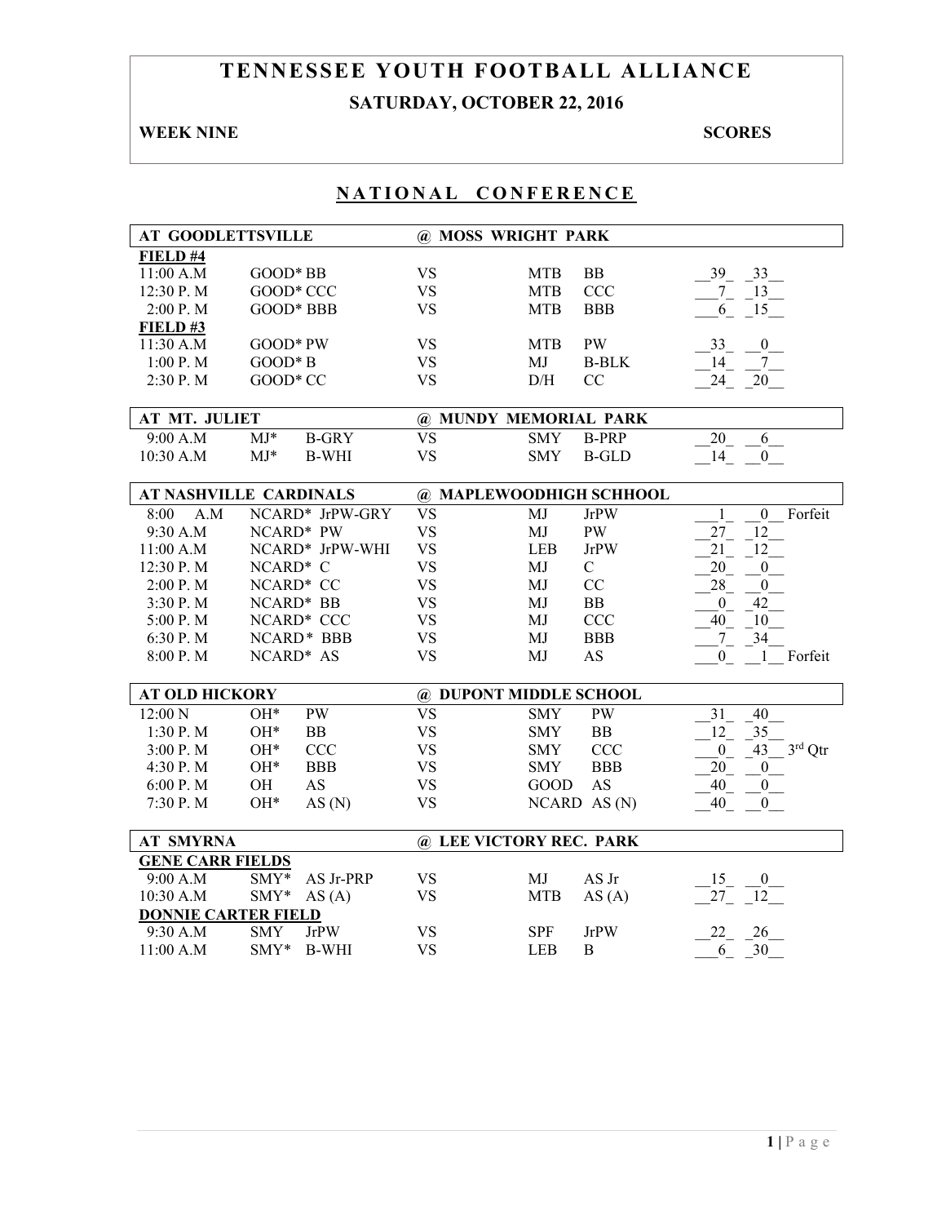# **TENNESSEE YOUTH FOOTBALL ALLIANCE SATURDAY, OCTOBER 22, 2016**

### **WEEK NINE SCORES**

| <b>AT GOODLETTSVILLE</b>   |                               |                        | @ MOSS WRIGHT PARK         |                                             |
|----------------------------|-------------------------------|------------------------|----------------------------|---------------------------------------------|
| FIELD #4                   |                               |                        |                            |                                             |
| 11:00 A.M                  | GOOD* BB                      | <b>VS</b>              | BB<br><b>MTB</b>           | 39<br>33                                    |
| 12:30 P.M                  | GOOD* CCC                     | <b>VS</b>              | <b>MTB</b><br>CCC          | $\sqrt{13}$<br>$7_{-}$                      |
| 2:00 P.M                   | GOOD* BBB                     | <b>VS</b>              | <b>BBB</b><br><b>MTB</b>   | 6<br>15                                     |
| <b>FIELD #3</b>            |                               |                        |                            |                                             |
| 11:30 A.M                  | GOOD* PW                      | <b>VS</b>              | <b>PW</b><br><b>MTB</b>    | 33<br>$\boldsymbol{0}$                      |
| $1:00$ P. M                | $GOOD*B$                      | <b>VS</b>              | MJ<br><b>B-BLK</b>         | 14<br>$7\phantom{.0}$                       |
| 2:30 P.M                   | GOOD* CC                      | <b>VS</b>              | CC<br>D/H                  | 24<br>20                                    |
|                            |                               |                        |                            |                                             |
| AT MT. JULIET              |                               |                        | @ MUNDY MEMORIAL PARK      |                                             |
| 9:00 A.M                   | $MJ*$<br><b>B-GRY</b>         | <b>VS</b>              | <b>SMY</b><br><b>B-PRP</b> | 20<br>6                                     |
| 10:30 A.M                  | $MJ*$<br><b>B-WHI</b>         | <b>VS</b>              | <b>SMY</b><br><b>B-GLD</b> | 14<br>$\overline{0}$                        |
|                            |                               |                        |                            |                                             |
|                            | <b>AT NASHVILLE CARDINALS</b> |                        | @ MAPLEWOODHIGH SCHHOOL    |                                             |
| 8:00<br>A.M                | NCARD* JrPW-GRY               | $\overline{\text{VS}}$ | MJ<br><b>JrPW</b>          | Forfeit<br>$\boldsymbol{0}$<br>$\mathbf{1}$ |
| 9:30 A.M                   | NCARD* PW                     | <b>VS</b>              | <b>PW</b><br>MJ            | 27<br>12                                    |
| 11:00 A.M                  | NCARD* JrPW-WHI               | <b>VS</b>              | <b>JrPW</b><br><b>LEB</b>  | 21<br>12                                    |
| 12:30 P.M                  | NCARD* C                      | <b>VS</b>              | $\mathcal{C}$<br>MJ        | 20<br>$\mathbf{0}$                          |
| 2:00 P.M                   | NCARD* CC                     | <b>VS</b>              | CC<br>MJ                   | $28\,$<br>$\boldsymbol{0}$                  |
| 3:30 P.M                   | NCARD* BB                     | <b>VS</b>              | BB<br>MJ                   | $\mathbf{0}$<br>42                          |
| 5:00 P.M                   | NCARD* CCC                    | <b>VS</b>              | <b>CCC</b><br>MJ           | 40<br>10                                    |
| 6:30 P.M                   | NCARD* BBB                    | <b>VS</b>              | <b>BBB</b><br>MJ           | 34<br>$7_{-}$                               |
| 8:00 P.M                   | NCARD* AS                     | <b>VS</b>              | <b>AS</b><br>MJ            | Forfeit<br>$\overline{0}$<br>$\mathbf{1}$   |
|                            |                               |                        |                            |                                             |
| <b>AT OLD HICKORY</b>      |                               |                        | @ DUPONT MIDDLE SCHOOL     |                                             |
| 12:00 N                    | $OH*$<br><b>PW</b>            | <b>VS</b>              | <b>PW</b><br><b>SMY</b>    | 40<br>31                                    |
| 1:30P. M                   | $OH*$<br>BB                   | <b>VS</b>              | BB<br><b>SMY</b>           | 12<br>35                                    |
| 3:00 P. M                  | $OH*$<br><b>CCC</b>           | <b>VS</b>              | <b>CCC</b><br><b>SMY</b>   | $3rd$ Qtr<br>43<br>$\boldsymbol{0}$         |
| 4:30 P.M                   | $OH*$<br><b>BBB</b>           | <b>VS</b>              | <b>BBB</b><br><b>SMY</b>   | 20<br>$\boldsymbol{0}$                      |
| 6:00 P.M                   | OH<br>AS                      | <b>VS</b>              | <b>GOOD</b><br><b>AS</b>   | 40<br>$\mathbf{0}$                          |
| 7:30 P.M                   | $OH*$<br>AS(N)                | <b>VS</b>              | NCARD AS(N)                | 40<br>$\overline{0}$                        |
|                            |                               |                        |                            |                                             |
| <b>AT SMYRNA</b>           |                               |                        | @ LEE VICTORY REC. PARK    |                                             |
| <b>GENE CARR FIELDS</b>    |                               |                        |                            |                                             |
| 9:00 A.M                   | $SMY*$<br>AS Jr-PRP           | <b>VS</b>              | MJ<br>AS Jr                | 15<br>$\overline{0}$                        |
| 10:30 A.M                  | $SMY*$<br>AS(A)               | <b>VS</b>              | <b>MTB</b><br>AS(A)        | 27<br>12                                    |
| <b>DONNIE CARTER FIELD</b> |                               |                        |                            |                                             |
| 9:30 A.M                   | <b>JrPW</b><br><b>SMY</b>     | <b>VS</b>              | <b>SPF</b><br><b>JrPW</b>  | 22<br>26                                    |
| 11:00 A.M                  | $\text{SMY*}$<br>B-WHI        | <b>VS</b>              | <b>LEB</b><br>B            | 30<br>6                                     |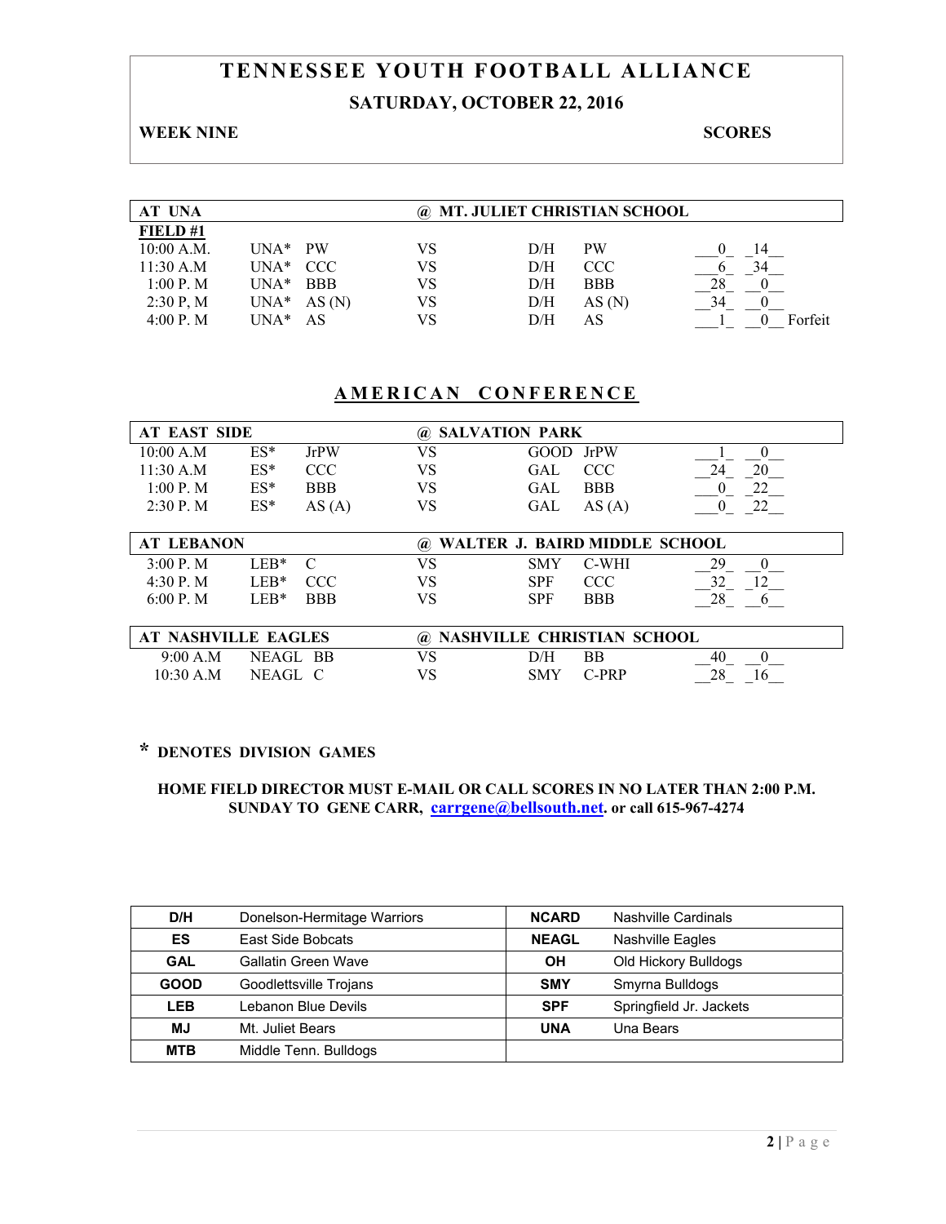# **TENNESSEE YOUTH FOOTBALL ALLIANCE SATURDAY, OCTOBER 22, 2016**

### **WEEK NINE SCORES**

| <b>AT UNA</b> |          |            |    |     | @ MT. JULIET CHRISTIAN SCHOOL |         |
|---------------|----------|------------|----|-----|-------------------------------|---------|
| FIELD#1       |          |            |    |     |                               |         |
| $10:00$ A.M.  | $IINA*$  | <b>PW</b>  | VS | D/H | <b>PW</b>                     | 14      |
| 11:30 A.M     | $UNA*$   | - CCC      | VS | D/H | <b>CCC</b>                    | 34      |
| 1:00 P. M     | $I JNA*$ | <b>BBB</b> | VS | D/H | <b>BBB</b>                    | 28      |
| 2:30 P, M     | $UNA*$   | AS(N)      | VS | D/H | AS(N)                         | 34      |
| 4:00 P. M     | UNA*     | AS         | VS | D/H | AS                            | Forfeit |

### **AMERICAN CONFERENCE**

| <b>AT EAST SIDE</b> |        |            |    | @ SALVATION PARK   |          |  |  |  |
|---------------------|--------|------------|----|--------------------|----------|--|--|--|
| 10:00 A.M           | $ES^*$ | JrPW       | VS | GOOD JrPW          |          |  |  |  |
| 11:30 A.M           | $ES^*$ | CCC.       | VS | <b>CCC</b><br>GAL  | 20<br>24 |  |  |  |
| 1:00 P. M           | $ES*$  | <b>BBB</b> | VS | <b>BBB</b><br>GAL. |          |  |  |  |
| $2:30$ P. M         | $ES^*$ | AS(A)      | VS | GAL<br>AS(A)       |          |  |  |  |

| <b>AT LEBANON</b> |                 |            |    | @ WALTER J. BAIRD MIDDLE SCHOOL |            |    |  |  |
|-------------------|-----------------|------------|----|---------------------------------|------------|----|--|--|
| 3.00 P M          | LER*.           |            |    | <b>SMY</b>                      | C-WHI      | 29 |  |  |
| 4.30 P M          | LER*            | CCC –      | VS | <b>SPF</b>                      | CCC        |    |  |  |
| 6.00 P M          | $F^{\prime}R^*$ | <b>BBB</b> |    | SPF                             | <b>BBB</b> | 28 |  |  |

| <b>AT NASHVILLE EAGLES</b> |          |    | @ NASHVILLE CHRISTIAN SCHOOL |         |    |  |  |
|----------------------------|----------|----|------------------------------|---------|----|--|--|
| 9:00 A.M                   | NEAGL BB |    | D/H                          | ВB      | 40 |  |  |
| $10:30$ A.M                | NEAGL C  | VS | SMY                          | $C_PRP$ |    |  |  |

## **\* DENOTES DIVISION GAMES**

| D/H         | Donelson-Hermitage Warriors | <b>NCARD</b> | Nashville Cardinals     |
|-------------|-----------------------------|--------------|-------------------------|
| ES          | East Side Bobcats           | <b>NEAGL</b> | <b>Nashville Eagles</b> |
| <b>GAL</b>  | Gallatin Green Wave         | OН           | Old Hickory Bulldogs    |
| <b>GOOD</b> | Goodlettsville Trojans      | <b>SMY</b>   | Smyrna Bulldogs         |
| LEB         | Lebanon Blue Devils         | <b>SPF</b>   | Springfield Jr. Jackets |
| <b>MJ</b>   | Mt. Juliet Bears            | <b>UNA</b>   | Una Bears               |
| <b>MTB</b>  | Middle Tenn. Bulldogs       |              |                         |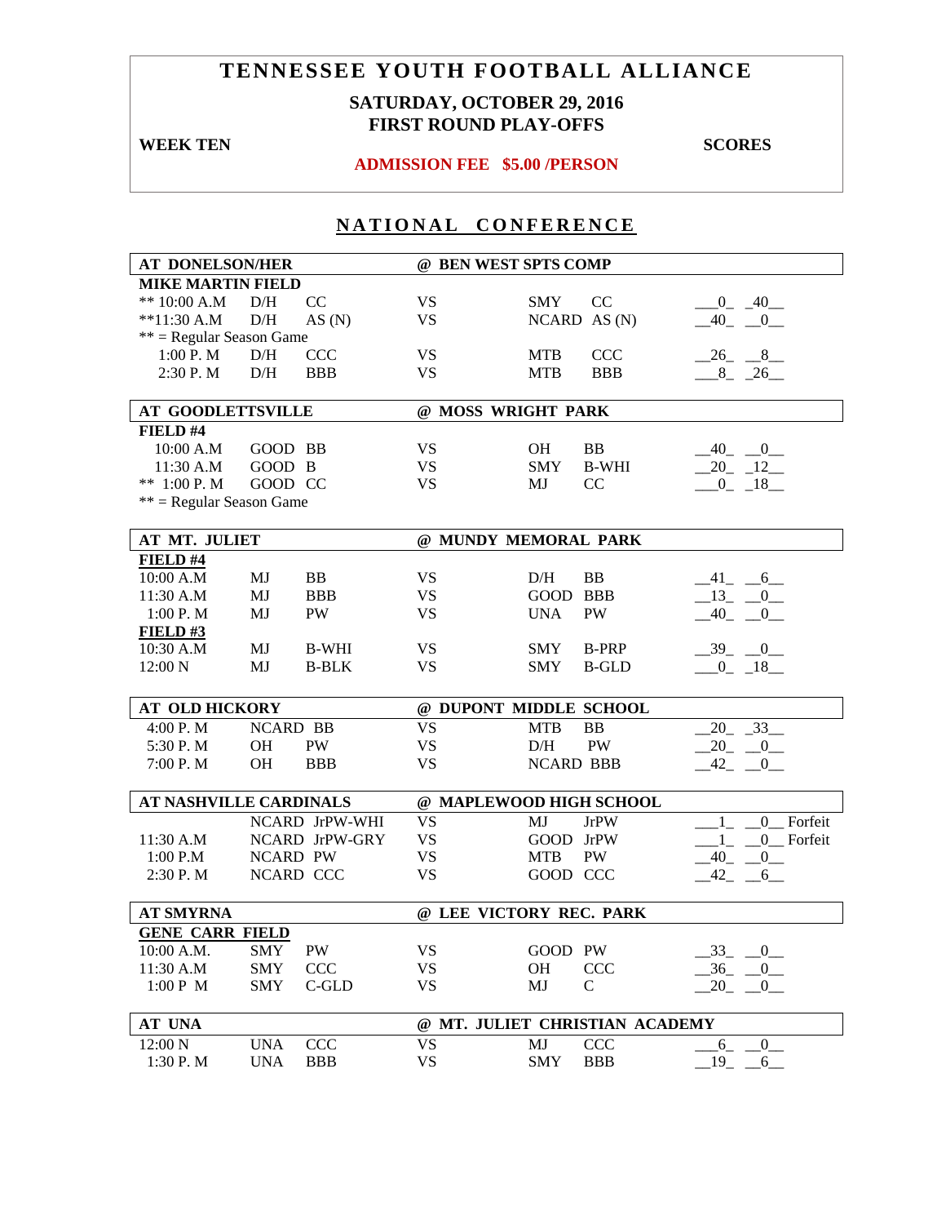## **SATURDAY, OCTOBER 29, 2016 FIRST ROUND PLAY-OFFS**

**WEEK TEN** SCORES

### **ADMISSION FEE \$5.00 /PERSON**

| <b>AT DONELSON/HER</b>        |                 | @ BEN WEST SPTS COMP |                         |                  |                                |                           |
|-------------------------------|-----------------|----------------------|-------------------------|------------------|--------------------------------|---------------------------|
| <b>MIKE MARTIN FIELD</b>      |                 |                      |                         |                  |                                |                           |
| ** $10:00$ A.M                | D/H             | CC                   | <b>VS</b>               | <b>SMY</b>       | CC                             | $-0$ $-40$                |
| $*11:30 A.M$                  | D/H             | AS(N)                | <b>VS</b>               |                  | NCARD AS(N)                    | $-40$ $-0$                |
| $**$ = Regular Season Game    |                 |                      |                         |                  |                                |                           |
| 1:00 P. M                     | D/H             | <b>CCC</b>           | <b>VS</b>               | <b>MTB</b>       | <b>CCC</b>                     | $-26$ $-8$                |
| 2:30 P.M                      | D/H             | <b>BBB</b>           | <b>VS</b>               | <b>MTB</b>       | <b>BBB</b>                     | $8 - 26$                  |
|                               |                 |                      |                         |                  |                                |                           |
| <b>AT GOODLETTSVILLE</b>      |                 |                      | @ MOSS WRIGHT PARK      |                  |                                |                           |
| FIELD #4                      |                 |                      |                         |                  |                                |                           |
| 10:00 A.M                     | GOOD BB         |                      | <b>VS</b>               | <b>OH</b>        | BB                             | $-40$ <sub>-</sub> $-0$   |
| 11:30 A.M                     | GOOD B          |                      | <b>VS</b>               | <b>SMY</b>       | <b>B-WHI</b>                   | $20 - 12$                 |
| ** $1:00$ P. M                | GOOD CC         |                      | <b>VS</b>               | MJ               | CC                             | $-0$ $-18$                |
| $**$ = Regular Season Game    |                 |                      |                         |                  |                                |                           |
|                               |                 |                      |                         |                  |                                |                           |
| AT MT. JULIET                 |                 |                      | @ MUNDY MEMORAL PARK    |                  |                                |                           |
| FIELD #4                      |                 |                      |                         |                  |                                |                           |
| 10:00 A.M                     | MJ              | BB                   | <b>VS</b>               | D/H              | BB                             | $-41$ $-6$ $-$            |
| 11:30 A.M                     | MJ              | <b>BBB</b>           | <b>VS</b>               | GOOD BBB         |                                | $-13$ $-0$                |
| 1:00 P. M                     | MJ              | <b>PW</b>            | <b>VS</b>               | <b>UNA</b>       | PW                             | $-40$<br>$\overline{0}$   |
| FIELD#3                       |                 |                      |                         |                  |                                |                           |
| 10:30 A.M                     | MJ              | <b>B-WHI</b>         | <b>VS</b>               | <b>SMY</b>       | <b>B-PRP</b>                   | $-39$ $-0$                |
| 12:00 N                       | MJ              | <b>B-BLK</b>         | <b>VS</b>               | <b>SMY</b>       | <b>B-GLD</b>                   | $-0$ $-18$                |
|                               |                 |                      |                         |                  |                                |                           |
| <b>AT OLD HICKORY</b>         |                 |                      | @ DUPONT MIDDLE SCHOOL  |                  |                                |                           |
| 4:00 P.M                      | <b>NCARD BB</b> |                      | <b>VS</b>               | <b>MTB</b>       | <b>BB</b>                      | $20 - 33$                 |
| 5:30 P.M                      | <b>OH</b>       | PW                   | <b>VS</b>               | D/H              | <b>PW</b>                      | $-20$ $-0$                |
| 7:00 P.M                      | <b>OH</b>       | <b>BBB</b>           | <b>VS</b>               | <b>NCARD BBB</b> |                                | $-42$ $-0$                |
|                               |                 |                      |                         |                  |                                |                           |
| <b>AT NASHVILLE CARDINALS</b> |                 |                      | @ MAPLEWOOD HIGH SCHOOL |                  |                                |                           |
|                               |                 | NCARD JrPW-WHI       | <b>VS</b>               | MJ               | <b>JrPW</b>                    | Forfeit<br>$\overline{0}$ |
| 11:30 A.M                     |                 | NCARD JrPW-GRY       | <b>VS</b>               | GOOD JrPW        |                                | 0 Forfeit<br>$1_{-}$ $-$  |
| 1:00 P.M                      | <b>NCARD PW</b> |                      | <b>VS</b>               | <b>MTB</b>       | PW                             | $-40$ $-0$                |
| 2:30 P.M                      |                 | NCARD CCC            | <b>VS</b>               | GOOD CCC         |                                | $-42 - 6$                 |
|                               |                 |                      |                         |                  |                                |                           |
| <b>AT SMYRNA</b>              |                 |                      | @ LEE VICTORY REC. PARK |                  |                                |                           |
| <b>GENE CARR FIELD</b>        |                 |                      |                         |                  |                                |                           |
| 10:00 A.M.                    | <b>SMY</b>      | PW                   | VS                      | GOOD PW          |                                | $-33$<br>$-0$             |
| 11:30 A.M                     | <b>SMY</b>      | <b>CCC</b>           | VS                      | OH               | <b>CCC</b>                     | $-36$ $-0$                |
| 1:00 P M                      | <b>SMY</b>      | C-GLD                | <b>VS</b>               | MJ               | $\mathsf{C}$                   | 20<br>$\mathbf{0}$        |
|                               |                 |                      |                         |                  |                                |                           |
| <b>AT UNA</b>                 |                 |                      |                         |                  | @ MT. JULIET CHRISTIAN ACADEMY |                           |
| 12:00 N                       | <b>UNA</b>      | <b>CCC</b>           | <b>VS</b>               | MJ               | <b>CCC</b>                     | $-6$<br>$-0$              |
| 1:30 P.M                      | <b>UNA</b>      | <b>BBB</b>           | <b>VS</b>               | SMY              | <b>BBB</b>                     | $19$ <sub>-</sub><br>6    |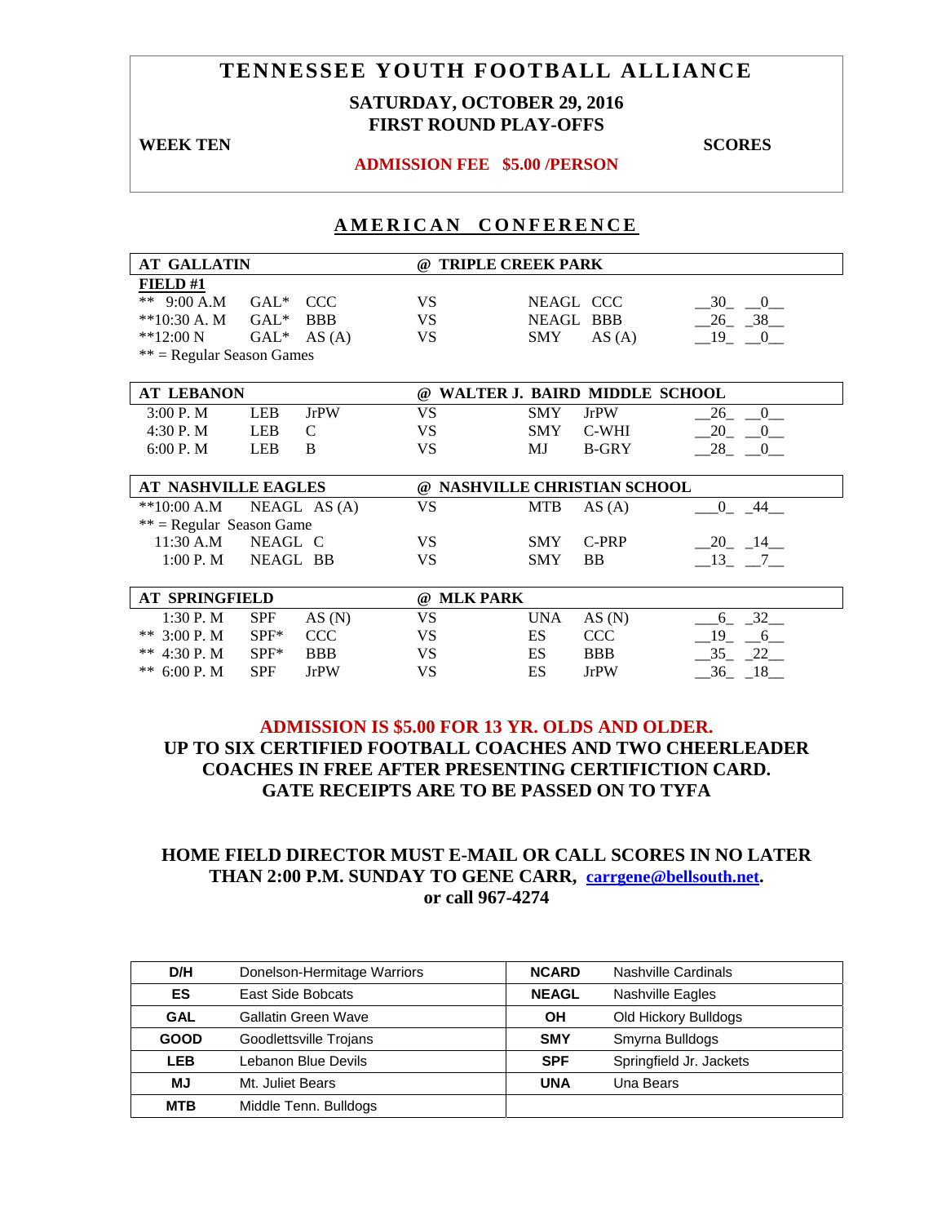### **SATURDAY, OCTOBER 29, 2016 FIRST ROUND PLAY-OFFS**

**WEEK TEN** SCORES

#### **ADMISSION FEE \$5.00 /PERSON**

#### **AMERICAN CONFERENCE**

| <b>AT GALLATIN</b>          |            |              |                                        | @ TRIPLE CREEK PARK |                               |                      |  |
|-----------------------------|------------|--------------|----------------------------------------|---------------------|-------------------------------|----------------------|--|
| <b>FIELD#1</b>              |            |              |                                        |                     |                               |                      |  |
| ** 9:00 A.M                 | $GAL^*$    | <b>CCC</b>   | VS.                                    |                     | NEAGL CCC                     | $-30$ $-0$           |  |
| $**10:30 A. M$              | $GAL*$     | <b>BBB</b>   | VS                                     |                     | NEAGL BBB                     | $-26$ $-38$          |  |
| $**12:00 N$                 | $GAL^*$    | AS(A)        | <b>VS</b>                              | <b>SMY</b>          | AS(A)                         | $-19$ $-0$           |  |
| $**$ = Regular Season Games |            |              |                                        |                     |                               |                      |  |
|                             |            |              |                                        |                     |                               |                      |  |
| <b>AT LEBANON</b>           |            |              | $\omega$                               |                     | WALTER J. BAIRD MIDDLE SCHOOL |                      |  |
| 3:00 P. M                   | LEB        | <b>JrPW</b>  | VS                                     | <b>SMY</b>          | <b>JrPW</b>                   | 26<br>$\overline{0}$ |  |
| 4:30 P.M                    | LEB        | C            | VS.                                    | <b>SMY</b>          | C-WHI                         | $-20$<br>$-0$        |  |
| 6:00 P. M                   | <b>LEB</b> | B            | VS                                     | MJ                  | <b>B-GRY</b>                  | 28 0                 |  |
|                             |            |              |                                        |                     |                               |                      |  |
| <b>AT NASHVILLE EAGLES</b>  |            |              | NASHVILLE CHRISTIAN SCHOOL<br>$\omega$ |                     |                               |                      |  |
| $*10:00 A.M$                |            | NEAGL AS (A) | VS                                     | <b>MTB</b>          | AS(A)                         | $0 - 44$             |  |
| $**$ = Regular Season Game  |            |              |                                        |                     |                               |                      |  |
| 11:30 A.M                   | NEAGL C    |              | VS.                                    | <b>SMY</b>          | C-PRP                         | $-20$ $-14$ $-$      |  |
| 1:00 P.M                    | NEAGL BB   |              | VS                                     | <b>SMY</b>          | <b>BB</b>                     | $-13$ , $-7$         |  |
|                             |            |              |                                        |                     |                               |                      |  |
| <b>AT SPRINGFIELD</b>       |            |              | @ MLK PARK                             |                     |                               |                      |  |
| 1:30 P. M                   | <b>SPF</b> | AS(N)        | VS                                     | <b>UNA</b>          | AS(N)                         | $6 - 32$             |  |
| ** $3:00$ P.M               | $SPF^*$    | <b>CCC</b>   | VS                                     | ES                  | <b>CCC</b>                    | $-19$ $-6$           |  |
| ** $4:30$ P. M              | $SPF^*$    | <b>BBB</b>   | VS.                                    | ES                  | <b>BBB</b>                    | $-35 - 22$           |  |
| ** $6:00$ P. M              | <b>SPF</b> | <b>JrPW</b>  | VS                                     | ES                  | <b>JrPW</b>                   | $-36$ $-18$          |  |

### **ADMISSION IS \$5.00 FOR 13 YR. OLDS AND OLDER. UP TO SIX CERTIFIED FOOTBALL COACHES AND TWO CHEERLEADER COACHES IN FREE AFTER PRESENTING CERTIFICTION CARD. GATE RECEIPTS ARE TO BE PASSED ON TO TYFA**

| D/H         | Donelson-Hermitage Warriors | <b>NCARD</b> | Nashville Cardinals     |
|-------------|-----------------------------|--------------|-------------------------|
| ES          | East Side Bobcats           | <b>NEAGL</b> | <b>Nashville Eagles</b> |
| <b>GAL</b>  | <b>Gallatin Green Wave</b>  | OН           | Old Hickory Bulldogs    |
| <b>GOOD</b> | Goodlettsville Trojans      | <b>SMY</b>   | Smyrna Bulldogs         |
| LEB         | Lebanon Blue Devils         | <b>SPF</b>   | Springfield Jr. Jackets |
| МJ          | Mt. Juliet Bears            | <b>UNA</b>   | Una Bears               |
| <b>MTB</b>  | Middle Tenn. Bulldogs       |              |                         |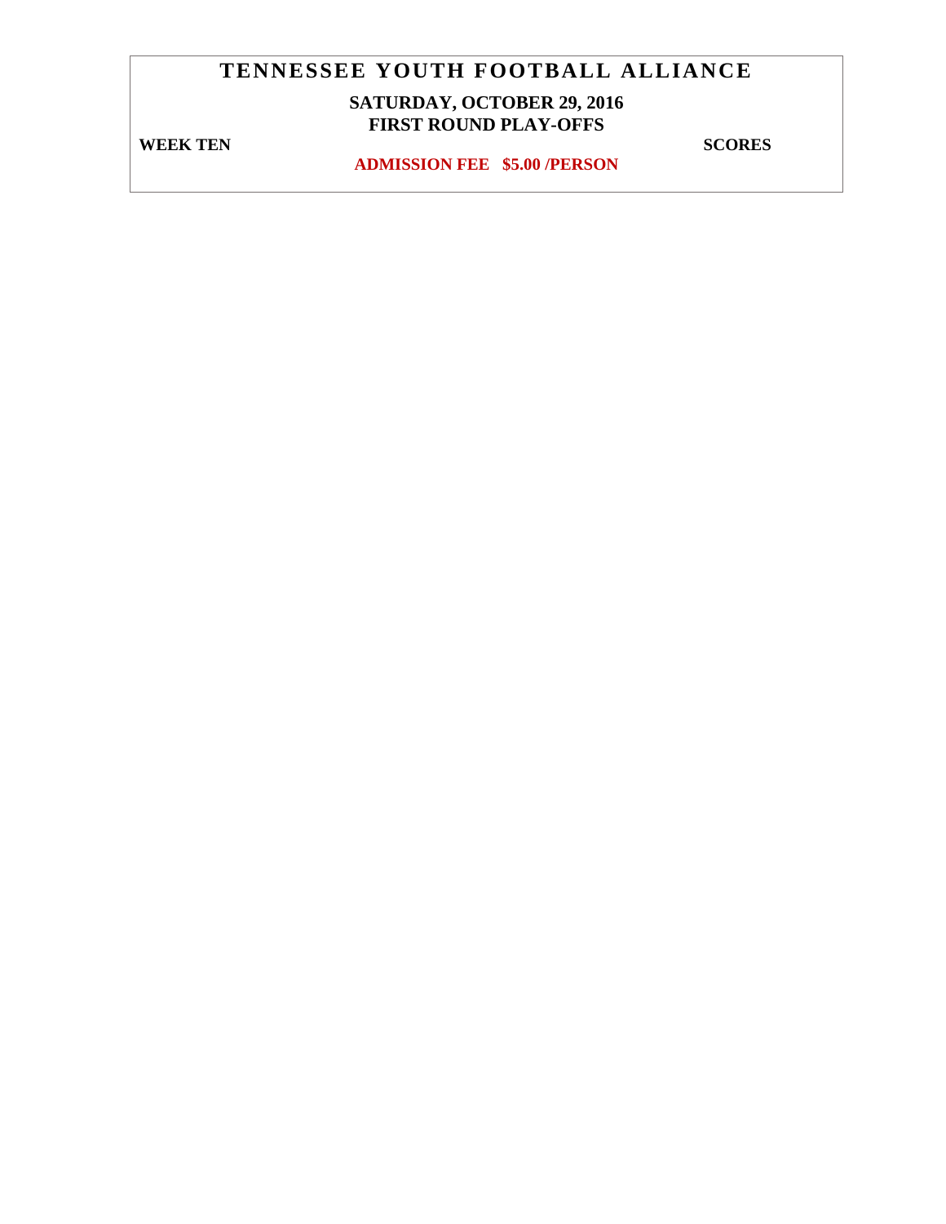# **SATURDAY, OCTOBER 29, 2016 FIRST ROUND PLAY-OFFS**

**WEEK TEN** SCORES

**ADMISSION FEE \$5.00 /PERSON**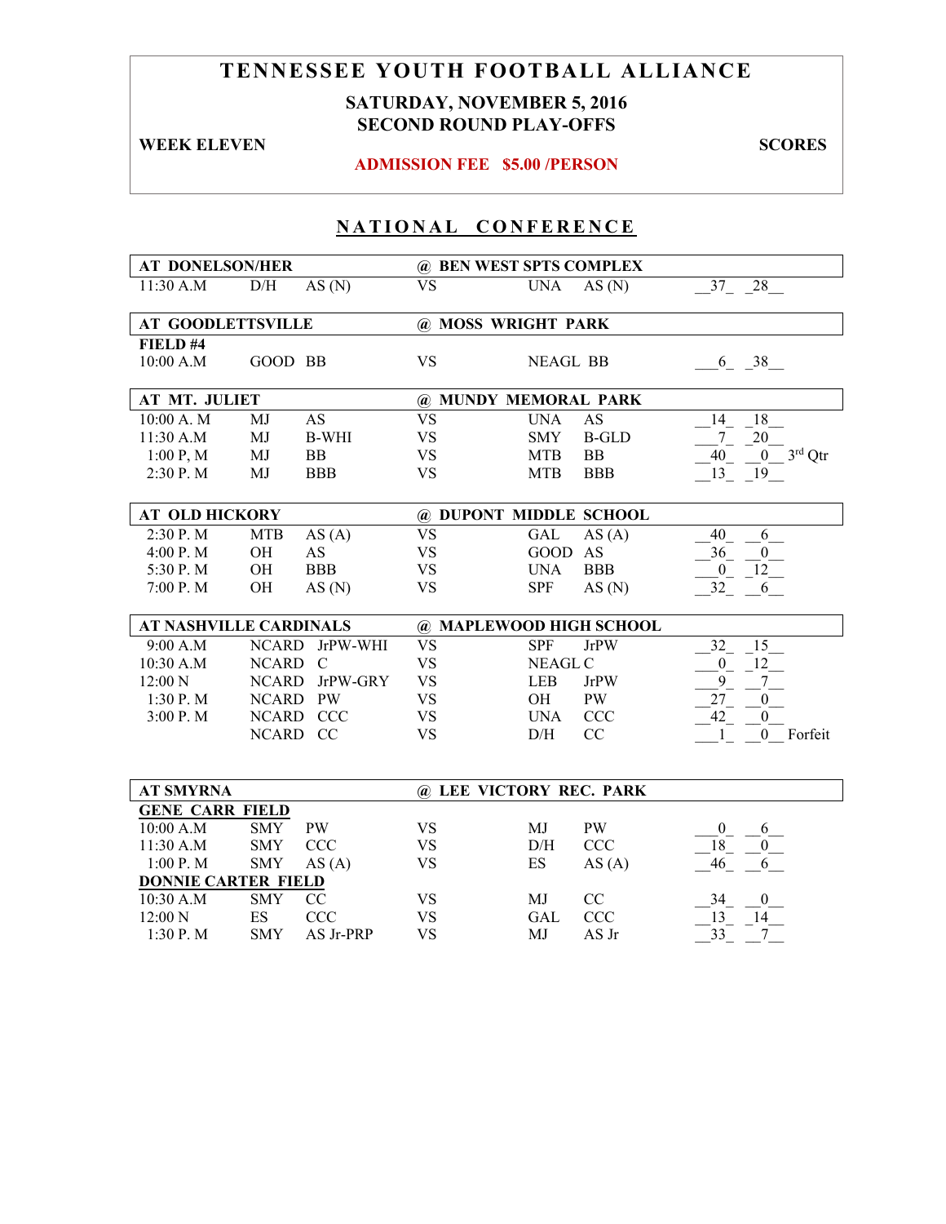## **SATURDAY, NOVEMBER 5, 2016 SECOND ROUND PLAY-OFFS**

**WEEK ELEVEN SCORES** 

#### **ADMISSION FEE \$5.00 /PERSON**

| <b>AT DONELSON/HER</b>        |                                        |                         | @ BEN WEST SPTS COMPLEX |                          |                     |                                     |
|-------------------------------|----------------------------------------|-------------------------|-------------------------|--------------------------|---------------------|-------------------------------------|
| 11:30 A.M                     | D/H                                    | AS(N)                   | <b>VS</b>               | <b>UNA</b>               | AS(N)               | 37 28                               |
|                               |                                        |                         |                         |                          |                     |                                     |
| <b>AT GOODLETTSVILLE</b>      |                                        |                         | @ MOSS WRIGHT PARK      |                          |                     |                                     |
| FIELD #4                      |                                        |                         |                         |                          |                     |                                     |
| 10:00 A.M                     | GOOD BB                                |                         | <b>VS</b>               | <b>NEAGL BB</b>          |                     | $6 - 38$                            |
|                               |                                        |                         |                         |                          |                     |                                     |
| AT MT. JULIET                 |                                        |                         | @ MUNDY MEMORAL PARK    |                          |                     |                                     |
| 10:00 A. M                    | MJ                                     | <b>AS</b>               | $\overline{\text{VS}}$  | <b>UNA</b>               | AS                  | 18<br>14                            |
| 11:30 A.M                     | MJ                                     | <b>B-WHI</b>            | $\mathbf{V}\mathbf{S}$  | <b>SMY</b>               | <b>B-GLD</b>        | $\tau$<br>$20\,$                    |
| 1:00 P, M                     | MJ                                     | BB                      | <b>VS</b>               | <b>MTB</b>               | BB                  | $3rd$ Qtr<br>40<br>$\boldsymbol{0}$ |
| 2:30 P.M                      | MJ                                     | <b>BBB</b>              | <b>VS</b>               | <b>MTB</b>               | <b>BBB</b>          | 13<br>19                            |
|                               |                                        |                         |                         |                          |                     |                                     |
| <b>AT OLD HICKORY</b>         |                                        |                         | @ DUPONT MIDDLE SCHOOL  |                          |                     |                                     |
| 2:30 P.M                      | <b>MTB</b>                             | AS(A)                   | <b>VS</b>               | <b>GAL</b>               | AS(A)               | 40<br>6                             |
| 4:00 P.M                      | OH                                     | AS                      | <b>VS</b>               | <b>GOOD</b>              | AS                  | 36<br>$\boldsymbol{0}$              |
| 5:30 P.M                      | OH                                     | <b>BBB</b>              | <b>VS</b>               | <b>UNA</b>               | <b>BBB</b>          | 12<br>$\overline{0}$                |
| 7:00 P.M                      | OH                                     | AS(N)                   | <b>VS</b>               | <b>SPF</b>               | AS(N)               | 32<br>6                             |
|                               |                                        |                         |                         |                          |                     |                                     |
| <b>AT NASHVILLE CARDINALS</b> |                                        |                         | @ MAPLEWOOD HIGH SCHOOL |                          |                     |                                     |
| 9:00 A.M                      | <b>NCARD</b>                           | JrPW-WHI                | <b>VS</b>               | <b>SPF</b>               | <b>JrPW</b>         | 15<br>32                            |
| 10:30 A.M                     | NCARD                                  | $\mathcal{C}$           | <b>VS</b>               | <b>NEAGL C</b>           |                     | 12<br>$\overline{0}$                |
| 12:00 N                       | <b>NCARD</b>                           | JrPW-GRY                | <b>VS</b>               | <b>LEB</b>               | <b>JrPW</b>         | 9<br>7                              |
| 1:30 P.M                      | NCARD PW                               |                         | <b>VS</b>               | OH                       | PW                  | 27<br>$\boldsymbol{0}$              |
| 3:00 P.M                      |                                        | NCARD CCC               | <b>VS</b>               | <b>UNA</b>               | <b>CCC</b>          | 42<br>$\boldsymbol{0}$              |
|                               | NCARD CC                               |                         | <b>VS</b>               | D/H                      | CC                  | $\mathbf{1}$<br>0 Forfeit           |
|                               |                                        |                         |                         |                          |                     |                                     |
|                               |                                        |                         |                         |                          |                     |                                     |
| <b>AT SMYRNA</b>              |                                        | @ LEE VICTORY REC. PARK |                         |                          |                     |                                     |
| <b>GENE CARR FIELD</b>        |                                        |                         |                         |                          |                     |                                     |
| 10:00 A.M                     | <b>SMY</b>                             | <b>PW</b>               | <b>VS</b>               | MJ                       | PW                  | $\boldsymbol{0}$<br>6               |
| 11:30 A.M                     | <b>SMY</b>                             | CCC                     | <b>VS</b>               | D/H                      | <b>CCC</b>          | 18<br>$\overline{0}$                |
| 1:00 P.M                      | <b>SMY</b>                             | AS(A)                   | <b>VS</b>               | $\mathop{\hbox{\rm ES}}$ | AS(A)               | 46<br>6                             |
| <b>DONNIE CARTER FIELD</b>    | <b>SMY</b>                             |                         |                         |                          |                     |                                     |
| 10:30 A.M                     |                                        | CC                      | <b>VS</b>               | MJ                       | CC                  | 34<br>$\boldsymbol{0}$              |
|                               |                                        |                         |                         |                          |                     |                                     |
| 12:00 N<br>1:30 P.M           | $\mathop{\hbox{\rm ES}}$<br><b>SMY</b> | CCC<br>AS Jr-PRP        | <b>VS</b><br><b>VS</b>  | GAL<br>MJ                | <b>CCC</b><br>AS Jr | 13<br>14<br>33<br>7                 |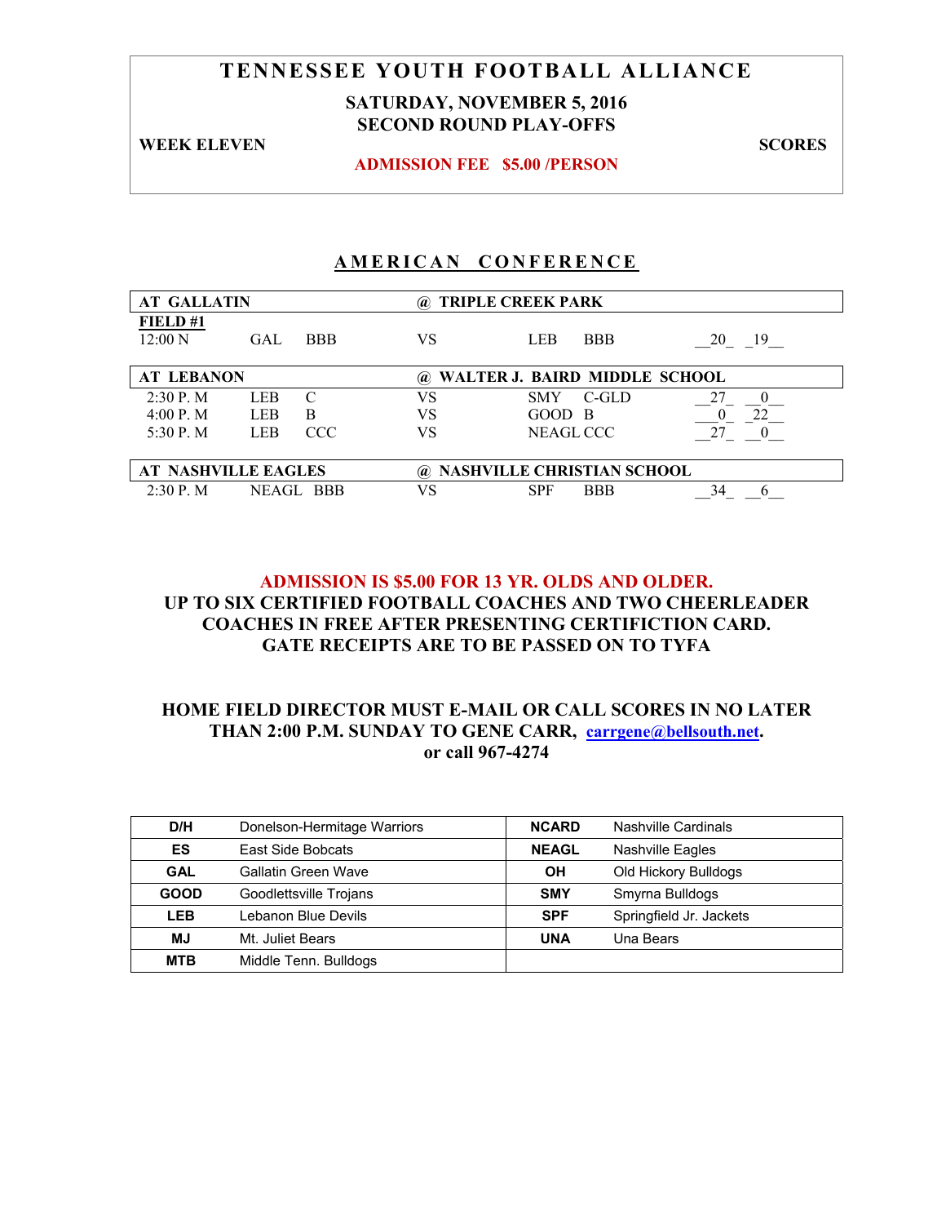# **TENNESSEE YOUTH FOOTBALL ALLIANCE SATURDAY, NOVEMBER 5, 2016**

# **SECOND ROUND PLAY-OFFS**

**WEEK ELEVEN SCORES** 

**ADMISSION FEE \$5.00 /PERSON** 

## **AMERICAN CONFERENCE**

| <b>AT GALLATIN</b>    |                                    | (a)              | <b>TRIPLE CREEK PARK</b>          |          |  |  |  |
|-----------------------|------------------------------------|------------------|-----------------------------------|----------|--|--|--|
| FIELD#1<br>$12:00\ N$ | GAL<br><b>BBB</b>                  | VS               | <b>BBB</b><br>LEB                 | 20<br>19 |  |  |  |
| <b>AT LEBANON</b>     |                                    | $\boldsymbol{a}$ | WALTER J. BAIRD MIDDLE SCHOOL     |          |  |  |  |
| $2:30$ P. M           | LEB<br>$\mathcal{C}_{\mathcal{C}}$ | VS               | C-GLD<br><b>SMY</b>               |          |  |  |  |
| 4:00 P. M             | <b>LEB</b><br>B                    | VS               | GOOD B                            | つつ       |  |  |  |
| 5:30 P. M.            | CCC.<br><b>LEB</b>                 | VS               | NEAGL CCC                         |          |  |  |  |
|                       |                                    |                  |                                   |          |  |  |  |
|                       | <b>AT NASHVILLE EAGLES</b>         | $\boldsymbol{a}$ | <b>NASHVILLE CHRISTIAN SCHOOL</b> |          |  |  |  |
| $2:30$ P. M           | NEAGL BBB                          | VS               | <b>SPF</b><br><b>BBB</b>          | 34       |  |  |  |

### **ADMISSION IS \$5.00 FOR 13 YR. OLDS AND OLDER. UP TO SIX CERTIFIED FOOTBALL COACHES AND TWO CHEERLEADER COACHES IN FREE AFTER PRESENTING CERTIFICTION CARD. GATE RECEIPTS ARE TO BE PASSED ON TO TYFA**

| D/H         | Donelson-Hermitage Warriors | <b>NCARD</b> | Nashville Cardinals     |
|-------------|-----------------------------|--------------|-------------------------|
| ES          | East Side Bobcats           | <b>NEAGL</b> | Nashville Eagles        |
| <b>GAL</b>  | Gallatin Green Wave         | OH           | Old Hickory Bulldogs    |
| <b>GOOD</b> | Goodlettsville Trojans      | <b>SMY</b>   | Smyrna Bulldogs         |
| <b>LEB</b>  | Lebanon Blue Devils         | <b>SPF</b>   | Springfield Jr. Jackets |
| MJ          | Mt. Juliet Bears            | <b>UNA</b>   | Una Bears               |
| <b>MTB</b>  | Middle Tenn. Bulldogs       |              |                         |